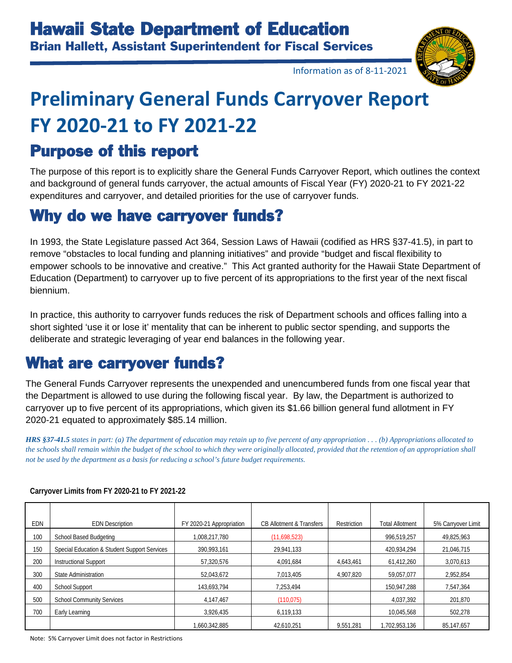

Information as of 8-11-2021

# **Preliminary General Funds Carryover Report FY 2020-21 to FY 2021-22**

#### Purpose of this report

The purpose of this report is to explicitly share the General Funds Carryover Report, which outlines the context and background of general funds carryover, the actual amounts of Fiscal Year (FY) 2020-21 to FY 2021-22 expenditures and carryover, and detailed priorities for the use of carryover funds.

#### Why do we have carryover funds?

In 1993, the State Legislature passed Act 364, Session Laws of Hawaii (codified as HRS §37-41.5), in part to remove "obstacles to local funding and planning initiatives" and provide "budget and fiscal flexibility to empower schools to be innovative and creative." This Act granted authority for the Hawaii State Department of Education (Department) to carryover up to five percent of its appropriations to the first year of the next fiscal biennium.

In practice, this authority to carryover funds reduces the risk of Department schools and offices falling into a short sighted 'use it or lose it' mentality that can be inherent to public sector spending, and supports the deliberate and strategic leveraging of year end balances in the following year.

#### What are carryover funds?

The General Funds Carryover represents the unexpended and unencumbered funds from one fiscal year that the Department is allowed to use during the following fiscal year. By law, the Department is authorized to carryover up to five percent of its appropriations, which given its \$1.66 billion general fund allotment in FY 2020-21 equated to approximately \$85.14 million.

*HRS §37-41.5 states in part: (a) The department of education may retain up to five percent of any appropriation . . . (b) Appropriations allocated to the schools shall remain within the budget of the school to which they were originally allocated, provided that the retention of an appropriation shall not be used by the department as a basis for reducing a school's future budget requirements.*

| EDN | <b>EDN</b> Description                       | FY 2020-21 Appropriation | <b>CB Allotment &amp; Transfers</b> | Restriction | <b>Total Allotment</b> | 5% Carryover Limit |  |
|-----|----------------------------------------------|--------------------------|-------------------------------------|-------------|------------------------|--------------------|--|
| 100 | School Based Budgeting                       | 1.008.217.780            | (11,698,523)                        |             | 996,519,257            | 49,825,963         |  |
| 150 | Special Education & Student Support Services | 390,993,161              | 29,941,133                          |             | 420,934,294            | 21,046,715         |  |
| 200 | <b>Instructional Support</b>                 | 57.320.576               | 4,091,684                           | 4,643,461   | 61,412,260             | 3,070,613          |  |
| 300 | State Administration                         | 52,043,672               | 7,013,405                           | 4,907,820   | 59.057.077             | 2,952,854          |  |
| 400 | <b>School Support</b>                        | 143,693,794              | 7,253,494                           |             | 150,947,288            | 7,547,364          |  |
| 500 | <b>School Community Services</b>             | 4,147,467                | (110, 075)                          |             | 4,037,392              | 201,870            |  |
| 700 | Early Learning                               | 3,926,435                | 6,119,133                           |             | 10,045,568             | 502,278            |  |
|     |                                              | 1,660,342,885            | 42,610,251                          | 9,551,281   | 1,702,953,136          | 85,147,657         |  |

#### **Carryover Limits from FY 2020-21 to FY 2021-22**

Note: 5% Carryover Limit does not factor in Restrictions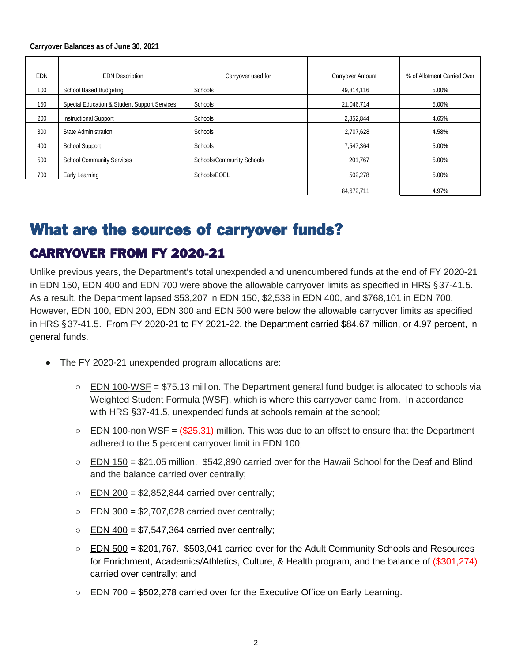#### **Carryover Balances as of June 30, 2021**

| EDN | <b>EDN Description</b>                       | Carryover used for        | Carryover Amount | % of Allotment Carried Over |
|-----|----------------------------------------------|---------------------------|------------------|-----------------------------|
| 100 | School Based Budgeting                       | Schools                   | 49,814,116       | 5.00%                       |
| 150 | Special Education & Student Support Services | Schools                   | 21,046,714       | 5.00%                       |
| 200 | <b>Instructional Support</b>                 | Schools                   | 2,852,844        | 4.65%                       |
| 300 | State Administration                         | Schools                   | 2,707,628        | 4.58%                       |
| 400 | <b>School Support</b>                        | Schools                   | 7,547,364        | 5.00%                       |
| 500 | <b>School Community Services</b>             | Schools/Community Schools | 201.767          | 5.00%                       |
| 700 | Early Learning                               | Schools/EOEL              | 502,278          | 5.00%                       |
|     |                                              |                           | 84,672,711       | 4.97%                       |

#### What are the sources of carryover funds?

#### CARRYOVER FROM FY 2020-21

Unlike previous years, the Department's total unexpended and unencumbered funds at the end of FY 2020-21 in EDN 150, EDN 400 and EDN 700 were above the allowable carryover limits as specified in HRS §37-41.5. As a result, the Department lapsed \$53,207 in EDN 150, \$2,538 in EDN 400, and \$768,101 in EDN 700. However, EDN 100, EDN 200, EDN 300 and EDN 500 were below the allowable carryover limits as specified in HRS §37-41.5. From FY 2020-21 to FY 2021-22, the Department carried \$84.67 million, or 4.97 percent, in general funds.

- The FY 2020-21 unexpended program allocations are:
	- $\circ$  EDN 100-WSF = \$75.13 million. The Department general fund budget is allocated to schools via Weighted Student Formula (WSF), which is where this carryover came from. In accordance with HRS §37-41.5, unexpended funds at schools remain at the school;
	- $\circ$  EDN 100-non WSF = (\$25.31) million. This was due to an offset to ensure that the Department adhered to the 5 percent carryover limit in EDN 100;
	- EDN 150 = \$21.05 million. \$542,890 carried over for the Hawaii School for the Deaf and Blind and the balance carried over centrally;
	- $\circ$  EDN 200 = \$2,852,844 carried over centrally;
	- $\circ$  EDN 300 = \$2,707,628 carried over centrally;
	- $\circ$  EDN 400 = \$7,547,364 carried over centrally;
	- EDN 500 = \$201,767. \$503,041 carried over for the Adult Community Schools and Resources for Enrichment, Academics/Athletics, Culture, & Health program, and the balance of (\$301,274) carried over centrally; and
	- $\circ$  EDN 700 = \$502,278 carried over for the Executive Office on Early Learning.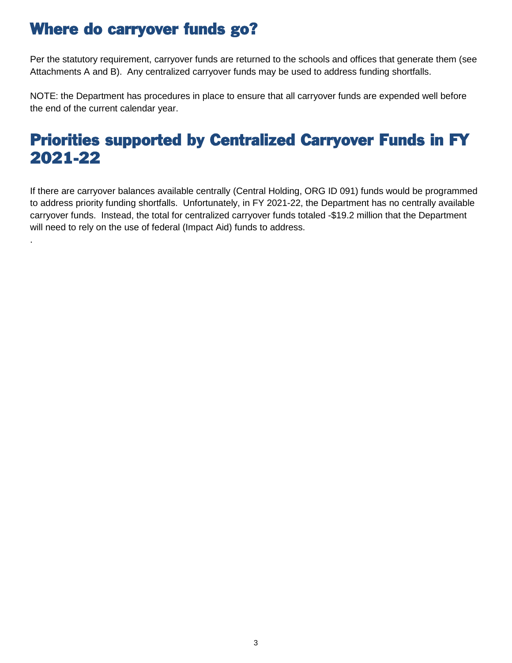#### Where do carryover funds go?

.

Per the statutory requirement, carryover funds are returned to the schools and offices that generate them (see Attachments A and B). Any centralized carryover funds may be used to address funding shortfalls.

NOTE: the Department has procedures in place to ensure that all carryover funds are expended well before the end of the current calendar year.

#### Priorities supported by Centralized Carryover Funds in FY 2021-22

If there are carryover balances available centrally (Central Holding, ORG ID 091) funds would be programmed to address priority funding shortfalls. Unfortunately, in FY 2021-22, the Department has no centrally available carryover funds. Instead, the total for centralized carryover funds totaled -\$19.2 million that the Department will need to rely on the use of federal (Impact Aid) funds to address.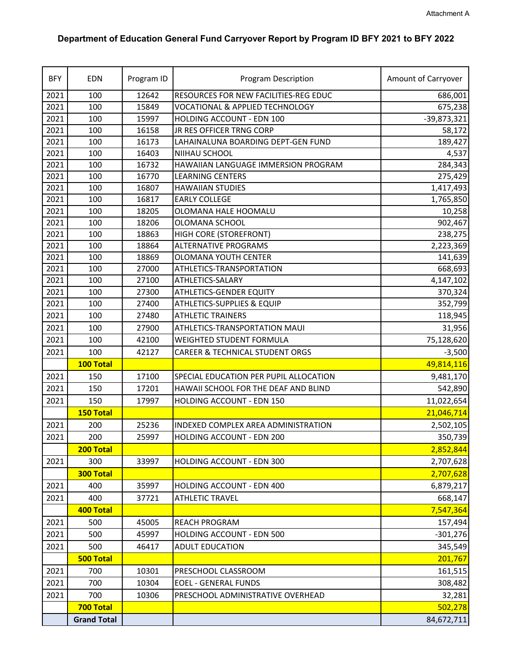#### **Department of Education General Fund Carryover Report by Program ID BFY 2021 to BFY 2022**

| <b>BFY</b> | <b>EDN</b>         | Program ID | <b>Program Description</b>                 | Amount of Carryover |
|------------|--------------------|------------|--------------------------------------------|---------------------|
| 2021       | 100                | 12642      | RESOURCES FOR NEW FACILITIES-REG EDUC      | 686,001             |
| 2021       | 100                | 15849      | <b>VOCATIONAL &amp; APPLIED TECHNOLOGY</b> | 675,238             |
| 2021       | 100                | 15997      | HOLDING ACCOUNT - EDN 100                  | $-39,873,321$       |
| 2021       | 100                | 16158      | JR RES OFFICER TRNG CORP                   | 58,172              |
| 2021       | 100                | 16173      | LAHAINALUNA BOARDING DEPT-GEN FUND         | 189,427             |
| 2021       | 100                | 16403      | NIIHAU SCHOOL                              | 4,537               |
| 2021       | 100                | 16732      | HAWAIIAN LANGUAGE IMMERSION PROGRAM        | 284,343             |
| 2021       | 100                | 16770      | <b>LEARNING CENTERS</b>                    | 275,429             |
| 2021       | 100                | 16807      | <b>HAWAIIAN STUDIES</b>                    | 1,417,493           |
| 2021       | 100                | 16817      | <b>EARLY COLLEGE</b>                       | 1,765,850           |
| 2021       | 100                | 18205      | OLOMANA HALE HOOMALU                       | 10,258              |
| 2021       | 100                | 18206      | OLOMANA SCHOOL                             | 902,467             |
| 2021       | 100                | 18863      | HIGH CORE (STOREFRONT)                     | 238,275             |
| 2021       | 100                | 18864      | <b>ALTERNATIVE PROGRAMS</b>                | 2,223,369           |
| 2021       | 100                | 18869      | <b>OLOMANA YOUTH CENTER</b>                | 141,639             |
| 2021       | 100                | 27000      | ATHLETICS-TRANSPORTATION                   | 668,693             |
| 2021       | 100                | 27100      | ATHLETICS-SALARY                           | 4,147,102           |
| 2021       | 100                | 27300      | ATHLETICS-GENDER EQUITY                    | 370,324             |
| 2021       | 100                | 27400      | ATHLETICS-SUPPLIES & EQUIP                 | 352,799             |
| 2021       | 100                | 27480      | <b>ATHLETIC TRAINERS</b>                   | 118,945             |
| 2021       | 100                | 27900      | ATHLETICS-TRANSPORTATION MAUI              | 31,956              |
| 2021       | 100                | 42100      | <b>WEIGHTED STUDENT FORMULA</b>            | 75,128,620          |
| 2021       | 100                | 42127      | <b>CAREER &amp; TECHNICAL STUDENT ORGS</b> | $-3,500$            |
|            | 100 Total          |            |                                            | 49,814,116          |
| 2021       | 150                | 17100      | SPECIAL EDUCATION PER PUPIL ALLOCATION     | 9,481,170           |
| 2021       | 150                | 17201      | HAWAII SCHOOL FOR THE DEAF AND BLIND       | 542,890             |
| 2021       | 150                | 17997      | HOLDING ACCOUNT - EDN 150                  | 11,022,654          |
|            | 150 Total          |            |                                            | 21,046,714          |
| 2021       | 200                | 25236      | INDEXED COMPLEX AREA ADMINISTRATION        | 2,502,105           |
| 2021       | 200                | 25997      | HOLDING ACCOUNT - EDN 200                  | 350,739             |
|            | 200 Total          |            |                                            | 2,852,844           |
| 2021       | 300                | 33997      | HOLDING ACCOUNT - EDN 300                  | 2,707,628           |
|            | 300 Total          |            |                                            | 2,707,628           |
| 2021       | 400                | 35997      | HOLDING ACCOUNT - EDN 400                  | 6,879,217           |
| 2021       | 400                | 37721      | <b>ATHLETIC TRAVEL</b>                     | 668,147             |
|            | 400 Total          |            |                                            | 7,547,364           |
| 2021       |                    | 45005      |                                            |                     |
|            | 500                |            | REACH PROGRAM                              | 157,494             |
| 2021       | 500                | 45997      | HOLDING ACCOUNT - EDN 500                  | $-301,276$          |
| 2021       | 500                | 46417      | <b>ADULT EDUCATION</b>                     | 345,549             |
|            | <b>500 Total</b>   |            |                                            | 201,767             |
| 2021       | 700                | 10301      | PRESCHOOL CLASSROOM                        | 161,515             |
| 2021       | 700                | 10304      | <b>EOEL - GENERAL FUNDS</b>                | 308,482             |
| 2021       | 700                | 10306      | PRESCHOOL ADMINISTRATIVE OVERHEAD          | 32,281              |
|            | 700 Total          |            |                                            | 502,278             |
|            | <b>Grand Total</b> |            |                                            | 84,672,711          |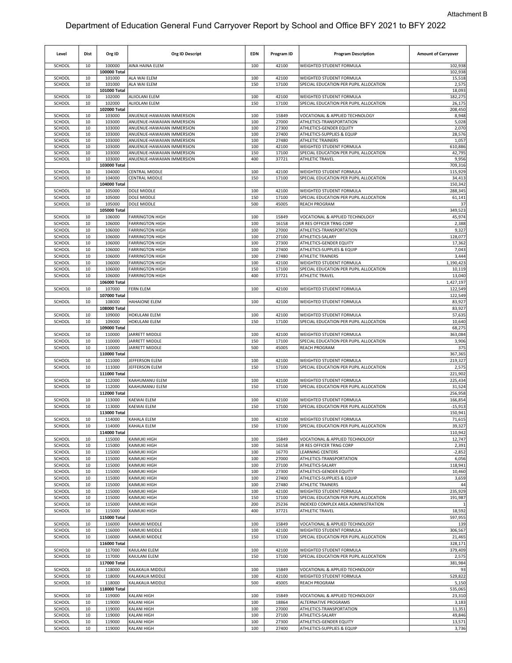| Level            | <b>Dist</b> | Org ID                 | <b>Org ID Descript</b>                                   | <b>EDN</b> | Program ID     | <b>Program Description</b>                                         | <b>Amount of Carryover</b> |
|------------------|-------------|------------------------|----------------------------------------------------------|------------|----------------|--------------------------------------------------------------------|----------------------------|
| SCHOOL           | 10          | 100000<br>100000 Total | AINA HAINA ELEM                                          | 100        | 42100          | WEIGHTED STUDENT FORMULA                                           | 102,938<br>102,938         |
| SCHOOL           | 10          | 101000                 | ALA WAI ELEM                                             | 100        | 42100          | WEIGHTED STUDENT FORMULA                                           | 15,518                     |
| SCHOOL           | 10          | 101000                 | ALA WAI ELEM                                             | 150        | 17100          | SPECIAL EDUCATION PER PUPIL ALLOCATION                             | 2,575                      |
| SCHOOL           | 10          | 101000 Total<br>102000 | <b>ALIIOLANI ELEM</b>                                    | 100        | 42100          | WEIGHTED STUDENT FORMULA                                           | 18,093<br>182,275          |
| SCHOOL           | 10          | 102000                 | <b>ALIIOLANI ELEM</b>                                    | 150        | 17100          | SPECIAL EDUCATION PER PUPIL ALLOCATION                             | 26,175                     |
|                  |             | 102000 Total           |                                                          |            |                |                                                                    | 208,450                    |
| SCHOOL           | 10<br>10    | 103000                 | ANUENUE-HAWAIIAN IMMERSION<br>ANUENUE-HAWAIIAN IMMERSION | 100<br>100 | 15849<br>27000 | VOCATIONAL & APPLIED TECHNOLOGY<br>ATHLETICS-TRANSPORTATION        | 8,948                      |
| SCHOOL<br>SCHOOL | 10          | 103000<br>103000       | ANUENUE-HAWAIIAN IMMERSION                               | 100        | 27300          | ATHLETICS-GENDER EQUITY                                            | 5,028<br>2,070             |
| SCHOOL           | 10          | 103000                 | ANUENUE-HAWAIIAN IMMERSION                               | 100        | 27400          | ATHLETICS-SUPPLIES & EQUIP                                         | 28,576                     |
| SCHOOL           | 10          | 103000                 | ANUENUE-HAWAIIAN IMMERSION                               | 100        | 27480          | <b>ATHLETIC TRAINERS</b>                                           | 1,057                      |
| SCHOOL<br>SCHOOL | 10<br>10    | 103000<br>103000       | ANUENUE-HAWAIIAN IMMERSION<br>ANUENUE-HAWAIIAN IMMERSION | 100<br>150 | 42100<br>17100 | WEIGHTED STUDENT FORMULA<br>SPECIAL EDUCATION PER PUPIL ALLOCATION | 610,886<br>42,795          |
| SCHOOL           | 10          | 103000                 | ANUENUE-HAWAIIAN IMMERSION                               | 400        | 37721          | <b>ATHLETIC TRAVEL</b>                                             | 9,956                      |
|                  |             | 103000 Total           |                                                          |            |                |                                                                    | 709,316                    |
| SCHOOL<br>SCHOOL | 10<br>10    | 104000<br>104000       | CENTRAL MIDDLE<br>CENTRAL MIDDLE                         | 100<br>150 | 42100<br>17100 | WEIGHTED STUDENT FORMULA<br>SPECIAL EDUCATION PER PUPIL ALLOCATION | 115,929<br>34,413          |
|                  |             | 104000 Total           |                                                          |            |                |                                                                    | 150,342                    |
| SCHOOL           | 10          | 105000                 | DOLE MIDDLE                                              | 100        | 42100          | WEIGHTED STUDENT FORMULA                                           | 288,345                    |
| SCHOOL           | 10          | 105000                 | DOLE MIDDLE                                              | 150        | 17100          | SPECIAL EDUCATION PER PUPIL ALLOCATION                             | 61,141                     |
| SCHOOL           | 10          | 105000                 | DOLE MIDDLE                                              | 500        | 45005          | REACH PROGRAM                                                      | 37                         |
| SCHOOL           | 10          | 105000 Total<br>106000 | <b>FARRINGTON HIGH</b>                                   | 100        | 15849          | VOCATIONAL & APPLIED TECHNOLOGY                                    | 349,523<br>45,974          |
| SCHOOL           | 10          | 106000                 | <b>FARRINGTON HIGH</b>                                   | 100        | 16158          | <b>JR RES OFFICER TRNG CORP</b>                                    | 2,388                      |
| SCHOOL           | 10          | 106000                 | <b>FARRINGTON HIGH</b>                                   | 100        | 27000          | ATHLETICS-TRANSPORTATION                                           | 9,327                      |
| SCHOOL           | 10          | 106000                 | <b>FARRINGTON HIGH</b>                                   | 100        | 27100          | ATHLETICS-SALARY                                                   | 128,077                    |
| SCHOOL<br>SCHOOL | 10<br>10    | 106000<br>106000       | <b>FARRINGTON HIGH</b><br><b>FARRINGTON HIGH</b>         | 100<br>100 | 27300<br>27400 | ATHLETICS-GENDER EQUITY<br>ATHLETICS-SUPPLIES & EQUIP              | 17,362<br>7,043            |
| SCHOOL           | 10          | 106000                 | <b>FARRINGTON HIGH</b>                                   | 100        | 27480          | <b>ATHLETIC TRAINERS</b>                                           | 3,444                      |
| SCHOOL           | 10          | 106000                 | <b>FARRINGTON HIGH</b>                                   | 100        | 42100          | WEIGHTED STUDENT FORMULA                                           | 1,190,423                  |
| SCHOOL           | 10          | 106000                 | <b>FARRINGTON HIGH</b>                                   | 150        | 17100          | SPECIAL EDUCATION PER PUPIL ALLOCATION                             | 10,119                     |
| SCHOOL           | 10          | 106000<br>106000 Total | <b>FARRINGTON HIGH</b>                                   | 400        | 37721          | ATHLETIC TRAVEL                                                    | 13,040<br>1,427,197        |
| SCHOOL           | 10          | 107000                 | FERN ELEM                                                | 100        | 42100          | WEIGHTED STUDENT FORMULA                                           | 122,549                    |
|                  |             | 107000 Total           |                                                          |            |                |                                                                    | 122,549                    |
| SCHOOL           | 10          | 108000                 | <b>HAHAIONE ELEM</b>                                     | 100        | 42100          | WEIGHTED STUDENT FORMULA                                           | 83,927                     |
| SCHOOL           | 10          | 108000 Total<br>109000 | HOKULANI ELEM                                            | 100        | 42100          | WEIGHTED STUDENT FORMULA                                           | 83,927<br>57,635           |
| SCHOOL           | 10          | 109000                 | <b>HOKULANI ELEM</b>                                     | 150        | 17100          | SPECIAL EDUCATION PER PUPIL ALLOCATION                             | 10,640                     |
|                  |             | 109000 Total           |                                                          |            |                |                                                                    | 68,275                     |
| SCHOOL           | 10          | 110000                 | JARRETT MIDDLE                                           | 100        | 42100          | WEIGHTED STUDENT FORMULA                                           | 363,084                    |
| SCHOOL<br>SCHOOL | 10<br>10    | 110000<br>110000       | JARRETT MIDDLE                                           | 150        | 17100<br>45005 | SPECIAL EDUCATION PER PUPIL ALLOCATION                             | 3,906<br>375               |
|                  |             | 110000 Total           | JARRETT MIDDLE                                           | 500        |                | REACH PROGRAM                                                      | 367,365                    |
| SCHOOL           | 10          | 111000                 | JEFFERSON ELEM                                           | 100        | 42100          | WEIGHTED STUDENT FORMULA                                           | 219,327                    |
| SCHOOL           | 10          | 111000                 | JEFFERSON ELEM                                           | 150        | 17100          | SPECIAL EDUCATION PER PUPIL ALLOCATION                             | 2,575                      |
|                  |             | 111000 Total           |                                                          | 100        | 42100          |                                                                    | 221,902<br>225,434         |
| SCHOOL<br>SCHOOL | 10<br>10    | 112000<br>112000       | KAAHUMANU ELEM<br>KAAHUMANU ELEM                         | 150        | 17100          | WEIGHTED STUDENT FORMULA<br>SPECIAL EDUCATION PER PUPIL ALLOCATION | 31,524                     |
|                  |             | 112000 Total           |                                                          |            |                |                                                                    | 256,958                    |
| SCHOOL           | 10          | 113000                 | <b><i>CAEWAI ELEM</i></b>                                | 100        | 42100          | WEIGHTED STUDENT FORMULA                                           | 166,854                    |
| SCHOOL           | 10          | 113000<br>113000 Total | KAEWAI ELEM                                              | 150        | 17100          | SPECIAL EDUCATION PER PUPIL ALLOCATION                             | $-15,913$<br>150,941       |
| SCHOOL           | 10          | 114000                 | KAHALA ELEM                                              | 100        | 42100          | WEIGHTED STUDENT FORMULA                                           | 71,615                     |
| SCHOOL           | 10          | 114000                 | KAHALA ELEM                                              | 150        | 17100          | SPECIAL EDUCATION PER PUPIL ALLOCATION                             | 39,327                     |
|                  |             | 114000 Total           |                                                          |            |                |                                                                    | 110,942                    |
| SCHOOL           | 10          | 115000                 | KAIMUKI HIGH                                             | 100        | 15849          | VOCATIONAL & APPLIED TECHNOLOGY                                    | 12,747                     |
| SCHOOL<br>SCHOOL | 10<br>10    | 115000<br>115000       | KAIMUKI HIGH<br>KAIMUKI HIGH                             | 100<br>100 | 16158<br>16770 | JR RES OFFICER TRNG CORP<br>LEARNING CENTERS                       | 2,391<br>$-2,852$          |
| SCHOOL           | 10          | 115000                 | KAIMUKI HIGH                                             | 100        | 27000          | ATHLETICS-TRANSPORTATION                                           | 6,056                      |
| SCHOOL           | 10          | 115000                 | KAIMUKI HIGH                                             | 100        | 27100          | ATHLETICS-SALARY                                                   | 118,941                    |
| SCHOOL           | 10          | 115000                 | KAIMUKI HIGH                                             | 100        | 27300          | ATHLETICS-GENDER EQUITY                                            | 10,460                     |
| SCHOOL<br>SCHOOL | 10<br>10    | 115000<br>115000       | <b>KAIMUKI HIGH</b><br>KAIMUKI HIGH                      | 100<br>100 | 27400<br>27480 | ATHLETICS-SUPPLIES & EQUIP<br>ATHLETIC TRAINERS                    | 3,659<br>44                |
| SCHOOL           | 10          | 115000                 | <b>KAIMUKI HIGH</b>                                      | 100        | 42100          | WEIGHTED STUDENT FORMULA                                           | 235,929                    |
| SCHOOL           | 10          | 115000                 | KAIMUKI HIGH                                             | 150        | 17100          | SPECIAL EDUCATION PER PUPIL ALLOCATION                             | 191,987                    |
| SCHOOL           | 10          | 115000                 | KAIMUKI HIGH                                             | 200        | 25236          | INDEXED COMPLEX AREA ADMINISTRATION                                |                            |
| SCHOOL           | 10          | 115000<br>115000 Total | <b>KAIMUKI HIGH</b>                                      | 400        | 37721          | <b>ATHLETIC TRAVEL</b>                                             | 18,592<br>597,955          |
| SCHOOL           | 10          | 116000                 | KAIMUKI MIDDLE                                           | 100        | 15849          | VOCATIONAL & APPLIED TECHNOLOGY                                    | 139                        |
| SCHOOL           | 10          | 116000                 | KAIMUKI MIDDLE                                           | 100        | 42100          | WEIGHTED STUDENT FORMULA                                           | 306,567                    |
| SCHOOL           | 10          | 116000                 | KAIMUKI MIDDLE                                           | 150        | 17100          | SPECIAL EDUCATION PER PUPIL ALLOCATION                             | 21,465                     |
| SCHOOL           | 10          | 116000 Total<br>117000 | KAIULANI ELEM                                            | 100        | 42100          | WEIGHTED STUDENT FORMULA                                           | 328,171<br>379,409         |
| SCHOOL           | 10          | 117000                 | KAIULANI ELEM                                            | 150        | 17100          | SPECIAL EDUCATION PER PUPIL ALLOCATION                             | 2,575                      |
|                  |             | 117000 Total           |                                                          |            |                |                                                                    | 381,984                    |
| SCHOOL           | 10          | 118000                 | KALAKAUA MIDDLE                                          | 100        | 15849          | VOCATIONAL & APPLIED TECHNOLOGY                                    | 93                         |
| SCHOOL<br>SCHOOL | 10<br>10    | 118000<br>118000       | KALAKAUA MIDDLE<br>KALAKAUA MIDDLE                       | 100<br>500 | 42100<br>45005 | WEIGHTED STUDENT FORMULA<br>REACH PROGRAM                          | 529,822<br>5,150           |
|                  |             | 118000 Total           |                                                          |            |                |                                                                    | 535,065                    |
| SCHOOL           | 10          | 119000                 | KALANI HIGH                                              | 100        | 15849          | VOCATIONAL & APPLIED TECHNOLOGY                                    | 23,310                     |
| SCHOOL           | 10          | 119000                 | KALANI HIGH                                              | 100        | 18864          | ALTERNATIVE PROGRAMS                                               | 3,183                      |
| SCHOOL           | 10          | 119000                 | KALANI HIGH                                              | 100        | 27000          | ATHLETICS-TRANSPORTATION                                           | 11,351                     |
| SCHOOL<br>SCHOOL | 10<br>10    | 119000<br>119000       | KALANI HIGH<br><b>KALANI HIGH</b>                        | 100<br>100 | 27100<br>27300 | ATHLETICS-SALARY<br>ATHLETICS-GENDER EQUITY                        | 49,846<br>13,571           |
| SCHOOL           | 10          | 119000                 | KALANI HIGH                                              | 100        | 27400          | ATHLETICS-SUPPLIES & EQUIP                                         | 3,736                      |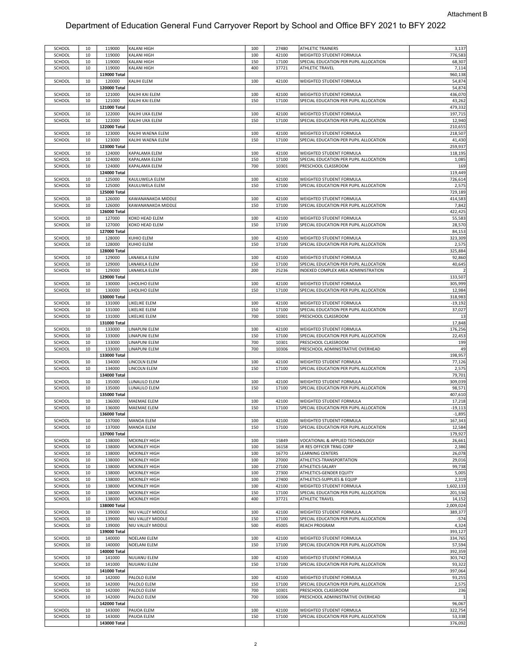| SCHOOL | 10 | 119000       | KALANI HIGH          | 100 | 27480 | ATHLETIC TRAINERS                      | 3,137     |
|--------|----|--------------|----------------------|-----|-------|----------------------------------------|-----------|
| SCHOOL | 10 | 119000       | KALANI HIGH          | 100 | 42100 | WEIGHTED STUDENT FORMULA               | 776,583   |
| SCHOOL | 10 | 119000       | KALANI HIGH          | 150 | 17100 | SPECIAL EDUCATION PER PUPIL ALLOCATION | 68,307    |
|        | 10 | 119000       |                      | 400 | 37721 |                                        | 7,114     |
| SCHOOL |    |              | <b>KALANI HIGH</b>   |     |       | ATHLETIC TRAVEL                        |           |
|        |    | 119000 Total |                      |     |       |                                        | 960,138   |
| SCHOOL | 10 | 120000       | KALIHI ELEM          | 100 | 42100 | WEIGHTED STUDENT FORMULA               | 54,874    |
|        |    | 120000 Total |                      |     |       |                                        | 54,874    |
|        |    |              |                      |     |       |                                        |           |
| SCHOOL | 10 | 121000       | KALIHI KAI ELEM      | 100 | 42100 | WEIGHTED STUDENT FORMULA               | 436,070   |
| SCHOOL | 10 | 121000       | KALIHI KAI ELEM      | 150 | 17100 | SPECIAL EDUCATION PER PUPIL ALLOCATION | 43,262    |
|        |    | 121000 Total |                      |     |       |                                        | 479,332   |
|        |    | 122000       |                      | 100 | 42100 | WEIGHTED STUDENT FORMULA               | 197,715   |
| SCHOOL | 10 |              | KALIHI UKA ELEM      |     |       |                                        |           |
| SCHOOL | 10 | 122000       | KALIHI UKA ELEM      | 150 | 17100 | SPECIAL EDUCATION PER PUPIL ALLOCATION | 12,940    |
|        |    | 122000 Total |                      |     |       |                                        | 210,655   |
|        |    |              |                      |     |       |                                        |           |
| SCHOOL | 10 | 123000       | KALIHI WAENA ELEM    | 100 | 42100 | WEIGHTED STUDENT FORMULA               | 218,507   |
| SCHOOL | 10 | 123000       | KALIHI WAENA ELEM    | 150 | 17100 | SPECIAL EDUCATION PER PUPIL ALLOCATION | 41,430    |
|        |    | 123000 Total |                      |     |       |                                        | 259,937   |
|        |    |              |                      |     |       | WEIGHTED STUDENT FORMULA               |           |
| SCHOOL | 10 | 124000       | KAPALAMA ELEM        | 100 | 42100 |                                        | 118,195   |
| SCHOOL | 10 | 124000       | KAPALAMA ELEM        | 150 | 17100 | SPECIAL EDUCATION PER PUPIL ALLOCATION | 1,085     |
| SCHOOL | 10 | 124000       | KAPALAMA ELEM        | 700 | 10301 | PRESCHOOL CLASSROOM                    | 169       |
|        |    | 124000 Total |                      |     |       |                                        | 119,449   |
|        |    |              |                      |     |       |                                        |           |
| SCHOOL | 10 | 125000       | KAULUWELA ELEM       | 100 | 42100 | WEIGHTED STUDENT FORMULA               | 726,614   |
| SCHOOL | 10 | 125000       | KAULUWELA ELEM       | 150 | 17100 | SPECIAL EDUCATION PER PUPIL ALLOCATION | 2,575     |
|        |    | 125000 Total |                      |     |       |                                        | 729,189   |
|        |    |              |                      |     |       |                                        |           |
| SCHOOL | 10 | 126000       | KAWANANAKOA MIDDLE   | 100 | 42100 | WEIGHTED STUDENT FORMULA               | 414,583   |
| SCHOOL | 10 | 126000       | KAWANANAKOA MIDDLE   | 150 | 17100 | SPECIAL EDUCATION PER PUPIL ALLOCATION | 7,842     |
|        |    | 126000 Total |                      |     |       |                                        | 422,425   |
|        |    |              |                      |     |       |                                        |           |
| SCHOOL | 10 | 127000       | KOKO HEAD ELEM       | 100 | 42100 | WEIGHTED STUDENT FORMULA               | 55,583    |
| SCHOOL | 10 | 127000       | KOKO HEAD ELEM       | 150 | 17100 | SPECIAL EDUCATION PER PUPIL ALLOCATION | 28,570    |
|        |    | 127000 Total |                      |     |       |                                        | 84,153    |
|        |    |              |                      |     |       |                                        |           |
| SCHOOL | 10 | 128000       | KUHIO ELEM           | 100 | 42100 | WEIGHTED STUDENT FORMULA               | 323,309   |
| SCHOOL | 10 | 128000       | KUHIO ELEM           | 150 | 17100 | SPECIAL EDUCATION PER PUPIL ALLOCATION | 2,575     |
|        |    | 128000 Total |                      |     |       |                                        | 325,884   |
|        |    |              |                      |     |       |                                        |           |
| SCHOOL | 10 | 129000       | LANAKILA ELEM        | 100 | 42100 | WEIGHTED STUDENT FORMULA               | 92,860    |
| SCHOOL | 10 | 129000       | LANAKILA ELEM        | 150 | 17100 | SPECIAL EDUCATION PER PUPIL ALLOCATION | 40,645    |
|        |    |              |                      |     |       |                                        |           |
| SCHOOL | 10 | 129000       | LANAKILA ELEM        | 200 | 25236 | INDEXED COMPLEX AREA ADMINISTRATION    |           |
|        |    | 129000 Total |                      |     |       |                                        | 133,507   |
| SCHOOL | 10 | 130000       | LIHOLIHO ELEM        | 100 | 42100 | WEIGHTED STUDENT FORMULA               | 305,999   |
| SCHOOL | 10 | 130000       |                      | 150 | 17100 | SPECIAL EDUCATION PER PUPIL ALLOCATION | 12,984    |
|        |    |              | LIHOLIHO ELEM        |     |       |                                        |           |
|        |    | 130000 Total |                      |     |       |                                        | 318,983   |
| SCHOOL | 10 | 131000       | LIKELIKE ELEM        | 100 | 42100 | WEIGHTED STUDENT FORMULA               | $-19,192$ |
|        | 10 | 131000       | LIKELIKE ELEM        | 150 | 17100 | SPECIAL EDUCATION PER PUPIL ALLOCATION | 37,027    |
| SCHOOL |    |              |                      |     |       |                                        |           |
| SCHOOL | 10 | 131000       | LIKELIKE ELEM        | 700 | 10301 | PRESCHOOL CLASSROOM                    | 13        |
|        |    | 131000 Total |                      |     |       |                                        | 17,848    |
| SCHOOL | 10 | 133000       | LINAPUNI ELEM        | 100 | 42100 | WEIGHTED STUDENT FORMULA               | 176,256   |
|        |    |              |                      |     |       |                                        |           |
| SCHOOL | 10 | 133000       | LINAPUNI ELEM        | 150 | 17100 | SPECIAL EDUCATION PER PUPIL ALLOCATION | 22,453    |
| SCHOOL | 10 | 133000       | <b>INAPUNI ELEM</b>  | 700 | 10301 | PRESCHOOL CLASSROOM                    | 199       |
|        | 10 |              | LINAPUNI ELEM        | 700 | 10306 | PRESCHOOL ADMINISTRATIVE OVERHEAD      |           |
| SCHOOL |    | 133000       |                      |     |       |                                        | 49        |
|        |    | 133000 Total |                      |     |       |                                        | 198,957   |
| SCHOOL | 10 | 134000       | LINCOLN ELEM         | 100 | 42100 | WEIGHTED STUDENT FORMULA               | 77,126    |
|        |    |              |                      | 150 |       |                                        | 2,575     |
| SCHOOL | 10 | 134000       | LINCOLN ELEM         |     | 17100 | SPECIAL EDUCATION PER PUPIL ALLOCATION |           |
|        |    | 134000 Total |                      |     |       |                                        | 79,701    |
| SCHOOL | 10 | 135000       | LUNALILO ELEM        | 100 | 42100 | WEIGHTED STUDENT FORMULA               | 309,039   |
|        |    |              |                      |     |       | SPECIAL EDUCATION PER PUPIL ALLOCATION |           |
| SCHOOL | 10 | 135000       | LUNALILO ELEM        | 150 | 17100 |                                        | 98,571    |
|        |    | 135000 Total |                      |     |       |                                        | 407,610   |
| SCHOOL | 10 | 136000       | MAEMAE ELEM          | 100 | 42100 | WEIGHTED STUDENT FORMULA               | 17,218    |
|        | 10 |              | MAEMAE ELEM          | 150 | 17100 |                                        |           |
| SCHOOL |    | 136000       |                      |     |       | SPECIAL EDUCATION PER PUPIL ALLOCATION | $-19,113$ |
|        |    | 136000 Total |                      |     |       |                                        | $-1,895$  |
| SCHOOL | 10 | 137000       | <b>MANOA ELEM</b>    | 100 | 42100 | WEIGHTED STUDENT FORMULA               | 167,343   |
| SCHOOL | 10 | 137000       | MANOA ELEM           | 150 | 17100 | SPECIAL EDUCATION PER PUPIL ALLOCATION | 12,584    |
|        |    |              |                      |     |       |                                        |           |
|        |    | 137000 Total |                      |     |       |                                        | 179,927   |
| SCHOOL | 10 | 138000       | MCKINLEY HIGH        | 100 | 15849 | VOCATIONAL & APPLIED TECHNOLOGY        | 26,661    |
| SCHOOL | 10 | 138000       | MCKINLEY HIGH        | 100 | 16158 | JR RES OFFICER TRNG CORP               | 2,386     |
|        |    |              |                      |     |       |                                        |           |
| SCHOOL | 10 | 138000       | MCKINLEY HIGH        | 100 | 16770 | LEARNING CENTERS                       | 26,078    |
| SCHOOL | 10 | 138000       | MCKINLEY HIGH        | 100 | 27000 | ATHLETICS-TRANSPORTATION               | 29,016    |
| SCHOOL | 10 | 138000       | <b>MCKINLEY HIGH</b> | 100 | 27100 | ATHLETICS-SALARY                       | 99,738    |
| SCHOOL | 10 |              |                      | 100 |       | ATHLETICS-GENDER EQUITY                | 5,005     |
|        |    | 138000       | MCKINLEY HIGH        |     | 27300 |                                        |           |
| SCHOOL | 10 | 138000       | MCKINLEY HIGH        | 100 | 27400 | ATHLETICS-SUPPLIES & EQUIP             | 2,319     |
| SCHOOL | 10 | 138000       | MCKINLEY HIGH        | 100 | 42100 | WEIGHTED STUDENT FORMULA               | 1,602,133 |
| SCHOOL |    |              |                      |     | 17100 |                                        | 201,536   |
|        | 10 | 138000       | <b>MCKINLEY HIGH</b> | 150 |       | SPECIAL EDUCATION PER PUPIL ALLOCATION |           |
| SCHOOL | 10 | 138000       | <b>MCKINLEY HIGH</b> | 400 | 37721 | ATHLETIC TRAVEL                        | 14,152    |
|        |    | 138000 Total |                      |     |       |                                        | 2,009,024 |
|        |    |              |                      |     |       |                                        |           |
| SCHOOL | 10 | 139000       | NIU VALLEY MIDDLE    | 100 | 42100 | WEIGHTED STUDENT FORMULA               | 389,377   |
| SCHOOL | 10 | 139000       | NIU VALLEY MIDDLE    | 150 | 17100 | SPECIAL EDUCATION PER PUPIL ALLOCATION | $-574$    |
| SCHOOL | 10 | 139000       | NIU VALLEY MIDDLE    | 500 | 45005 | REACH PROGRAM                          | 4,324     |
|        |    |              |                      |     |       |                                        | 393,127   |
|        |    | 139000 Total |                      |     |       |                                        |           |
| SCHOOL | 10 | 140000       | NOELANI ELEM         | 100 | 42100 | WEIGHTED STUDENT FORMULA               | 334,765   |
| SCHOOL | 10 | 140000       | NOELANI ELEM         | 150 | 17100 | SPECIAL EDUCATION PER PUPIL ALLOCATION | 57,594    |
|        |    |              |                      |     |       |                                        |           |
|        |    | 140000 Total |                      |     |       |                                        | 392,359   |
| SCHOOL | 10 | 141000       | NUUANU ELEM          | 100 | 42100 | WEIGHTED STUDENT FORMULA               | 303,742   |
| SCHOOL | 10 | 141000       | NUUANU ELEM          | 150 | 17100 | SPECIAL EDUCATION PER PUPIL ALLOCATION | 93,322    |
|        |    |              |                      |     |       |                                        |           |
|        |    | 141000 Total |                      |     |       |                                        | 397,064   |
| SCHOOL | 10 | 142000       | PALOLO ELEM          | 100 | 42100 | WEIGHTED STUDENT FORMULA               | 93,255    |
| SCHOOL | 10 | 142000       | PALOLO ELEM          | 150 | 17100 | SPECIAL EDUCATION PER PUPIL ALLOCATION | 2,575     |
|        |    |              |                      |     |       |                                        |           |
|        |    | 142000       | PALOLO ELEM          | 700 | 10301 | PRESCHOOL CLASSROOM                    | 236       |
| SCHOOL | 10 |              |                      |     |       |                                        |           |
| SCHOOL | 10 | 142000       | PALOLO ELEM          | 700 | 10306 | PRESCHOOL ADMINISTRATIVE OVERHEAD      |           |
|        |    |              |                      |     |       |                                        |           |
|        |    | 142000 Total |                      |     |       |                                        | 96,067    |
| SCHOOL | 10 | 143000       | PAUOA ELEM           | 100 | 42100 | WEIGHTED STUDENT FORMULA               | 322,754   |
| SCHOOL | 10 | 143000       | PAUOA ELEM           | 150 | 17100 | SPECIAL EDUCATION PER PUPIL ALLOCATION | 53,338    |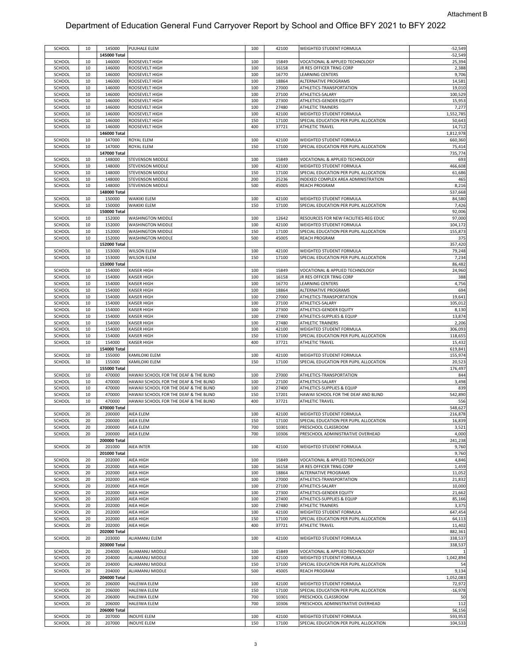| SCHOOL           |          |                  |                                          |            |                |                                                                    |                    |
|------------------|----------|------------------|------------------------------------------|------------|----------------|--------------------------------------------------------------------|--------------------|
|                  | 10       | 145000           | PUUHALE ELEM                             | 100        | 42100          | WEIGHTED STUDENT FORMULA                                           | $-52,549$          |
|                  |          | 145000 Total     |                                          |            |                |                                                                    | $-52,549$          |
|                  |          |                  |                                          |            |                |                                                                    |                    |
| SCHOOL           | 10       | 146000           | ROOSEVELT HIGH                           | 100        | 15849          | VOCATIONAL & APPLIED TECHNOLOGY                                    | 25,394             |
| SCHOOL           | 10       | 146000           | ROOSEVELT HIGH                           | 100        | 16158          | JR RES OFFICER TRNG CORP                                           | 2,388              |
|                  |          |                  |                                          |            |                |                                                                    |                    |
| SCHOOL           | 10       | 146000           | ROOSEVELT HIGH                           | 100        | 16770          | <b>LEARNING CENTERS</b>                                            | 9,706              |
| SCHOOL           | 10       | 146000           | ROOSEVELT HIGH                           | 100        | 18864          | ALTERNATIVE PROGRAMS                                               | 14,581             |
|                  |          |                  | ROOSEVELT HIGH                           |            |                |                                                                    | 19,010             |
| SCHOOL           | 10       | 146000           |                                          | 100        | 27000          | ATHLETICS-TRANSPORTATION                                           |                    |
| SCHOOL           | 10       | 146000           | ROOSEVELT HIGH                           | 100        | 27100          | ATHLETICS-SALARY                                                   | 100,529            |
| SCHOOL           | 10       | 146000           | ROOSEVELT HIGH                           | 100        | 27300          | ATHLETICS-GENDER EQUITY                                            | 15,953             |
|                  |          |                  |                                          |            |                |                                                                    |                    |
| SCHOOL           | 10       | 146000           | ROOSEVELT HIGH                           | 100        | 27480          | <b>ATHLETIC TRAINERS</b>                                           | 7,277              |
| SCHOOL           | 10       | 146000           | ROOSEVELT HIGH                           | 100        | 42100          | WEIGHTED STUDENT FORMULA                                           | 1,552,785          |
|                  |          |                  |                                          |            |                |                                                                    |                    |
| SCHOOL           | 10       | 146000           | ROOSEVELT HIGH                           | 150        | 17100          | SPECIAL EDUCATION PER PUPIL ALLOCATION                             | 50,643             |
| SCHOOL           | 10       | 146000           | ROOSEVELT HIGH                           | 400        | 37721          | ATHLETIC TRAVEL                                                    | 14,712             |
|                  |          |                  |                                          |            |                |                                                                    |                    |
|                  |          | 146000 Total     |                                          |            |                |                                                                    | 1,812,978          |
| SCHOOL           | 10       | 147000           | ROYAL ELEM                               | 100        | 42100          | WEIGHTED STUDENT FORMULA                                           | 660,360            |
|                  |          |                  |                                          |            |                |                                                                    |                    |
| SCHOOL           | 10       | 147000           | ROYAL ELEM                               | 150        | 17100          | SPECIAL EDUCATION PER PUPIL ALLOCATION                             | 75,414             |
|                  |          | 147000 Total     |                                          |            |                |                                                                    | 735,774            |
|                  |          |                  |                                          |            |                |                                                                    |                    |
| SCHOOL           | 10       | 148000           | STEVENSON MIDDLE                         | 100        | 15849          | VOCATIONAL & APPLIED TECHNOLOGY                                    | 693                |
| SCHOOL           | 10       | 148000           | STEVENSON MIDDLE                         | 100        | 42100          | WEIGHTED STUDENT FORMULA                                           | 466,608            |
|                  |          |                  |                                          |            |                |                                                                    |                    |
| SCHOOL           | 10       | 148000           | STEVENSON MIDDLE                         | 150        | 17100          | SPECIAL EDUCATION PER PUPIL ALLOCATION                             | 61,686             |
| SCHOOL           | 10       | 148000           | <b>STEVENSON MIDDLE</b>                  | 200        | 25236          | INDEXED COMPLEX AREA ADMINISTRATION                                | 465                |
|                  |          |                  |                                          |            |                |                                                                    |                    |
| SCHOOL           | 10       | 148000           | <b>STEVENSON MIDDLE</b>                  | 500        | 45005          | <b>REACH PROGRAM</b>                                               | 8,216              |
|                  |          | 148000 Total     |                                          |            |                |                                                                    | 537,668            |
|                  |          |                  |                                          |            |                |                                                                    |                    |
| SCHOOL           | 10       | 150000           | WAIKIKI ELEM                             | 100        | 42100          | WEIGHTED STUDENT FORMULA                                           | 84,580             |
| SCHOOL           | 10       | 150000           | <b>WAIKIKI ELEM</b>                      | 150        | 17100          | SPECIAL EDUCATION PER PUPIL ALLOCATION                             | 7,426              |
|                  |          |                  |                                          |            |                |                                                                    |                    |
|                  |          | 150000 Total     |                                          |            |                |                                                                    | 92,006             |
| SCHOOL           | 10       | 152000           | <b>WASHINGTON MIDDLE</b>                 | 100        | 12642          | RESOURCES FOR NEW FACILITIES-REG EDUC                              | 97,000             |
|                  |          |                  |                                          |            |                |                                                                    |                    |
| SCHOOL           | 10       | 152000           | WASHINGTON MIDDLE                        | 100        | 42100          | WEIGHTED STUDENT FORMULA                                           | 104,172            |
| SCHOOL           | 10       | 152000           | WASHINGTON MIDDLE                        | 150        | 17100          | SPECIAL EDUCATION PER PUPIL ALLOCATION                             | 155,873            |
|                  |          |                  |                                          |            |                |                                                                    |                    |
| SCHOOL           | 10       | 152000           | WASHINGTON MIDDLE                        | 500        | 45005          | <b>REACH PROGRAM</b>                                               | 375                |
|                  |          | 152000 Total     |                                          |            |                |                                                                    | 357,420            |
|                  |          |                  |                                          |            |                |                                                                    |                    |
| SCHOOL           | 10       | 153000           | <b>WILSON ELEM</b>                       | 100        | 42100          | WEIGHTED STUDENT FORMULA                                           | 79,248             |
| SCHOOL           | 10       | 153000           | <b>WILSON ELEM</b>                       | 150        | 17100          | SPECIAL EDUCATION PER PUPIL ALLOCATION                             | 7,234              |
|                  |          |                  |                                          |            |                |                                                                    |                    |
|                  |          | 153000 Total     |                                          |            |                |                                                                    | 86,482             |
| SCHOOL           | 10       | 154000           | KAISER HIGH                              | 100        | 15849          | VOCATIONAL & APPLIED TECHNOLOGY                                    | 24,960             |
|                  |          |                  |                                          |            |                |                                                                    |                    |
| SCHOOL           | 10       | 154000           | <b>KAISER HIGH</b>                       | 100        | 16158          | JR RES OFFICER TRNG CORP                                           | 388                |
| SCHOOL           | 10       | 154000           | <b>KAISER HIGH</b>                       | 100        | 16770          | <b>LEARNING CENTERS</b>                                            | 4,756              |
|                  |          |                  |                                          |            |                |                                                                    |                    |
| SCHOOL           | 10       | 154000           | <b>KAISER HIGH</b>                       | 100        | 18864          | ALTERNATIVE PROGRAMS                                               | 694                |
| SCHOOL           | 10       | 154000           | <b>KAISER HIGH</b>                       | 100        | 27000          | ATHLETICS-TRANSPORTATION                                           | 19,641             |
|                  |          |                  |                                          |            |                |                                                                    |                    |
| SCHOOL           | 10       | 154000           | KAISER HIGH                              | 100        | 27100          | ATHLETICS-SALARY                                                   | 105,012            |
| SCHOOL           | 10       | 154000           | KAISER HIGH                              | 100        | 27300          | ATHLETICS-GENDER EQUITY                                            | 8,130              |
|                  |          |                  |                                          |            |                |                                                                    |                    |
| SCHOOL           | 10       | 154000           | <b>KAISER HIGH</b>                       | 100        | 27400          | ATHLETICS-SUPPLIES & EQUIP                                         | 13,874             |
| SCHOOL           | 10       | 154000           | KAISER HIGH                              | 100        | 27480          | ATHLETIC TRAINERS                                                  | 2,206              |
|                  |          |                  |                                          |            |                |                                                                    |                    |
| SCHOOL           | 10       | 154000           | <b>KAISER HIGH</b>                       | 100        | 42100          | WEIGHTED STUDENT FORMULA                                           | 306,093            |
| SCHOOL           | 10       | 154000           | <b>KAISER HIGH</b>                       | 150        | 17100          | SPECIAL EDUCATION PER PUPIL ALLOCATION                             | 118,655            |
|                  |          |                  |                                          |            |                |                                                                    |                    |
| SCHOOL           | 10       | 154000           | <b>KAISER HIGH</b>                       | 400        | 37721          | ATHLETIC TRAVEL                                                    | 15,432             |
|                  |          | 154000 Total     |                                          |            |                |                                                                    | 619,841            |
|                  |          |                  |                                          |            |                |                                                                    |                    |
|                  |          |                  |                                          |            |                |                                                                    |                    |
| SCHOOL           | 10       | 155000           | KAMILOIKI ELEM                           | 100        | 42100          | WEIGHTED STUDENT FORMULA                                           | 155,974            |
|                  |          |                  |                                          |            |                |                                                                    |                    |
| SCHOOL           | 10       | 155000           | KAMILOIKI ELEM                           | 150        | 17100          | SPECIAL EDUCATION PER PUPIL ALLOCATION                             | 20,523             |
|                  |          | 155000 Total     |                                          |            |                |                                                                    | 176,497            |
|                  |          |                  |                                          |            |                |                                                                    |                    |
| SCHOOL           | 10       | 470000           | HAWAII SCHOOL FOR THE DEAF & THE BLIND   | 100        | 27000          | ATHLETICS-TRANSPORTATION                                           | 844                |
| SCHOOL           | 10       | 470000           | HAWAII SCHOOL FOR THE DEAF & THE BLIND   | 100        | 27100          | ATHLETICS-SALARY                                                   | 3,498              |
|                  |          | 470000           |                                          | 100        | 27400          |                                                                    |                    |
| SCHOOL           | 10       |                  | HAWAII SCHOOL FOR THE DEAF & THE BLIND   |            |                | ATHLETICS-SUPPLIES & EQUIP                                         | 839                |
| SCHOOL           | 10       | 470000           | HAWAII SCHOOL FOR THE DEAF & THE BLIND   | 150        | 17201          | HAWAII SCHOOL FOR THE DEAF AND BLIND                               | 542,890            |
|                  | 10       | 470000           | HAWAII SCHOOL FOR THE DEAF & THE BLIND   | 400        | 37721          | <b>ATHLETIC TRAVEL</b>                                             |                    |
| SCHOOL           |          |                  |                                          |            |                |                                                                    | 556                |
|                  |          | 470000 Total     |                                          |            |                |                                                                    | 548,627            |
| SCHOOL           | 20       | 200000           | AIEA ELEM                                | 100        | 42100          | WEIGHTED STUDENT FORMULA                                           | 216,878            |
|                  |          |                  |                                          |            |                |                                                                    |                    |
| SCHOOL           | 20       | 200000           | <b>AIEA ELEM</b>                         | 150        | 17100          | SPECIAL EDUCATION PER PUPIL ALLOCATION                             | 16,839             |
| SCHOOL           | 20       | 200000           | <b>AIEA ELEM</b>                         | 700        | 10301          | PRESCHOOL CLASSROOM                                                | 3,521              |
|                  |          |                  |                                          |            |                |                                                                    |                    |
| SCHOOL           | 20       | 200000           | AIEA ELEM                                | 700        | 10306          | PRESCHOOL ADMINISTRATIVE OVERHEAD                                  | 4,000              |
|                  |          | 200000 Total     |                                          |            |                |                                                                    | 241,238            |
|                  |          |                  |                                          |            |                |                                                                    |                    |
| SCHOOL           | 20       | 201000           | <b>AIEA INTER</b>                        | 100        | 42100          | WEIGHTED STUDENT FORMULA                                           | 9,760              |
|                  |          | 201000 Total     |                                          |            |                |                                                                    | 9,760              |
| SCHOOL           | 20       | 202000           | AIEA HIGH                                | 100        | 15849          | VOCATIONAL & APPLIED TECHNOLOGY                                    |                    |
|                  |          |                  |                                          |            |                |                                                                    | 4,846              |
| SCHOOL           | 20       | 202000           | AIEA HIGH                                | 100        | 16158          | JR RES OFFICER TRNG CORP                                           | 1,459              |
| SCHOOL           | 20       | 202000           | AIEA HIGH                                | 100        | 18864          | ALTERNATIVE PROGRAMS                                               | 11,052             |
|                  |          |                  |                                          |            |                |                                                                    |                    |
| SCHOOL           | 20       | 202000           | AIEA HIGH                                | 100        | 27000          | ATHLETICS-TRANSPORTATION                                           | 21,832             |
| SCHOOL           | 20       | 202000           | AIEA HIGH                                | 100        | 27100          | ATHLETICS-SALARY                                                   | 10,000             |
|                  |          |                  |                                          |            |                |                                                                    |                    |
| SCHOOL           | 20       | 202000           | AIEA HIGH                                | 100        | 27300          | ATHLETICS-GENDER EQUITY                                            | 21,662             |
| SCHOOL           | 20       | 202000           | AIEA HIGH                                | 100        | 27400          | ATHLETICS-SUPPLIES & EQUIP                                         | 85,166             |
|                  |          |                  |                                          |            |                |                                                                    |                    |
| SCHOOL           | 20       | 202000           | AIEA HIGH                                | 100        | 27480          | <b>ATHLETIC TRAINERS</b>                                           | 3,375              |
| SCHOOL           | 20       | 202000           | AIEA HIGH                                | 100        | 42100          | WEIGHTED STUDENT FORMULA                                           | 647,454            |
|                  |          |                  |                                          |            |                |                                                                    |                    |
| SCHOOL           | 20       | 202000           | AIEA HIGH                                | 150        | 17100          | SPECIAL EDUCATION PER PUPIL ALLOCATION                             | 64,113             |
| SCHOOL           | 20       | 202000           | AIEA HIGH                                | 400        | 37721          | ATHLETIC TRAVEL                                                    | 11,402             |
|                  |          |                  |                                          |            |                |                                                                    |                    |
|                  |          | 202000 Total     |                                          |            |                |                                                                    | 882,361            |
| SCHOOL           | 20       | 203000           | ALIAMANU ELEM                            | 100        | 42100          | WEIGHTED STUDENT FORMULA                                           | 338,537            |
|                  |          |                  |                                          |            |                |                                                                    |                    |
|                  |          | 203000 Total     |                                          |            |                |                                                                    | 338,537            |
| SCHOOL           | 20       | 204000           | ALIAMANU MIDDLE                          | 100        | 15849          | VOCATIONAL & APPLIED TECHNOLOGY                                    |                    |
|                  |          |                  |                                          |            |                |                                                                    |                    |
| SCHOOL           | 20       | 204000           | ALIAMANU MIDDLE                          | 100        | 42100          | WEIGHTED STUDENT FORMULA                                           | 1,042,894          |
| SCHOOL           | 20       | 204000           | ALIAMANU MIDDLE                          | 150        | 17100          | SPECIAL EDUCATION PER PUPIL ALLOCATION                             | 54                 |
|                  | 20       |                  |                                          |            |                |                                                                    |                    |
| SCHOOL           |          | 204000           | ALIAMANU MIDDLE                          | 500        | 45005          | <b>REACH PROGRAM</b>                                               | 9,134              |
|                  |          | 204000 Total     |                                          |            |                |                                                                    | 1,052,083          |
| SCHOOL           | 20       | 206000           | <b>HALEIWA ELEM</b>                      | 100        | 42100          | WEIGHTED STUDENT FORMULA                                           | 72,972             |
|                  |          |                  |                                          |            |                |                                                                    |                    |
| SCHOOL           | 20       | 206000           | <b>HALEIWA ELEM</b>                      | 150        | 17100          | SPECIAL EDUCATION PER PUPIL ALLOCATION                             | $-16,978$          |
| SCHOOL           | 20       | 206000           | <b>HALEIWA ELEM</b>                      | 700        | 10301          | PRESCHOOL CLASSROOM                                                | 50                 |
|                  |          |                  |                                          |            |                |                                                                    |                    |
| SCHOOL           | 20       | 206000           | <b>HALEIWA ELEM</b>                      | 700        | 10306          | PRESCHOOL ADMINISTRATIVE OVERHEAD                                  | 112                |
|                  |          | 206000 Total     |                                          |            |                |                                                                    | 56,156             |
|                  |          |                  |                                          |            |                |                                                                    |                    |
| SCHOOL<br>SCHOOL | 20<br>20 | 207000<br>207000 | <b>INOUYE ELEM</b><br><b>INOUYE ELEM</b> | 100<br>150 | 42100<br>17100 | WEIGHTED STUDENT FORMULA<br>SPECIAL EDUCATION PER PUPIL ALLOCATION | 593,953<br>104,533 |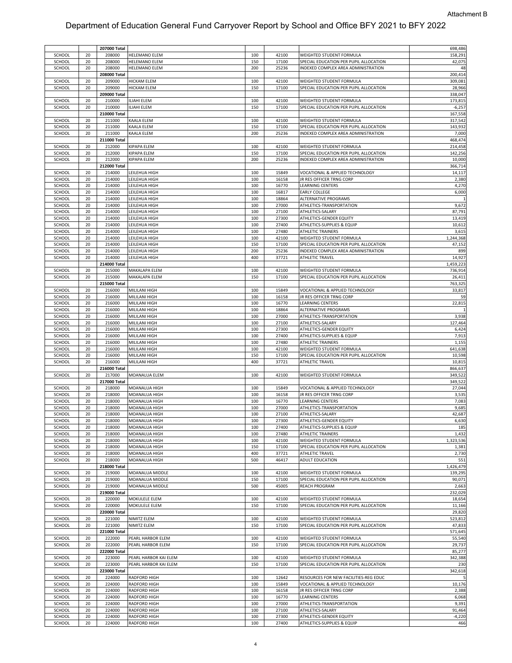|        |    | 207000 Total |                       |     |       |                                        | 698,486   |
|--------|----|--------------|-----------------------|-----|-------|----------------------------------------|-----------|
| SCHOOL | 20 | 208000       | HELEMANO ELEM         | 100 | 42100 | WEIGHTED STUDENT FORMULA               | 158,291   |
| SCHOOL | 20 | 208000       | HELEMANO ELEM         | 150 | 17100 | SPECIAL EDUCATION PER PUPIL ALLOCATION | 42,075    |
| SCHOOL | 20 | 208000       | HELEMANO ELEM         | 200 | 25236 | INDEXED COMPLEX AREA ADMINISTRATION    | 48        |
|        |    | 208000 Total |                       |     |       |                                        | 200,414   |
| SCHOOL | 20 | 209000       | HICKAM ELEM           | 100 | 42100 | WEIGHTED STUDENT FORMULA               | 309,081   |
| SCHOOL | 20 | 209000       | <b>HICKAM ELEM</b>    | 150 | 17100 | SPECIAL EDUCATION PER PUPIL ALLOCATION | 28,966    |
|        |    | 209000 Total |                       |     |       |                                        | 338,047   |
| SCHOOL | 20 | 210000       | ILIAHI ELEM           | 100 | 42100 | WEIGHTED STUDENT FORMULA               | 173,815   |
|        |    | 210000       |                       |     | 17100 |                                        |           |
| SCHOOL | 20 |              | ILIAHI ELEM           | 150 |       | SPECIAL EDUCATION PER PUPIL ALLOCATION | $-6,257$  |
|        |    | 210000 Total |                       |     |       |                                        | 167,558   |
| SCHOOL | 20 | 211000       | KAALA ELEM            | 100 | 42100 | WEIGHTED STUDENT FORMULA               | 317,542   |
| SCHOOL | 20 | 211000       | KAALA ELEM            | 150 | 17100 | SPECIAL EDUCATION PER PUPIL ALLOCATION | 143,932   |
| SCHOOL | 20 | 211000       | KAALA ELEM            | 200 | 25236 | INDEXED COMPLEX AREA ADMINISTRATION    | 7,000     |
|        |    | 211000 Total |                       |     |       |                                        | 468,474   |
| SCHOOL | 20 | 212000       | KIPAPA ELEM           | 100 | 42100 | WEIGHTED STUDENT FORMULA               | 214,458   |
| SCHOOL | 20 | 212000       | KIPAPA ELEM           | 150 | 17100 | SPECIAL EDUCATION PER PUPIL ALLOCATION | 142,256   |
| SCHOOL | 20 | 212000       | KIPAPA ELEM           | 200 | 25236 | INDEXED COMPLEX AREA ADMINISTRATION    | 10,000    |
|        |    | 212000 Total |                       |     |       |                                        | 366,714   |
| SCHOOL | 20 | 214000       | LEILEHUA HIGH         | 100 | 15849 | VOCATIONAL & APPLIED TECHNOLOGY        | 14,117    |
|        |    |              |                       |     |       |                                        |           |
| SCHOOL | 20 | 214000       | LEILEHUA HIGH         | 100 | 16158 | JR RES OFFICER TRNG CORP               | 2,380     |
| SCHOOL | 20 | 214000       | LEILEHUA HIGH         | 100 | 16770 | LEARNING CENTERS                       | 4,270     |
| SCHOOL | 20 | 214000       | LEILEHUA HIGH         | 100 | 16817 | EARLY COLLEGE                          | 6,000     |
| SCHOOL | 20 | 214000       | LEILEHUA HIGH         | 100 | 18864 | ALTERNATIVE PROGRAMS                   |           |
| SCHOOL | 20 | 214000       | LEILEHUA HIGH         | 100 | 27000 | ATHLETICS-TRANSPORTATION               | 9,672     |
| SCHOOL | 20 | 214000       | LEILEHUA HIGH         | 100 | 27100 | ATHLETICS-SALARY                       | 87,791    |
| SCHOOL | 20 | 214000       | LEILEHUA HIGH         | 100 | 27300 | ATHLETICS-GENDER EQUITY                | 13,419    |
| SCHOOL | 20 | 214000       | LEILEHUA HIGH         | 100 | 27400 | ATHLETICS-SUPPLIES & EQUIP             | 10,612    |
| SCHOOL | 20 | 214000       | LEILEHUA HIGH         | 100 | 27480 | ATHLETIC TRAINERS                      | 3,615     |
| SCHOOL | 20 | 214000       | LEILEHUA HIGH         | 100 | 42100 | WEIGHTED STUDENT FORMULA               | 1,244,368 |
|        |    |              |                       |     |       |                                        | 47,152    |
| SCHOOL | 20 | 214000       | LEILEHUA HIGH         | 150 | 17100 | SPECIAL EDUCATION PER PUPIL ALLOCATION |           |
| SCHOOL | 20 | 214000       | LEILEHUA HIGH         | 200 | 25236 | INDEXED COMPLEX AREA ADMINISTRATION    | 899       |
| SCHOOL | 20 | 214000       | LEILEHUA HIGH         | 400 | 37721 | <b>ATHLETIC TRAVEL</b>                 | 14,927    |
|        |    | 214000 Total |                       |     |       |                                        | 1,459,223 |
| SCHOOL | 20 | 215000       | MAKALAPA ELEM         | 100 | 42100 | WEIGHTED STUDENT FORMULA               | 736,914   |
| SCHOOL | 20 | 215000       | MAKALAPA ELEM         | 150 | 17100 | SPECIAL EDUCATION PER PUPIL ALLOCATION | 26,411    |
|        |    | 215000 Total |                       |     |       |                                        | 763,325   |
| SCHOOL | 20 | 216000       | MILILANI HIGH         | 100 | 15849 | VOCATIONAL & APPLIED TECHNOLOGY        | 33,817    |
| SCHOOL | 20 | 216000       | MILILANI HIGH         | 100 | 16158 | JR RES OFFICER TRNG CORP               | 59        |
|        |    |              |                       |     |       |                                        |           |
| SCHOOL | 20 | 216000       | MILILANI HIGH         | 100 | 16770 | LEARNING CENTERS                       | 22,815    |
| SCHOOL | 20 | 216000       | MILILANI HIGH         | 100 | 18864 | ALTERNATIVE PROGRAMS                   |           |
| SCHOOL | 20 | 216000       | MILILANI HIGH         | 100 | 27000 | ATHLETICS-TRANSPORTATION               | 3,938     |
| SCHOOL | 20 | 216000       | MILILANI HIGH         | 100 | 27100 | ATHLETICS-SALARY                       | 127,464   |
| SCHOOL | 20 | 216000       | MILILANI HIGH         | 100 | 27300 | ATHLETICS-GENDER EQUITY                | 6,424     |
| SCHOOL | 20 | 216000       | MILILANI HIGH         | 100 | 27400 | ATHLETICS-SUPPLIES & EQUIP             | 7,913     |
|        | 20 |              |                       |     |       |                                        |           |
|        |    |              |                       |     |       |                                        |           |
| SCHOOL |    | 216000       | MILILANI HIGH         | 100 | 27480 | <b>ATHLETIC TRAINERS</b>               | 1,155     |
| SCHOOL | 20 | 216000       | MILILANI HIGH         | 100 | 42100 | WEIGHTED STUDENT FORMULA               | 641,638   |
| SCHOOL | 20 | 216000       | MILILANI HIGH         | 150 | 17100 | SPECIAL EDUCATION PER PUPIL ALLOCATION | 10,598    |
| SCHOOL | 20 | 216000       | MILILANI HIGH         | 400 | 37721 | <b>ATHLETIC TRAVEL</b>                 | 10,815    |
|        |    | 216000 Total |                       |     |       |                                        | 866,637   |
| SCHOOL | 20 | 217000       | MOANALUA ELEM         | 100 | 42100 | WEIGHTED STUDENT FORMULA               | 349,522   |
|        |    | 217000 Total |                       |     |       |                                        | 349,522   |
| SCHOOL | 20 | 218000       | MOANALUA HIGH         | 100 | 15849 | VOCATIONAL & APPLIED TECHNOLOGY        | 27,044    |
| SCHOOL | 20 | 218000       | MOANALUA HIGH         | 100 | 16158 | JR RES OFFICER TRNG CORP               | 3,535     |
| SCHOOL | 20 | 218000       | MOANALUA HIGH         | 100 | 16770 | LEARNING CENTERS                       | 7,083     |
| SCHOOL | 20 | 218000       | MOANALUA HIGH         | 100 | 27000 | ATHLETICS-TRANSPORTATION               | 9,685     |
| SCHOOL | 20 | 218000       | MOANALUA HIGH         | 100 | 27100 | ATHLETICS-SALARY                       | 42,687    |
|        |    |              |                       |     |       |                                        |           |
| SCHOOL | 20 | 218000       | MOANALUA HIGH         | 100 | 27300 | ATHLETICS-GENDER EQUITY                | 6,630     |
| SCHOOL | 20 | 218000       | MOANALUA HIGH         | 100 | 27400 | ATHLETICS-SUPPLIES & EQUIP             | 185       |
| SCHOOL | 20 | 218000       | MOANALUA HIGH         | 100 | 27480 | ATHLETIC TRAINERS                      | 1,432     |
| SCHOOL | 20 | 218000       | MOANALUA HIGH         | 100 | 42100 | WEIGHTED STUDENT FORMULA               | 1,323,536 |
| SCHOOL | 20 | 218000       | MOANALUA HIGH         | 150 | 17100 | SPECIAL EDUCATION PER PUPIL ALLOCATION | 1,381     |
| SCHOOL | 20 | 218000       | MOANALUA HIGH         | 400 | 37721 | <b>ATHLETIC TRAVEL</b>                 | 2,730     |
| SCHOOL | 20 | 218000       | MOANALUA HIGH         | 500 | 46417 | ADULT EDUCATION                        | 551       |
|        |    | 218000 Total |                       |     |       |                                        | 1,426,479 |
| SCHOOL | 20 | 219000       | MOANALUA MIDDLE       | 100 | 42100 | WEIGHTED STUDENT FORMULA               | 139,295   |
| SCHOOL | 20 | 219000       | MOANALUA MIDDLE       | 150 | 17100 | SPECIAL EDUCATION PER PUPIL ALLOCATION | 90,071    |
| SCHOOL | 20 | 219000       | MOANALUA MIDDLE       | 500 | 45005 | REACH PROGRAM                          | 2,663     |
|        |    | 219000 Total |                       |     |       |                                        | 232,029   |
|        |    |              |                       |     |       |                                        |           |
| SCHOOL | 20 | 220000       | MOKULELE ELEM         | 100 | 42100 | WEIGHTED STUDENT FORMULA               | 18,654    |
| SCHOOL | 20 | 220000       | MOKULELE ELEM         | 150 | 17100 | SPECIAL EDUCATION PER PUPIL ALLOCATION | 11,166    |
|        |    | 220000 Total |                       |     |       |                                        | 29,820    |
| SCHOOL | 20 | 221000       | NIMITZ ELEM           | 100 | 42100 | WEIGHTED STUDENT FORMULA               | 523,812   |
| SCHOOL | 20 | 221000       | NIMITZ ELEM           | 150 | 17100 | SPECIAL EDUCATION PER PUPIL ALLOCATION | 47,833    |
|        |    | 221000 Total |                       |     |       |                                        | 571,645   |
| SCHOOL | 20 | 222000       | PEARL HARBOR ELEM     | 100 | 42100 | WEIGHTED STUDENT FORMULA               | 55,540    |
| SCHOOL | 20 | 222000       | PEARL HARBOR ELEM     | 150 | 17100 | SPECIAL EDUCATION PER PUPIL ALLOCATION | 29,737    |
|        |    | 222000 Total |                       |     |       |                                        | 85,277    |
|        | 20 | 223000       |                       | 100 | 42100 |                                        |           |
| SCHOOL |    |              | PEARL HARBOR KAI ELEM |     |       | WEIGHTED STUDENT FORMULA               | 342,388   |
| SCHOOL | 20 | 223000       | PEARL HARBOR KAI ELEM | 150 | 17100 | SPECIAL EDUCATION PER PUPIL ALLOCATION | 230       |
|        |    | 223000 Total |                       |     |       |                                        | 342,618   |
| SCHOOL | 20 | 224000       | <b>RADFORD HIGH</b>   | 100 | 12642 | RESOURCES FOR NEW FACILITIES-REG EDUC  |           |
| SCHOOL | 20 | 224000       | <b>RADFORD HIGH</b>   | 100 | 15849 | VOCATIONAL & APPLIED TECHNOLOGY        | 10,176    |
| SCHOOL | 20 | 224000       | RADFORD HIGH          | 100 | 16158 | JR RES OFFICER TRNG CORP               | 2,388     |
| SCHOOL | 20 | 224000       | RADFORD HIGH          | 100 | 16770 | LEARNING CENTERS                       | 6,068     |
| SCHOOL | 20 | 224000       | <b>RADFORD HIGH</b>   | 100 | 27000 | ATHLETICS-TRANSPORTATION               | 9,391     |
| SCHOOL | 20 | 224000       | RADFORD HIGH          | 100 | 27100 | ATHLETICS-SALARY                       | 91,464    |
| SCHOOL | 20 | 224000       | <b>RADFORD HIGH</b>   | 100 | 27300 | ATHLETICS-GENDER EQUITY                | $-4,220$  |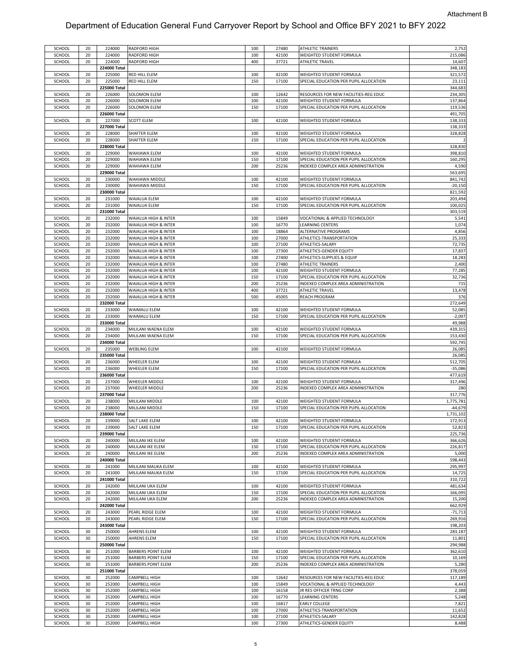| SCHOOL | 20 | 224000       | <b>RADFORD HIGH</b>       | 100 | 27480 | <b>ATHLETIC TRAINERS</b>               | 2,752            |
|--------|----|--------------|---------------------------|-----|-------|----------------------------------------|------------------|
| SCHOOL | 20 | 224000       |                           | 100 | 42100 | WEIGHTED STUDENT FORMULA               | 215,086          |
|        |    |              | <b>RADFORD HIGH</b>       |     |       |                                        |                  |
| SCHOOL | 20 | 224000       | RADFORD HIGH              | 400 | 37721 | ATHLETIC TRAVEL                        | 14,607           |
|        |    | 224000 Total |                           |     |       |                                        | 348,183          |
|        |    |              |                           |     |       |                                        |                  |
| SCHOOL | 20 | 225000       | RED HILL ELEM             | 100 | 42100 | WEIGHTED STUDENT FORMULA               | 321,572          |
| SCHOOL | 20 | 225000       | RED HILL ELEM             | 150 | 17100 | SPECIAL EDUCATION PER PUPIL ALLOCATION | 23,111           |
|        |    |              |                           |     |       |                                        |                  |
|        |    | 225000 Total |                           |     |       |                                        | 344,683          |
| SCHOOL | 20 | 226000       | SOLOMON ELEM              | 100 | 12642 | RESOURCES FOR NEW FACILITIES-REG EDUC  | 234,305          |
| SCHOOL | 20 | 226000       | SOLOMON ELEM              | 100 | 42100 | WEIGHTED STUDENT FORMULA               | 137,864          |
|        |    |              |                           |     |       |                                        |                  |
| SCHOOL | 20 | 226000       | <b>SOLOMON ELEM</b>       | 150 | 17100 | SPECIAL EDUCATION PER PUPIL ALLOCATION | 119,536          |
|        |    | 226000 Total |                           |     |       |                                        | 491,705          |
|        |    |              |                           |     |       |                                        |                  |
| SCHOOL | 20 | 227000       | <b>SCOTT ELEM</b>         | 100 | 42100 | WEIGHTED STUDENT FORMULA               | 138,333          |
|        |    | 227000 Total |                           |     |       |                                        | 138,333          |
| SCHOOL | 20 | 228000       | SHAFTER ELEM              | 100 | 42100 | WEIGHTED STUDENT FORMULA               | 328,828          |
|        |    |              |                           |     |       |                                        |                  |
| SCHOOL | 20 | 228000       | SHAFTER ELEM              | 150 | 17100 | SPECIAL EDUCATION PER PUPIL ALLOCATION |                  |
|        |    | 228000 Total |                           |     |       |                                        | 328,830          |
|        |    |              |                           |     |       |                                        |                  |
| SCHOOL | 20 | 229000       | WAHIAWA ELEM              | 100 | 42100 | WEIGHTED STUDENT FORMULA               | 398,810          |
| SCHOOL | 20 | 229000       | WAHIAWA ELEM              | 150 | 17100 | SPECIAL EDUCATION PER PUPIL ALLOCATION | 160,295          |
|        |    |              |                           |     |       |                                        |                  |
| SCHOOL | 20 | 229000       | WAHIAWA ELEM              | 200 | 25236 | INDEXED COMPLEX AREA ADMINISTRATION    | 4,590            |
|        |    | 229000 Total |                           |     |       |                                        | 563,695          |
| SCHOOL | 20 | 230000       | WAHIAWA MIDDLE            | 100 | 42100 | WEIGHTED STUDENT FORMULA               | 841,742          |
|        |    |              |                           |     |       |                                        |                  |
| SCHOOL | 20 | 230000       | WAHIAWA MIDDLE            | 150 | 17100 | SPECIAL EDUCATION PER PUPIL ALLOCATION | $-20,150$        |
|        |    | 230000 Total |                           |     |       |                                        | 821,592          |
|        |    |              |                           |     |       |                                        |                  |
| SCHOOL | 20 | 231000       | WAIALUA ELEM              | 100 | 42100 | WEIGHTED STUDENT FORMULA               | 203,494          |
| SCHOOL | 20 | 231000       | <b>WAIALUA ELEM</b>       | 150 | 17100 | SPECIAL EDUCATION PER PUPIL ALLOCATION | 100,025          |
|        |    | 231000 Total |                           |     |       |                                        |                  |
|        |    |              |                           |     |       |                                        | 303,519          |
| SCHOOL | 20 | 232000       | WAIALUA HIGH & INTER      | 100 | 15849 | VOCATIONAL & APPLIED TECHNOLOGY        | 5,541            |
| SCHOOL | 20 | 232000       | WAIALUA HIGH & INTER      | 100 | 16770 | <b>LEARNING CENTERS</b>                | 1,074            |
|        |    |              |                           |     |       |                                        |                  |
| SCHOOL | 20 | 232000       | WAIALUA HIGH & INTER      | 100 | 18864 | ALTERNATIVE PROGRAMS                   | 4,856            |
| SCHOOL | 20 | 232000       | WAIALUA HIGH & INTER      | 100 | 27000 | ATHLETICS-TRANSPORTATION               | 25,333           |
|        |    |              |                           |     |       |                                        |                  |
| SCHOOL | 20 | 232000       | WAIALUA HIGH & INTER      | 100 | 27100 | ATHLETICS-SALARY                       | 72,735           |
| SCHOOL | 20 | 232000       | WAIALUA HIGH & INTER      | 100 | 27300 | ATHLETICS-GENDER EQUITY                | 17,837           |
|        |    |              |                           |     |       |                                        |                  |
| SCHOOL | 20 | 232000       | WAIALUA HIGH & INTER      | 100 | 27400 | ATHLETICS-SUPPLIES & EQUIP             | 18,283           |
| SCHOOL | 20 | 232000       | WAIALUA HIGH & INTER      | 100 | 27480 | <b>ATHLETIC TRAINERS</b>               | 2,400            |
| SCHOOL | 20 | 232000       | WAIALUA HIGH & INTER      | 100 | 42100 | WEIGHTED STUDENT FORMULA               | 77,285           |
|        |    |              |                           |     |       |                                        |                  |
| SCHOOL | 20 | 232000       | WAIALUA HIGH & INTER      | 150 | 17100 | SPECIAL EDUCATION PER PUPIL ALLOCATION | 32,736           |
| SCHOOL | 20 | 232000       | WAIALUA HIGH & INTER      | 200 | 25236 | INDEXED COMPLEX AREA ADMINISTRATION    | 715              |
|        |    |              |                           |     |       |                                        |                  |
| SCHOOL | 20 | 232000       | WAIALUA HIGH & INTER      | 400 | 37721 | ATHLETIC TRAVEL                        | 13,478           |
| SCHOOL | 20 | 232000       | WAIALUA HIGH & INTER      | 500 | 45005 | <b>REACH PROGRAM</b>                   | 376              |
|        |    |              |                           |     |       |                                        |                  |
|        |    | 232000 Total |                           |     |       |                                        | 272,649          |
| SCHOOL | 20 | 233000       | WAIMALU ELEM              | 100 | 42100 | WEIGHTED STUDENT FORMULA               | 52,085           |
| SCHOOL | 20 | 233000       | WAIMALU ELEM              | 150 | 17100 | SPECIAL EDUCATION PER PUPIL ALLOCATION | $-2,097$         |
|        |    |              |                           |     |       |                                        |                  |
|        |    | 233000 Total |                           |     |       |                                        | 49,988           |
| SCHOOL | 20 | 234000       | MILILANI WAENA ELEM       | 100 | 42100 | WEIGHTED STUDENT FORMULA               | 439,315          |
|        |    |              |                           |     |       |                                        |                  |
|        |    |              |                           |     |       |                                        |                  |
| SCHOOL | 20 | 234000       | MILILANI WAENA ELEM       | 150 | 17100 | SPECIAL EDUCATION PER PUPIL ALLOCATION | 153,430          |
|        |    | 234000 Total |                           |     |       |                                        |                  |
|        |    |              |                           |     |       |                                        | 592,745          |
| SCHOOL | 20 | 235000       | <b>WEBLING ELEM</b>       | 100 | 42100 | WEIGHTED STUDENT FORMULA               | 26,085           |
|        |    | 235000 Total |                           |     |       |                                        | 26,085           |
|        |    |              |                           |     |       |                                        |                  |
| SCHOOL | 20 | 236000       | WHEELER ELEM              | 100 | 42100 | WEIGHTED STUDENT FORMULA               | 512,705          |
| SCHOOL | 20 | 236000       | WHEELER ELEM              | 150 | 17100 | SPECIAL EDUCATION PER PUPIL ALLOCATION | $-35,086$        |
|        |    |              |                           |     |       |                                        |                  |
|        |    | 236000 Total |                           |     |       |                                        | 477,619          |
| SCHOOL | 20 | 237000       | WHEELER MIDDLE            | 100 | 42100 | WEIGHTED STUDENT FORMULA               | 317,496          |
|        |    |              |                           | 200 |       | INDEXED COMPLEX AREA ADMINISTRATION    |                  |
| SCHOOL | 20 | 237000       | WHEELER MIDDLE            |     | 25236 |                                        | 280              |
|        |    | 237000 Total |                           |     |       |                                        | 317,776          |
| SCHOOL | 20 | 238000       | MILILANI MIDDLE           | 100 | 42100 | WEIGHTED STUDENT FORMULA               | 1,775,781        |
|        |    |              |                           |     |       |                                        |                  |
| SCHOOL | 20 | 238000       | MILILANI MIDDLE           | 150 | 17100 | SPECIAL EDUCATION PER PUPIL ALLOCATION | $-44,679$        |
|        |    | 238000 Total |                           |     |       |                                        | 1,731,102        |
| SCHOOL | 20 | 239000       |                           | 100 | 42100 |                                        |                  |
|        |    |              | SALT LAKE ELEM            |     |       | WEIGHTED STUDENT FORMULA               | 172,913          |
| SCHOOL | 20 | 239000       | SALT LAKE ELEM            | 150 | 17100 | SPECIAL EDUCATION PER PUPIL ALLOCATION | 52,823           |
|        |    | 239000 Total |                           |     |       |                                        | 225,736          |
|        |    |              |                           |     |       |                                        |                  |
| SCHOOL | 20 | 240000       | MILILANI IKE ELEM         | 100 | 42100 | WEIGHTED STUDENT FORMULA               | 366,626          |
| SCHOOL | 20 | 240000       | MILILANI IKE ELEM         | 150 | 17100 | SPECIAL EDUCATION PER PUPIL ALLOCATION | 226,817          |
| SCHOOL | 20 | 240000       | MILILANI IKE ELEM         | 200 | 25236 | INDEXED COMPLEX AREA ADMINISTRATION    |                  |
|        |    |              |                           |     |       |                                        | 5,000            |
|        |    | 240000 Total |                           |     |       |                                        | 598,443          |
| SCHOOL | 20 | 241000       | MILILANI MAUKA ELEM       | 100 | 42100 | WEIGHTED STUDENT FORMULA               | 295,997          |
|        |    |              |                           |     |       |                                        |                  |
| SCHOOL | 20 | 241000       | MILILANI MAUKA ELEM       | 150 | 17100 | SPECIAL EDUCATION PER PUPIL ALLOCATION | 14,725           |
|        |    | 241000 Total |                           |     |       |                                        | 310,722          |
|        |    |              |                           |     |       |                                        |                  |
| SCHOOL | 20 | 242000       | MILILANI UKA ELEM         | 100 | 42100 | WEIGHTED STUDENT FORMULA               | 481,634          |
| SCHOOL | 20 | 242000       | MILILANI UKA ELEM         | 150 | 17100 | SPECIAL EDUCATION PER PUPIL ALLOCATION | 166,095          |
| SCHOOL | 20 | 242000       | MILILANI UKA ELEM         | 200 | 25236 | INDEXED COMPLEX AREA ADMINISTRATION    |                  |
|        |    |              |                           |     |       |                                        | 15,200           |
|        |    | 242000 Total |                           |     |       |                                        | 662,929          |
| SCHOOL | 20 | 243000       | PEARL RIDGE ELEM          | 100 | 42100 | WEIGHTED STUDENT FORMULA               | $-71,713$        |
|        |    |              |                           |     |       |                                        |                  |
| SCHOOL | 20 | 243000       | PEARL RIDGE ELEM          | 150 | 17100 | SPECIAL EDUCATION PER PUPIL ALLOCATION | 269,916          |
|        |    | 243000 Total |                           |     |       |                                        | 198,203          |
|        | 30 |              |                           | 100 | 42100 |                                        |                  |
| SCHOOL |    | 250000       | <b>AHRENS ELEM</b>        |     |       | WEIGHTED STUDENT FORMULA               | 283,187          |
| SCHOOL | 30 | 250000       | <b>AHRENS ELEM</b>        | 150 | 17100 | SPECIAL EDUCATION PER PUPIL ALLOCATION | 11,801           |
|        |    | 250000 Total |                           |     |       |                                        | 294,988          |
|        |    |              |                           |     |       |                                        |                  |
| SCHOOL | 30 | 251000       | <b>BARBERS POINT ELEM</b> | 100 | 42100 | WEIGHTED STUDENT FORMULA               | 362,610          |
| SCHOOL | 30 | 251000       | <b>BARBERS POINT ELEM</b> | 150 | 17100 | SPECIAL EDUCATION PER PUPIL ALLOCATION | 10,169           |
|        |    |              |                           |     |       |                                        |                  |
| SCHOOL | 30 | 251000       | <b>BARBERS POINT ELEM</b> | 200 | 25236 | INDEXED COMPLEX AREA ADMINISTRATION    | 5,280            |
|        |    | 251000 Total |                           |     |       |                                        | 378,059          |
| SCHOOL | 30 | 252000       | CAMPBELL HIGH             | 100 | 12642 | RESOURCES FOR NEW FACILITIES-REG EDUC  | 117,189          |
|        |    |              |                           |     |       |                                        |                  |
| SCHOOL | 30 | 252000       | CAMPBELL HIGH             | 100 | 15849 | VOCATIONAL & APPLIED TECHNOLOGY        | 4,443            |
| SCHOOL | 30 | 252000       | CAMPBELL HIGH             | 100 | 16158 | JR RES OFFICER TRNG CORP               | 2,388            |
|        |    |              |                           |     |       |                                        |                  |
| SCHOOL | 30 | 252000       | <b>CAMPBELL HIGH</b>      | 100 | 16770 | <b>LEARNING CENTERS</b>                | 5,248            |
| SCHOOL | 30 | 252000       | CAMPBELL HIGH             | 100 | 16817 | <b>EARLY COLLEGE</b>                   | 7,821            |
|        |    |              |                           |     |       |                                        |                  |
| SCHOOL | 30 | 252000       | <b>CAMPBELL HIGH</b>      | 100 | 27000 | ATHLETICS-TRANSPORTATION               | 11,652           |
| SCHOOL | 30 | 252000       | <b>CAMPBELL HIGH</b>      | 100 | 27100 | ATHLETICS-SALARY                       | 142,828<br>8,488 |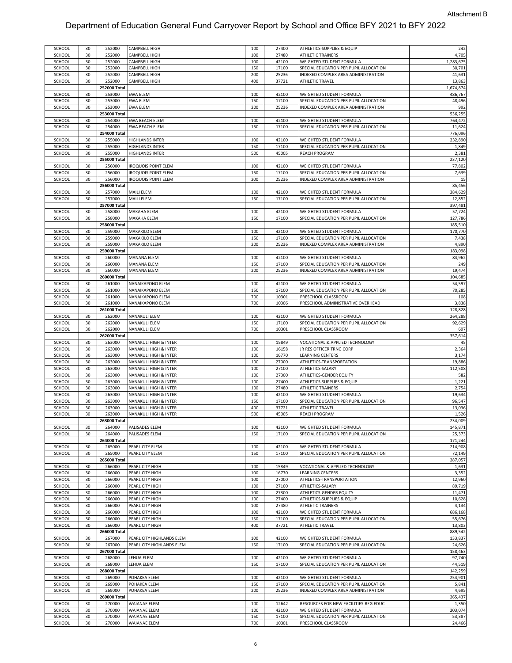| SCHOOL | 30 | 252000       | CAMPBELL HIGH                    | 100 | 27400 | ATHLETICS-SUPPLIES & EQUIP             | 242       |
|--------|----|--------------|----------------------------------|-----|-------|----------------------------------------|-----------|
| SCHOOL | 30 | 252000       | CAMPBELL HIGH                    | 100 | 27480 | ATHLETIC TRAINERS                      | 4,705     |
|        |    |              |                                  |     | 42100 |                                        |           |
| SCHOOL | 30 | 252000       | CAMPBELL HIGH                    | 100 |       | WEIGHTED STUDENT FORMULA               | 1,283,675 |
| SCHOOL | 30 | 252000       | CAMPBELL HIGH                    | 150 | 17100 | SPECIAL EDUCATION PER PUPIL ALLOCATION | 30,701    |
| SCHOOL | 30 | 252000       | CAMPBELL HIGH                    | 200 | 25236 | INDEXED COMPLEX AREA ADMINISTRATION    | 41,631    |
| SCHOOL | 30 | 252000       | CAMPBELL HIGH                    | 400 | 37721 | ATHLETIC TRAVEL                        | 13,863    |
|        |    |              |                                  |     |       |                                        | 1,674,874 |
|        |    | 252000 Total |                                  |     |       |                                        |           |
| SCHOOL | 30 | 253000       | EWA ELEM                         | 100 | 42100 | WEIGHTED STUDENT FORMULA               | 486,767   |
| SCHOOL | 30 | 253000       | EWA ELEM                         | 150 | 17100 | SPECIAL EDUCATION PER PUPIL ALLOCATION | 48,496    |
| SCHOOL | 30 | 253000       | EWA ELEM                         | 200 | 25236 | INDEXED COMPLEX AREA ADMINISTRATION    | 992       |
|        |    |              |                                  |     |       |                                        |           |
|        |    | 253000 Total |                                  |     |       |                                        | 536,255   |
| SCHOOL | 30 | 254000       | EWA BEACH ELEM                   | 100 | 42100 | WEIGHTED STUDENT FORMULA               | 764,472   |
| SCHOOL | 30 | 254000       | <b>EWA BEACH ELEM</b>            | 150 | 17100 | SPECIAL EDUCATION PER PUPIL ALLOCATION | 11,624    |
|        |    | 254000 Total |                                  |     |       |                                        | 776,096   |
|        |    |              |                                  |     |       |                                        |           |
| SCHOOL | 30 | 255000       | <b>HIGHLANDS INTER</b>           | 100 | 42100 | WEIGHTED STUDENT FORMULA               | 232,890   |
| SCHOOL | 30 | 255000       | <b>HIGHLANDS INTER</b>           | 150 | 17100 | SPECIAL EDUCATION PER PUPIL ALLOCATION | 1,849     |
| SCHOOL | 30 | 255000       | HIGHLANDS INTER                  | 500 | 45005 | REACH PROGRAM                          | 2,381     |
|        |    | 255000 Total |                                  |     |       |                                        | 237,120   |
|        |    |              |                                  |     |       |                                        |           |
| SCHOOL | 30 | 256000       | <b>IROQUOIS POINT ELEM</b>       | 100 | 42100 | WEIGHTED STUDENT FORMULA               | 77,802    |
| SCHOOL | 30 | 256000       | <b>IROQUOIS POINT ELEM</b>       | 150 | 17100 | SPECIAL EDUCATION PER PUPIL ALLOCATION | 7,639     |
| SCHOOL | 30 | 256000       | <b>IROQUOIS POINT ELEM</b>       | 200 | 25236 | INDEXED COMPLEX AREA ADMINISTRATION    | 15        |
|        |    |              |                                  |     |       |                                        | 85,456    |
|        |    | 256000 Total |                                  |     |       |                                        |           |
| SCHOOL | 30 | 257000       | MAILI ELEM                       | 100 | 42100 | WEIGHTED STUDENT FORMULA               | 384,629   |
| SCHOOL | 30 | 257000       | MAILI ELEM                       | 150 | 17100 | SPECIAL EDUCATION PER PUPIL ALLOCATION | 12,852    |
|        |    | 257000 Total |                                  |     |       |                                        | 397,481   |
|        |    |              |                                  |     |       |                                        |           |
| SCHOOL | 30 | 258000       | MAKAHA ELEM                      | 100 | 42100 | WEIGHTED STUDENT FORMULA               | 57,724    |
| SCHOOL | 30 | 258000       | MAKAHA ELEM                      | 150 | 17100 | SPECIAL EDUCATION PER PUPIL ALLOCATION | 127,786   |
|        |    | 258000 Total |                                  |     |       |                                        | 185,510   |
| SCHOOL | 30 | 259000       | MAKAKILO ELEM                    | 100 | 42100 | WEIGHTED STUDENT FORMULA               | 170,770   |
|        |    |              |                                  |     |       |                                        |           |
| SCHOOL | 30 | 259000       | MAKAKILO ELEM                    | 150 | 17100 | SPECIAL EDUCATION PER PUPIL ALLOCATION | 7,438     |
| SCHOOL | 30 | 259000       | MAKAKILO ELEM                    | 200 | 25236 | INDEXED COMPLEX AREA ADMINISTRATION    | 4,890     |
|        |    | 259000 Total |                                  |     |       |                                        | 183,098   |
| SCHOOL | 30 | 260000       | MANANA ELEM                      | 100 | 42100 | WEIGHTED STUDENT FORMULA               | 84,962    |
|        |    |              |                                  |     |       |                                        |           |
| SCHOOL | 30 | 260000       | <b>MANANA ELEM</b>               | 150 | 17100 | SPECIAL EDUCATION PER PUPIL ALLOCATION | 249       |
| SCHOOL | 30 | 260000       | <b>MANANA ELEM</b>               | 200 | 25236 | INDEXED COMPLEX AREA ADMINISTRATION    | 19,474    |
|        |    | 260000 Total |                                  |     |       |                                        | 104,685   |
|        |    |              |                                  |     |       |                                        |           |
| SCHOOL | 30 | 261000       | NANAIKAPONO ELEM                 | 100 | 42100 | WEIGHTED STUDENT FORMULA               | 54,597    |
| SCHOOL | 30 | 261000       | NANAIKAPONO ELEM                 | 150 | 17100 | SPECIAL EDUCATION PER PUPIL ALLOCATION | 70,285    |
| SCHOOL | 30 | 261000       | NANAIKAPONO ELEM                 | 700 | 10301 | PRESCHOOL CLASSROOM                    | 108       |
| SCHOOL | 30 | 261000       | NANAIKAPONO ELEM                 | 700 | 10306 | PRESCHOOL ADMINISTRATIVE OVERHEAD      | 3,838     |
|        |    |              |                                  |     |       |                                        |           |
|        |    | 261000 Total |                                  |     |       |                                        | 128,828   |
| SCHOOL | 30 | 262000       | NANAKULI ELEM                    | 100 | 42100 | WEIGHTED STUDENT FORMULA               | 264,288   |
| SCHOOL | 30 | 262000       | NANAKULI ELEM                    | 150 | 17100 | SPECIAL EDUCATION PER PUPIL ALLOCATION | 92,629    |
| SCHOOL | 30 | 262000       | NANAKULI ELEM                    | 700 | 10301 | PRESCHOOL CLASSROOM                    | 697       |
|        |    |              |                                  |     |       |                                        |           |
|        |    | 262000 Total |                                  |     |       |                                        | 357,614   |
| SCHOOL | 30 | 263000       | NANAKULI HIGH & INTER            | 100 | 15849 | VOCATIONAL & APPLIED TECHNOLOGY        | 45        |
|        |    |              |                                  |     |       |                                        |           |
|        |    |              |                                  |     |       |                                        |           |
| SCHOOL | 30 | 263000       | NANAKULI HIGH & INTER            | 100 | 16158 | JR RES OFFICER TRNG CORP               | 2,364     |
| SCHOOL | 30 | 263000       | NANAKULI HIGH & INTER            | 100 | 16770 | LEARNING CENTERS                       | 3,174     |
| SCHOOL | 30 | 263000       | NANAKULI HIGH & INTER            | 100 | 27000 | ATHLETICS-TRANSPORTATION               | 19,886    |
|        |    |              |                                  |     |       |                                        |           |
| SCHOOL | 30 | 263000       | <b>NANAKULI HIGH &amp; INTER</b> | 100 | 27100 | ATHLETICS-SALARY                       | 112,508   |
| SCHOOL | 30 | 263000       | NANAKULI HIGH & INTER            | 100 | 27300 | ATHLETICS-GENDER EQUITY                | 582       |
| SCHOOL | 30 | 263000       | NANAKULI HIGH & INTER            | 100 | 27400 | ATHLETICS-SUPPLIES & EQUIP             | 1,221     |
|        |    |              |                                  |     |       |                                        |           |
| SCHOOL | 30 | 263000       | NANAKULI HIGH & INTER            | 100 | 27480 | ATHLETIC TRAINERS                      | 2,754     |
| SCHOOL | 30 | 263000       | NANAKULI HIGH & INTER            | 100 | 42100 | WEIGHTED STUDENT FORMULA               | $-19,634$ |
| SCHOOL | 30 | 263000       | NANAKULI HIGH & INTER            | 150 | 17100 | SPECIAL EDUCATION PER PUPIL ALLOCATION | 96,547    |
| SCHOOL | 30 | 263000       | NANAKULI HIGH & INTER            | 400 | 37721 | ATHLETIC TRAVEL                        | 13,036    |
|        |    |              |                                  |     |       |                                        |           |
| SCHOOL | 30 | 263000       | NANAKULI HIGH & INTER            | 500 | 45005 | <b>REACH PROGRAM</b>                   | 1,526     |
|        |    | 263000 Total |                                  |     |       |                                        | 234,009   |
| SCHOOL | 30 | 264000       | PALISADES ELEM                   | 100 | 42100 | WEIGHTED STUDENT FORMULA               | 145,871   |
|        | 30 |              |                                  | 150 | 17100 | SPECIAL EDUCATION PER PUPIL ALLOCATION |           |
| SCHOOL |    | 264000       | PALISADES ELEM                   |     |       |                                        | 25,373    |
|        |    | 264000 Total |                                  |     |       |                                        | 171,244   |
| SCHOOL | 30 | 265000       | PEARL CITY ELEM                  | 100 | 42100 | WEIGHTED STUDENT FORMULA               | 214,908   |
| SCHOOL | 30 | 265000       | PEARL CITY ELEM                  | 150 | 17100 | SPECIAL EDUCATION PER PUPIL ALLOCATION | 72,149    |
|        |    | 265000 Total |                                  |     |       |                                        |           |
|        |    |              |                                  |     |       |                                        | 287,057   |
| SCHOOL | 30 | 266000       | PEARL CITY HIGH                  | 100 | 15849 | VOCATIONAL & APPLIED TECHNOLOGY        | 1,631     |
| SCHOOL | 30 | 266000       | PEARL CITY HIGH                  | 100 | 16770 | LEARNING CENTERS                       | 3,352     |
| SCHOOL | 30 | 266000       | PEARL CITY HIGH                  | 100 | 27000 | ATHLETICS-TRANSPORTATION               | 12,960    |
|        |    |              |                                  |     |       |                                        |           |
| SCHOOL | 30 | 266000       | PEARL CITY HIGH                  | 100 | 27100 | ATHLETICS-SALARY                       | 89,719    |
| SCHOOL | 30 | 266000       | PEARL CITY HIGH                  | 100 | 27300 | ATHLETICS-GENDER EQUITY                | 11,471    |
| SCHOOL | 30 | 266000       | PEARL CITY HIGH                  | 100 | 27400 | ATHLETICS-SUPPLIES & EQUIP             | 10,628    |
|        |    |              |                                  |     |       |                                        |           |
| SCHOOL | 30 | 266000       | PEARL CITY HIGH                  | 100 | 27480 | ATHLETIC TRAINERS                      | 4,134     |
| SCHOOL | 30 | 266000       | PEARL CITY HIGH                  | 100 | 42100 | WEIGHTED STUDENT FORMULA               | 686,168   |
| SCHOOL | 30 | 266000       | PEARL CITY HIGH                  | 150 | 17100 | SPECIAL EDUCATION PER PUPIL ALLOCATION | 55,676    |
| SCHOOL | 30 | 266000       | PEARL CITY HIGH                  | 400 | 37721 | ATHLETIC TRAVEL                        | 13,803    |
|        |    |              |                                  |     |       |                                        |           |
|        |    | 266000 Total |                                  |     |       |                                        | 889,542   |
| SCHOOL | 30 | 267000       | PEARL CITY HIGHLANDS ELEM        | 100 | 42100 | WEIGHTED STUDENT FORMULA               | 133,837   |
| SCHOOL | 30 | 267000       | PEARL CITY HIGHLANDS ELEM        | 150 | 17100 | SPECIAL EDUCATION PER PUPIL ALLOCATION | 24,626    |
|        |    | 267000 Total |                                  |     |       |                                        |           |
|        |    |              |                                  |     |       |                                        | 158,463   |
| SCHOOL | 30 | 268000       | LEHUA ELEM                       | 100 | 42100 | WEIGHTED STUDENT FORMULA               | 97,740    |
| SCHOOL | 30 | 268000       | LEHUA ELEM                       | 150 | 17100 | SPECIAL EDUCATION PER PUPIL ALLOCATION | 44,519    |
|        |    | 268000 Total |                                  |     |       |                                        | 142,259   |
|        |    |              |                                  |     |       |                                        |           |
| SCHOOL | 30 | 269000       | POHAKEA ELEM                     | 100 | 42100 | WEIGHTED STUDENT FORMULA               | 254,901   |
| SCHOOL | 30 | 269000       | POHAKEA ELEM                     | 150 | 17100 | SPECIAL EDUCATION PER PUPIL ALLOCATION | 5,841     |
| SCHOOL | 30 | 269000       | POHAKEA ELEM                     | 200 | 25236 | INDEXED COMPLEX AREA ADMINISTRATION    | 4,695     |
|        |    | 269000 Total |                                  |     |       |                                        |           |
|        |    |              |                                  |     |       |                                        | 265,437   |
| SCHOOL | 30 | 270000       | WAIANAE ELEM                     | 100 | 12642 | RESOURCES FOR NEW FACILITIES-REG EDUC  | 1,350     |
| SCHOOL | 30 | 270000       | WAIANAE ELEM                     | 100 | 42100 | WEIGHTED STUDENT FORMULA               | 203,074   |
| SCHOOL | 30 | 270000       | <b>WAIANAE ELEM</b>              | 150 | 17100 | SPECIAL EDUCATION PER PUPIL ALLOCATION | 53,387    |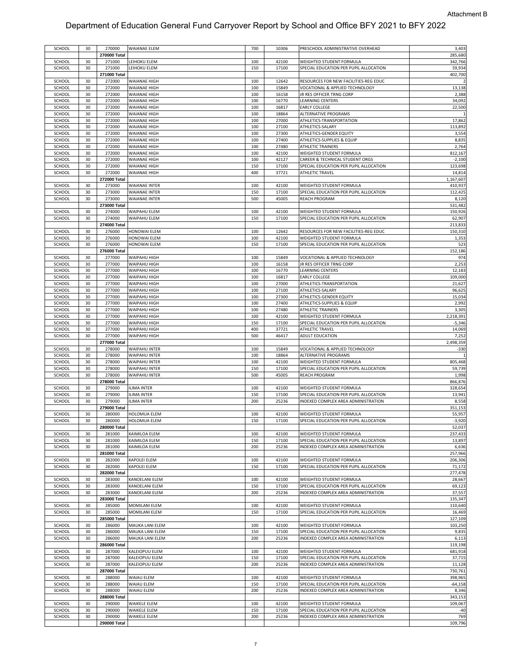| SCHOOL | 30 | 270000       | <b>WAIANAE ELEM</b>  | 700 | 10306 | PRESCHOOL ADMINISTRATIVE OVERHEAD      | 3,403      |
|--------|----|--------------|----------------------|-----|-------|----------------------------------------|------------|
|        |    | 270000 Total |                      |     |       |                                        | 285,680    |
| SCHOOL | 30 | 271000       | LEIHOKU ELEM         | 100 | 42100 | WEIGHTED STUDENT FORMULA               | 342,766    |
| SCHOOL | 30 | 271000       | LEIHOKU ELEM         | 150 | 17100 | SPECIAL EDUCATION PER PUPIL ALLOCATION | 59,934     |
|        |    | 271000 Total |                      |     |       |                                        | 402,700    |
|        |    |              |                      |     |       |                                        |            |
| SCHOOL | 30 | 272000       | WAIANAE HIGH         | 100 | 12642 | RESOURCES FOR NEW FACILITIES-REG EDUC  |            |
| SCHOOL | 30 | 272000       | WAIANAE HIGH         | 100 | 15849 | VOCATIONAL & APPLIED TECHNOLOGY        | 13,138     |
| SCHOOL | 30 | 272000       | WAIANAE HIGH         | 100 | 16158 | JR RES OFFICER TRNG CORP               | 2,388      |
| SCHOOL | 30 | 272000       | WAIANAE HIGH         | 100 | 16770 | <b>LEARNING CENTERS</b>                | 34,092     |
|        |    |              |                      |     |       |                                        |            |
| SCHOOL | 30 | 272000       | WAIANAE HIGH         | 100 | 16817 | <b>EARLY COLLEGE</b>                   | 22,500     |
| SCHOOL | 30 | 272000       | WAIANAE HIGH         | 100 | 18864 | ALTERNATIVE PROGRAMS                   |            |
| SCHOOL | 30 | 272000       | WAIANAE HIGH         | 100 | 27000 | ATHLETICS-TRANSPORTATION               | 17,862     |
| SCHOOL | 30 | 272000       | WAIANAE HIGH         | 100 | 27100 | ATHLETICS-SALARY                       | 113,892    |
|        |    |              |                      |     |       |                                        |            |
| SCHOOL | 30 | 272000       | WAIANAE HIGH         | 100 | 27300 | ATHLETICS-GENDER EQUITY                | 3,554      |
| SCHOOL | 30 | 272000       | WAIANAE HIGH         | 100 | 27400 | ATHLETICS-SUPPLIES & EQUIP             | 8,835      |
| SCHOOL | 30 | 272000       | WAIANAE HIGH         | 100 | 27480 | ATHLETIC TRAINERS                      | 2,764      |
| SCHOOL | 30 | 272000       | WAIANAE HIGH         | 100 | 42100 | WEIGHTED STUDENT FORMULA               | 812,167    |
|        |    |              |                      |     |       |                                        |            |
| SCHOOL | 30 | 272000       | WAIANAE HIGH         | 100 | 42127 | CAREER & TECHNICAL STUDENT ORGS        | $-2,100$   |
| SCHOOL | 30 | 272000       | WAIANAE HIGH         | 150 | 17100 | SPECIAL EDUCATION PER PUPIL ALLOCATION | 123,698    |
| SCHOOL | 30 | 272000       | WAIANAE HIGH         | 400 | 37721 | ATHLETIC TRAVEL                        | 14,814     |
|        |    | 272000 Total |                      |     |       |                                        | 1,167,607  |
|        |    |              |                      |     |       |                                        |            |
| SCHOOL | 30 | 273000       | WAIANAE INTER        | 100 | 42100 | WEIGHTED STUDENT FORMULA               | 410,937    |
| SCHOOL | 30 | 273000       | WAIANAE INTER        | 150 | 17100 | SPECIAL EDUCATION PER PUPIL ALLOCATION | 112,425    |
| SCHOOL | 30 | 273000       | WAIANAE INTER        | 500 | 45005 | <b>REACH PROGRAM</b>                   | 8,120      |
|        |    | 273000 Total |                      |     |       |                                        | 531,482    |
|        |    |              |                      |     |       |                                        |            |
| SCHOOL | 30 | 274000       | WAIPAHU ELEM         | 100 | 42100 | WEIGHTED STUDENT FORMULA               | 150,926    |
| SCHOOL | 30 | 274000       | WAIPAHU ELEM         | 150 | 17100 | SPECIAL EDUCATION PER PUPIL ALLOCATION | 62,907     |
|        |    | 274000 Total |                      |     |       |                                        | 213,833    |
| SCHOOL | 30 | 276000       | HONOWAI ELEM         | 100 | 12642 | RESOURCES FOR NEW FACILITIES-REG EDUC  | 150,310    |
|        |    |              |                      |     |       |                                        |            |
| SCHOOL | 30 | 276000       | HONOWAI ELEM         | 100 | 42100 | WEIGHTED STUDENT FORMULA               | 1,353      |
| SCHOOL | 30 | 276000       | <b>HONOWAI ELEM</b>  | 150 | 17100 | SPECIAL EDUCATION PER PUPIL ALLOCATION | 523        |
|        |    | 276000 Total |                      |     |       |                                        | 152,186    |
| SCHOOL | 30 | 277000       | WAIPAHU HIGH         | 100 | 15849 | VOCATIONAL & APPLIED TECHNOLOGY        | 974        |
|        |    |              |                      |     |       |                                        |            |
| SCHOOL | 30 | 277000       | WAIPAHU HIGH         | 100 | 16158 | JR RES OFFICER TRNG CORP               | 2,253      |
| SCHOOL | 30 | 277000       | WAIPAHU HIGH         | 100 | 16770 | LEARNING CENTERS                       | 12,183     |
| SCHOOL | 30 | 277000       | WAIPAHU HIGH         | 100 | 16817 | <b>EARLY COLLEGE</b>                   | 109,000    |
| SCHOOL | 30 | 277000       |                      |     | 27000 |                                        | 21,627     |
|        |    |              | WAIPAHU HIGH         | 100 |       | ATHLETICS-TRANSPORTATION               |            |
| SCHOOL | 30 | 277000       | WAIPAHU HIGH         | 100 | 27100 | ATHLETICS-SALARY                       | 96,625     |
| SCHOOL | 30 | 277000       | WAIPAHU HIGH         | 100 | 27300 | ATHLETICS-GENDER EQUITY                | 15,034     |
| SCHOOL | 30 | 277000       | WAIPAHU HIGH         | 100 | 27400 | ATHLETICS-SUPPLIES & EQUIP             | 2,992      |
| SCHOOL | 30 | 277000       | WAIPAHU HIGH         | 100 | 27480 | <b>ATHLETIC TRAINERS</b>               | 3,305      |
|        |    |              |                      |     |       |                                        |            |
| SCHOOL | 30 | 277000       | WAIPAHU HIGH         | 100 | 42100 | WEIGHTED STUDENT FORMULA               | 2,218,391  |
| SCHOOL | 30 | 277000       | WAIPAHU HIGH         | 150 | 17100 | SPECIAL EDUCATION PER PUPIL ALLOCATION | $-5,346$   |
| SCHOOL | 30 | 277000       | WAIPAHU HIGH         | 400 | 37721 | ATHLETIC TRAVEL                        | 14,069     |
| SCHOOL | 30 | 277000       | WAIPAHU HIGH         | 500 | 46417 | ADULT EDUCATION                        | 7,252      |
|        |    |              |                      |     |       |                                        |            |
|        |    | 277000 Total |                      |     |       |                                        | 2,498,359  |
|        |    |              |                      |     |       |                                        |            |
| SCHOOL | 30 | 278000       | <b>WAIPAHU INTER</b> | 100 | 15849 | VOCATIONAL & APPLIED TECHNOLOGY        | $-330$     |
|        |    |              |                      |     |       |                                        |            |
| SCHOOL | 30 | 278000       | WAIPAHU INTER        | 100 | 18864 | ALTERNATIVE PROGRAMS                   |            |
| SCHOOL | 30 | 278000       | WAIPAHU INTER        | 100 | 42100 | WEIGHTED STUDENT FORMULA               | 805,468    |
| SCHOOL | 30 | 278000       | WAIPAHU INTER        | 150 | 17100 | SPECIAL EDUCATION PER PUPIL ALLOCATION | 59,739     |
| SCHOOL | 30 | 278000       | <b>WAIPAHU INTER</b> | 500 | 45005 | <b>REACH PROGRAM</b>                   | 1,998      |
|        |    |              |                      |     |       |                                        |            |
|        |    | 278000 Total |                      |     |       |                                        | 866,876    |
| SCHOOL | 30 | 279000       | ILIMA INTER          | 100 | 42100 | WEIGHTED STUDENT FORMULA               | 328,654    |
| SCHOOL | 30 | 279000       | ILIMA INTER          | 150 | 17100 | SPECIAL EDUCATION PER PUPIL ALLOCATION | 13,941     |
| SCHOOL | 30 | 279000       | <b>ILIMA INTER</b>   | 200 | 25236 | INDEXED COMPLEX AREA ADMINISTRATION    | 8,558      |
|        |    |              |                      |     |       |                                        |            |
|        |    | 279000 Total |                      |     |       |                                        | 351,153    |
| SCHOOL | 30 | 280000       | HOLOMUA ELEM         | 100 | 42100 | WEIGHTED STUDENT FORMULA               | 55,957     |
| SCHOOL | 30 | 280000       | HOLOMUA ELEM         | 150 | 17100 | SPECIAL EDUCATION PER PUPIL ALLOCATION | $-3,920$   |
|        |    | 280000 Total |                      |     |       |                                        | 52,037     |
| SCHOOL | 30 | 281000       | KAIMILOA ELEM        | 100 | 42100 | WEIGHTED STUDENT FORMULA               | 237,433    |
|        |    |              |                      |     |       |                                        |            |
| SCHOOL | 30 | 281000       | KAIMILOA ELEM        | 150 | 17100 | SPECIAL EDUCATION PER PUPIL ALLOCATION | 13,897     |
| SCHOOL | 30 | 281000       | KAIMILOA ELEM        | 200 | 25236 | INDEXED COMPLEX AREA ADMINISTRATION    | 6,636      |
|        |    | 281000 Total |                      |     |       |                                        | 257,966    |
| SCHOOL | 30 | 282000       | KAPOLEI ELEM         | 100 | 42100 | WEIGHTED STUDENT FORMULA               | 206,306    |
|        | 30 |              |                      |     |       |                                        |            |
| SCHOOL |    | 282000       | KAPOLEI ELEM         | 150 | 17100 | SPECIAL EDUCATION PER PUPIL ALLOCATION | 71,172     |
|        |    | 282000 Total |                      |     |       |                                        | 277,478    |
| SCHOOL | 30 | 283000       | KANOELANI ELEM       | 100 | 42100 | WEIGHTED STUDENT FORMULA               | 28,667     |
| SCHOOL | 30 | 283000       | KANOELANI ELEM       | 150 | 17100 | SPECIAL EDUCATION PER PUPIL ALLOCATION | 69,123     |
|        |    |              |                      |     |       |                                        |            |
| SCHOOL | 30 | 283000       | KANOELANI ELEM       | 200 | 25236 | INDEXED COMPLEX AREA ADMINISTRATION    | 37,557     |
|        |    | 283000 Total |                      |     |       |                                        | 135,347    |
| SCHOOL | 30 | 285000       | MOMILANI ELEM        | 100 | 42100 | WEIGHTED STUDENT FORMULA               | 110,640    |
| SCHOOL | 30 | 285000       | MOMILANI ELEM        | 150 | 17100 | SPECIAL EDUCATION PER PUPIL ALLOCATION | 16,469     |
|        |    |              |                      |     |       |                                        |            |
|        |    | 285000 Total |                      |     |       |                                        | 127,109    |
| SCHOOL | 30 | 286000       | MAUKA LANI ELEM      | 100 | 42100 | WEIGHTED STUDENT FORMULA               | 103,250    |
| SCHOOL | 30 | 286000       | MAUKA LANI ELEM      | 150 | 17100 | SPECIAL EDUCATION PER PUPIL ALLOCATION | 9,835      |
| SCHOOL | 30 | 286000       | MAUKA LANI ELEM      | 200 | 25236 | INDEXED COMPLEX AREA ADMINISTRATION    | 6,113      |
|        |    |              |                      |     |       |                                        |            |
|        |    | 286000 Total |                      |     |       |                                        | 119,198    |
| SCHOOL | 30 | 287000       | KALEIOPUU ELEM       | 100 | 42100 | WEIGHTED STUDENT FORMULA               | 681,918    |
| SCHOOL | 30 | 287000       | KALEIOPUU ELEM       | 150 | 17100 | SPECIAL EDUCATION PER PUPIL ALLOCATION | 37,715     |
| SCHOOL | 30 | 287000       | KALEIOPUU ELEM       | 200 | 25236 | INDEXED COMPLEX AREA ADMINISTRATION    | 11,128     |
|        |    |              |                      |     |       |                                        |            |
|        |    | 287000 Total |                      |     |       |                                        | 730,761    |
| SCHOOL | 30 | 288000       | WAIAU ELEM           | 100 | 42100 | WEIGHTED STUDENT FORMULA               | 398,965    |
| SCHOOL | 30 | 288000       | WAIAU ELEM           | 150 | 17100 | SPECIAL EDUCATION PER PUPIL ALLOCATION | $-64, 158$ |
|        | 30 |              |                      | 200 | 25236 |                                        |            |
| SCHOOL |    | 288000       | WAIAU ELEM           |     |       | INDEXED COMPLEX AREA ADMINISTRATION    | 8,346      |
|        |    | 288000 Total |                      |     |       |                                        | 343,153    |
| SCHOOL | 30 | 290000       | WAIKELE ELEM         | 100 | 42100 | WEIGHTED STUDENT FORMULA               | 109,067    |
| SCHOOL | 30 | 290000       | WAIKELE ELEM         | 150 | 17100 | SPECIAL EDUCATION PER PUPIL ALLOCATION | $-40$      |
|        | 30 | 290000       | WAIKELE ELEM         |     |       | INDEXED COMPLEX AREA ADMINISTRATION    | 769        |
| SCHOOL |    | 290000 Total |                      | 200 | 25236 |                                        | 109,796    |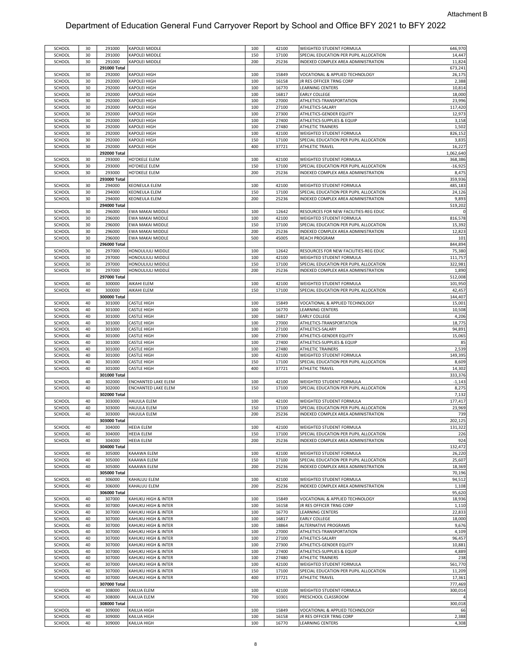| SCHOOL           | 30 | 291000           | KAPOLEI MIDDLE             | 100 | 42100          | WEIGHTED STUDENT FORMULA                            | 646,970        |
|------------------|----|------------------|----------------------------|-----|----------------|-----------------------------------------------------|----------------|
| SCHOOL           | 30 | 291000           | KAPOLEI MIDDLE             | 150 | 17100          | SPECIAL EDUCATION PER PUPIL ALLOCATION              | 14,447         |
| SCHOOL           | 30 | 291000           | KAPOLEI MIDDLE             | 200 | 25236          | INDEXED COMPLEX AREA ADMINISTRATION                 | 11,824         |
|                  |    | 291000 Total     |                            |     |                |                                                     | 673,241        |
| SCHOOL           | 30 | 292000           | KAPOLEI HIGH               | 100 | 15849          | VOCATIONAL & APPLIED TECHNOLOGY                     | 26,175         |
|                  |    |                  |                            |     |                |                                                     |                |
| SCHOOL           | 30 | 292000           | KAPOLEI HIGH               | 100 | 16158          | JR RES OFFICER TRNG CORP                            | 2,388          |
| SCHOOL           | 30 | 292000           | KAPOLEI HIGH               | 100 | 16770          | LEARNING CENTERS                                    | 10,814         |
| SCHOOL           | 30 | 292000           | KAPOLEI HIGH               | 100 | 16817          | <b>EARLY COLLEGE</b>                                | 18,000         |
| SCHOOL           | 30 | 292000           | KAPOLEI HIGH               | 100 | 27000          | ATHLETICS-TRANSPORTATION                            | 23,996         |
|                  |    |                  |                            |     |                |                                                     |                |
| SCHOOL           | 30 | 292000           | KAPOLEI HIGH               | 100 | 27100          | ATHLETICS-SALARY                                    | 117,420        |
| SCHOOL           | 30 | 292000           | KAPOLEI HIGH               | 100 | 27300          | ATHLETICS-GENDER EQUITY                             | 12,973         |
| SCHOOL           | 30 | 292000           | KAPOLEI HIGH               | 100 | 27400          | ATHLETICS-SUPPLIES & EQUIP                          | 3,158          |
| SCHOOL           | 30 | 292000           | KAPOLEI HIGH               | 100 | 27480          | <b>ATHLETIC TRAINERS</b>                            | 1,502          |
|                  |    |                  |                            |     |                |                                                     |                |
| SCHOOL           | 30 | 292000           | KAPOLEI HIGH               | 100 | 42100          | WEIGHTED STUDENT FORMULA                            | 826,152        |
| SCHOOL           | 30 | 292000           | KAPOLEI HIGH               | 150 | 17100          | SPECIAL EDUCATION PER PUPIL ALLOCATION              | 3,835          |
| SCHOOL           | 30 | 292000           | KAPOLEI HIGH               | 400 | 37721          | <b>ATHLETIC TRAVEL</b>                              | 16,227         |
|                  |    | 292000 Total     |                            |     |                |                                                     | 1,062,640      |
|                  |    |                  |                            |     |                |                                                     |                |
| SCHOOL           | 30 | 293000           | HO'OKELE ELEM              | 100 | 42100          | WEIGHTED STUDENT FORMULA                            | 368,386        |
| SCHOOL           | 30 | 293000           | HO'OKELE ELEM              | 150 | 17100          | SPECIAL EDUCATION PER PUPIL ALLOCATION              | $-16,925$      |
| SCHOOL           | 30 | 293000           | HO'OKELE ELEM              | 200 | 25236          | INDEXED COMPLEX AREA ADMINISTRATION                 | 8,475          |
|                  |    | 293000 Total     |                            |     |                |                                                     | 359,936        |
|                  |    |                  |                            |     | 42100          |                                                     |                |
| SCHOOL           | 30 | 294000           | KEONEULA ELEM              | 100 |                | WEIGHTED STUDENT FORMULA                            | 485,183        |
| SCHOOL           | 30 | 294000           | KEONEULA ELEM              | 150 | 17100          | SPECIAL EDUCATION PER PUPIL ALLOCATION              | 24,126         |
| SCHOOL           | 30 | 294000           | KEONEULA ELEM              | 200 | 25236          | INDEXED COMPLEX AREA ADMINISTRATION                 | 9,893          |
|                  |    | 294000 Total     |                            |     |                |                                                     | 519,202        |
|                  | 30 |                  | EWA MAKAI MIDDLE           | 100 | 12642          |                                                     |                |
| SCHOOL           |    | 296000           |                            |     |                | RESOURCES FOR NEW FACILITIES-REG EDUC               |                |
| SCHOOL           | 30 | 296000           | EWA MAKAI MIDDLE           | 100 | 42100          | WEIGHTED STUDENT FORMULA                            | 816,578        |
| SCHOOL           | 30 | 296000           | EWA MAKAI MIDDLE           | 150 | 17100          | SPECIAL EDUCATION PER PUPIL ALLOCATION              | 15,392         |
| SCHOOL           | 30 | 296000           | EWA MAKAI MIDDLE           | 200 | 25236          | INDEXED COMPLEX AREA ADMINISTRATION                 | 12,823         |
| SCHOOL           | 30 | 296000           | EWA MAKAI MIDDLE           | 500 | 45005          | <b>REACH PROGRAM</b>                                | 101            |
|                  |    |                  |                            |     |                |                                                     |                |
|                  |    | 296000 Total     |                            |     |                |                                                     | 844,894        |
| SCHOOL           | 30 | 297000           | HONOULIULI MIDDLE          | 100 | 12642          | RESOURCES FOR NEW FACILITIES-REG EDUC               | 75,380         |
| SCHOOL           | 30 | 297000           | HONOULIULI MIDDLE          | 100 | 42100          | WEIGHTED STUDENT FORMULA                            | 111,757        |
|                  |    |                  |                            |     |                |                                                     |                |
| SCHOOL           | 30 | 297000           | HONOULIULI MIDDLE          | 150 | 17100          | SPECIAL EDUCATION PER PUPIL ALLOCATION              | 322,981        |
| SCHOOL           | 30 | 297000           | HONOULIULI MIDDLE          | 200 | 25236          | INDEXED COMPLEX AREA ADMINISTRATION                 | 1,890          |
|                  |    | 297000 Total     |                            |     |                |                                                     | 512,008        |
| SCHOOL           | 40 | 300000           | AIKAHI ELEM                | 100 | 42100          | WEIGHTED STUDENT FORMULA                            | 101,950        |
|                  |    |                  |                            |     |                |                                                     |                |
| SCHOOL           | 40 | 300000           | AIKAHI ELEM                | 150 | 17100          | SPECIAL EDUCATION PER PUPIL ALLOCATION              | 42,457         |
|                  |    | 300000 Total     |                            |     |                |                                                     | 144,407        |
| SCHOOL           | 40 | 301000           | CASTLE HIGH                | 100 | 15849          | VOCATIONAL & APPLIED TECHNOLOGY                     | 15,001         |
| SCHOOL           | 40 | 301000           | CASTLE HIGH                | 100 | 16770          | LEARNING CENTERS                                    | 10,508         |
|                  |    |                  |                            |     |                |                                                     |                |
| SCHOOL           | 40 | 301000           | CASTLE HIGH                | 100 | 16817          | <b>EARLY COLLEGE</b>                                | 4,206          |
| SCHOOL           | 40 | 301000           | CASTLE HIGH                | 100 | 27000          | ATHLETICS-TRANSPORTATION                            | 18,775         |
| SCHOOL           | 40 | 301000           | CASTLE HIGH                | 100 | 27100          | ATHLETICS-SALARY                                    | 94,891         |
| SCHOOL           | 40 | 301000           | CASTLE HIGH                | 100 | 27300          | ATHLETICS-GENDER EQUITY                             | 15,065         |
|                  |    |                  |                            |     |                |                                                     |                |
| SCHOOL           | 40 | 301000           | CASTLE HIGH                | 100 | 27400          | ATHLETICS-SUPPLIES & EQUIP                          | 85             |
| SCHOOL           | 40 | 301000           | CASTLE HIGH                | 100 | 27480          | ATHLETIC TRAINERS                                   | 2,539          |
| SCHOOL           | 40 | 301000           | CASTLE HIGH                | 100 | 42100          | WEIGHTED STUDENT FORMULA                            | 149,395        |
| SCHOOL           | 40 | 301000           | CASTLE HIGH                | 150 | 17100          | SPECIAL EDUCATION PER PUPIL ALLOCATION              | 8,609          |
|                  |    |                  |                            |     |                |                                                     |                |
| SCHOOL           | 40 | 301000           | CASTLE HIGH                | 400 | 37721          | ATHLETIC TRAVEL                                     | 14,302         |
|                  |    | 301000 Total     |                            |     |                |                                                     | 333,376        |
| SCHOOL           | 40 | 302000           | ENCHANTED LAKE ELEM        | 100 | 42100          | WEIGHTED STUDENT FORMULA                            | $-1,143$       |
| SCHOOL           | 40 | 302000           | ENCHANTED LAKE ELEM        | 150 | 17100          | SPECIAL EDUCATION PER PUPIL ALLOCATION              | 8,275          |
|                  |    |                  |                            |     |                |                                                     |                |
|                  |    | 302000 Total     |                            |     |                |                                                     | 7,132          |
| SCHOOL           | 40 | 303000           | HAUULA ELEM                | 100 | 42100          | WEIGHTED STUDENT FORMULA                            | 177,417        |
| SCHOOL           | 40 | 303000           | HAUULA ELEM                | 150 | 17100          | SPECIAL EDUCATION PER PUPIL ALLOCATION              | 23,969         |
|                  | 40 |                  |                            |     |                |                                                     |                |
| SCHOOL           |    | 303000           | HAUULA ELEM                | 200 | 25236          | INDEXED COMPLEX AREA ADMINISTRATION                 | 739            |
|                  |    | 303000 Total     |                            |     |                |                                                     | 202,125        |
| SCHOOL           | 40 | 304000           | HEEIA ELEM                 | 100 | 42100          | WEIGHTED STUDENT FORMULA                            | 131,322        |
| SCHOOL           | 40 | 304000           | HEEIA ELEM                 | 150 | 17100          | SPECIAL EDUCATION PER PUPIL ALLOCATION              | 226            |
| SCHOOL           | 40 | 304000           | HEEIA ELEM                 | 200 | 25236          | INDEXED COMPLEX AREA ADMINISTRATION                 | 924            |
|                  |    |                  |                            |     |                |                                                     |                |
|                  |    | 304000 Total     |                            |     |                |                                                     | 132,472        |
| SCHOOL           | 40 | 305000           | KAAAWA ELEM                | 100 | 42100          | WEIGHTED STUDENT FORMULA                            | 26,220         |
| SCHOOL           | 40 | 305000           | KAAAWA ELEM                | 150 | 17100          | SPECIAL EDUCATION PER PUPIL ALLOCATION              | 25,607         |
| SCHOOL           | 40 | 305000           | KAAAWA ELEM                | 200 | 25236          | INDEXED COMPLEX AREA ADMINISTRATION                 | 18,369         |
|                  |    |                  |                            |     |                |                                                     |                |
|                  |    | 305000 Total     |                            |     |                |                                                     | 70,196         |
| SCHOOL           | 40 | 306000           | KAHALUU ELEM               | 100 | 42100          | WEIGHTED STUDENT FORMULA                            | 94,512         |
| SCHOOL           | 40 | 306000           | KAHALUU ELEM               | 200 | 25236          | INDEXED COMPLEX AREA ADMINISTRATION                 | 1,108          |
|                  |    | 306000 Total     |                            |     |                |                                                     | 95,620         |
|                  |    |                  |                            |     |                |                                                     |                |
| SCHOOL           | 40 | 307000           | KAHUKU HIGH & INTER        | 100 | 15849          | VOCATIONAL & APPLIED TECHNOLOGY                     | 18,936         |
| SCHOOL           | 40 | 307000           | KAHUKU HIGH & INTER        | 100 | 16158          | JR RES OFFICER TRNG CORP                            | 1,110          |
| SCHOOL           | 40 | 307000           | KAHUKU HIGH & INTER        | 100 | 16770          | LEARNING CENTERS                                    | 22,833         |
| SCHOOL           | 40 | 307000           | KAHUKU HIGH & INTER        | 100 | 16817          | <b>EARLY COLLEGE</b>                                | 18,000         |
|                  |    |                  |                            |     |                |                                                     |                |
| SCHOOL           | 40 | 307000           | KAHUKU HIGH & INTER        | 100 | 18864          | ALTERNATIVE PROGRAMS                                | 9,676          |
| SCHOOL           | 40 | 307000           | KAHUKU HIGH & INTER        | 100 | 27000          | ATHLETICS-TRANSPORTATION                            | 4,109          |
| SCHOOL           | 40 | 307000           | KAHUKU HIGH & INTER        | 100 | 27100          | ATHLETICS-SALARY                                    | 96,457         |
| SCHOOL           | 40 | 307000           | KAHUKU HIGH & INTER        | 100 | 27300          | ATHLETICS-GENDER EQUITY                             | 10,881         |
|                  |    |                  |                            |     |                |                                                     |                |
| SCHOOL           | 40 | 307000           | KAHUKU HIGH & INTER        | 100 | 27400          | ATHLETICS-SUPPLIES & EQUIP                          | 4,889          |
| SCHOOL           | 40 | 307000           | KAHUKU HIGH & INTER        | 100 | 27480          | <b>ATHLETIC TRAINERS</b>                            | 238            |
| SCHOOL           | 40 | 307000           | KAHUKU HIGH & INTER        | 100 | 42100          | WEIGHTED STUDENT FORMULA                            | 561,770        |
| SCHOOL           | 40 | 307000           | KAHUKU HIGH & INTER        | 150 | 17100          | SPECIAL EDUCATION PER PUPIL ALLOCATION              | 11,209         |
|                  |    |                  |                            |     |                |                                                     |                |
| SCHOOL           | 40 | 307000           | KAHUKU HIGH & INTER        | 400 | 37721          | ATHLETIC TRAVEL                                     | 17,361         |
|                  |    | 307000 Total     |                            |     |                |                                                     | 777,469        |
| SCHOOL           | 40 | 308000           | KAILUA ELEM                | 100 | 42100          | WEIGHTED STUDENT FORMULA                            | 300,014        |
| SCHOOL           |    | 308000           | KAILUA ELEM                | 700 | 10301          | PRESCHOOL CLASSROOM                                 |                |
|                  |    |                  |                            |     |                |                                                     |                |
|                  | 40 |                  |                            |     |                |                                                     |                |
|                  |    | 308000 Total     |                            |     |                |                                                     | 300,018        |
| SCHOOL           | 40 | 309000           | KAILUA HIGH                | 100 | 15849          | VOCATIONAL & APPLIED TECHNOLOGY                     | 66             |
|                  | 40 |                  |                            | 100 |                |                                                     |                |
| SCHOOL<br>SCHOOL | 40 | 309000<br>309000 | KAILUA HIGH<br>KAILUA HIGH | 100 | 16158<br>16770 | JR RES OFFICER TRNG CORP<br><b>LEARNING CENTERS</b> | 2,388<br>4,308 |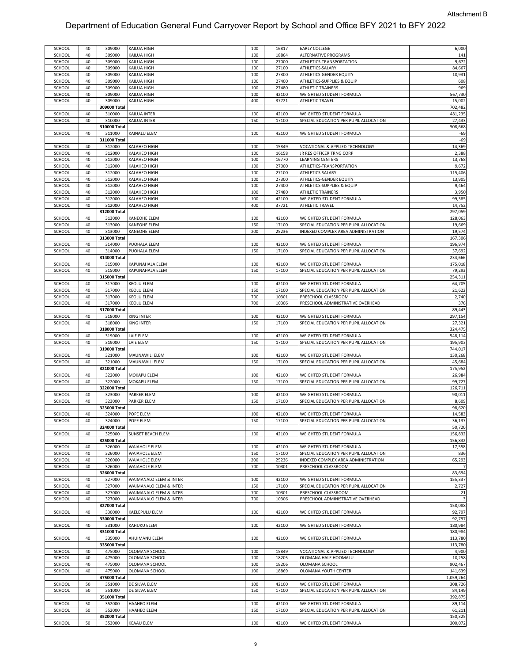| SCHOOL        | 40 | 309000       | KAILUA HIGH            | 100 | 16817 | <b>EARLY COLLEGE</b>                   | 6,000     |
|---------------|----|--------------|------------------------|-----|-------|----------------------------------------|-----------|
| SCHOOL        | 40 | 309000       | KAILUA HIGH            | 100 | 18864 | ALTERNATIVE PROGRAMS                   | 141       |
| SCHOOL        | 40 | 309000       | KAILUA HIGH            | 100 | 27000 | ATHLETICS-TRANSPORTATION               | 9,672     |
|               |    |              |                        |     |       |                                        |           |
| SCHOOL        | 40 | 309000       | KAILUA HIGH            | 100 | 27100 | ATHLETICS-SALARY                       | 84,667    |
| SCHOOL        | 40 | 309000       | KAILUA HIGH            | 100 | 27300 | ATHLETICS-GENDER EQUITY                | 10,931    |
| SCHOOL        | 40 | 309000       | KAILUA HIGH            | 100 | 27400 | ATHLETICS-SUPPLIES & EQUIP             | 608       |
| SCHOOL        | 40 | 309000       | KAILUA HIGH            | 100 | 27480 | ATHLETIC TRAINERS                      | 969       |
|               |    |              |                        |     |       |                                        |           |
| SCHOOL        | 40 | 309000       | KAILUA HIGH            | 100 | 42100 | WEIGHTED STUDENT FORMULA               | 567,730   |
| SCHOOL        | 40 | 309000       | KAILUA HIGH            | 400 | 37721 | <b>ATHLETIC TRAVEL</b>                 | 15,002    |
|               |    | 309000 Total |                        |     |       |                                        | 702,482   |
| SCHOOL        | 40 | 310000       | KAILUA INTER           | 100 | 42100 | WEIGHTED STUDENT FORMULA               | 481,235   |
|               |    |              |                        |     |       |                                        |           |
| SCHOOL        | 40 | 310000       | KAILUA INTER           | 150 | 17100 | SPECIAL EDUCATION PER PUPIL ALLOCATION | 27,433    |
|               |    | 310000 Total |                        |     |       |                                        | 508,668   |
| SCHOOL        | 40 | 311000       | KAINALU ELEM           | 100 | 42100 | WEIGHTED STUDENT FORMULA               | $-69$     |
|               |    | 311000 Total |                        |     |       |                                        | $-69$     |
|               |    |              |                        |     |       |                                        |           |
| SCHOOL        | 40 | 312000       | <b>KALAHEO HIGH</b>    | 100 | 15849 | VOCATIONAL & APPLIED TECHNOLOGY        | 14,369    |
| SCHOOL        | 40 | 312000       | KALAHEO HIGH           | 100 | 16158 | JR RES OFFICER TRNG CORP               | 2,388     |
| SCHOOL        | 40 | 312000       | KALAHEO HIGH           | 100 | 16770 | LEARNING CENTERS                       | 13,768    |
|               |    |              |                        |     |       |                                        |           |
| SCHOOL        | 40 | 312000       | KALAHEO HIGH           | 100 | 27000 | ATHLETICS-TRANSPORTATION               | 9,672     |
| SCHOOL        | 40 | 312000       | KALAHEO HIGH           | 100 | 27100 | ATHLETICS-SALARY                       | 115,406   |
| SCHOOL        | 40 | 312000       | KALAHEO HIGH           | 100 | 27300 | ATHLETICS-GENDER EQUITY                | 13,905    |
| SCHOOL        | 40 | 312000       | KALAHEO HIGH           | 100 | 27400 | ATHLETICS-SUPPLIES & EQUIP             | 9,464     |
|               |    |              |                        |     |       |                                        |           |
| SCHOOL        | 40 | 312000       | KALAHEO HIGH           | 100 | 27480 | ATHLETIC TRAINERS                      | 3,950     |
| SCHOOL        | 40 | 312000       | KALAHEO HIGH           | 100 | 42100 | WEIGHTED STUDENT FORMULA               | 99,385    |
| SCHOOL        | 40 | 312000       | KALAHEO HIGH           | 400 | 37721 | ATHLETIC TRAVEL                        | 14,752    |
|               |    | 312000 Total |                        |     |       |                                        | 297,059   |
|               |    |              |                        |     |       |                                        |           |
| SCHOOL        | 40 | 313000       | KANEOHE ELEM           | 100 | 42100 | WEIGHTED STUDENT FORMULA               | 128,063   |
| SCHOOL        | 40 | 313000       | KANEOHE ELEM           | 150 | 17100 | SPECIAL EDUCATION PER PUPIL ALLOCATION | 19,669    |
| SCHOOL        | 40 | 313000       | KANEOHE ELEM           | 200 | 25236 | INDEXED COMPLEX AREA ADMINISTRATION    | 19,574    |
|               |    |              |                        |     |       |                                        | 167,306   |
|               |    | 313000 Total |                        |     |       |                                        |           |
| SCHOOL        | 40 | 314000       | PUOHALA ELEM           | 100 | 42100 | WEIGHTED STUDENT FORMULA               | 196,974   |
| SCHOOL        | 40 | 314000       | PUOHALA ELEM           | 150 | 17100 | SPECIAL EDUCATION PER PUPIL ALLOCATION | 37,692    |
|               |    | 314000 Total |                        |     |       |                                        | 234,666   |
|               |    | 315000       |                        | 100 | 42100 | WEIGHTED STUDENT FORMULA               | 175,018   |
| SCHOOL        | 40 |              | KAPUNAHALA ELEM        |     |       |                                        |           |
| SCHOOL        | 40 | 315000       | KAPUNAHALA ELEM        | 150 | 17100 | SPECIAL EDUCATION PER PUPIL ALLOCATION | 79,293    |
|               |    | 315000 Total |                        |     |       |                                        | 254,311   |
| SCHOOL        | 40 | 317000       | KEOLU ELEM             | 100 | 42100 | WEIGHTED STUDENT FORMULA               | 64,705    |
|               |    |              |                        |     |       |                                        |           |
| SCHOOL        | 40 | 317000       | KEOLU ELEM             | 150 | 17100 | SPECIAL EDUCATION PER PUPIL ALLOCATION | 21,622    |
| SCHOOL        | 40 | 317000       | KEOLU ELEM             | 700 | 10301 | PRESCHOOL CLASSROOM                    | 2,740     |
| SCHOOL        | 40 | 317000       | KEOLU ELEM             | 700 | 10306 | PRESCHOOL ADMINISTRATIVE OVERHEAD      | 376       |
|               |    | 317000 Total |                        |     |       |                                        | 89,443    |
|               |    |              |                        |     |       |                                        |           |
| SCHOOL        | 40 | 318000       | KING INTER             | 100 | 42100 | WEIGHTED STUDENT FORMULA               | 297,154   |
| SCHOOL        | 40 | 318000       | KING INTER             | 150 | 17100 | SPECIAL EDUCATION PER PUPIL ALLOCATION | 27,321    |
|               |    | 318000 Total |                        |     |       |                                        | 324,475   |
|               |    |              |                        |     |       |                                        | 548,114   |
| SCHOOL        | 40 | 319000       | LAIE ELEM              | 100 | 42100 | WEIGHTED STUDENT FORMULA               |           |
| SCHOOL        | 40 | 319000       | LAIE ELEM              | 150 | 17100 | SPECIAL EDUCATION PER PUPIL ALLOCATION | 195,903   |
|               |    | 319000 Total |                        |     |       |                                        | 744,017   |
| SCHOOL        | 40 | 321000       | MAUNAWILI ELEM         | 100 | 42100 | WEIGHTED STUDENT FORMULA               | 130,268   |
|               |    |              |                        |     |       |                                        |           |
| SCHOOL        | 40 | 321000       | MAUNAWILI ELEM         | 150 | 17100 | SPECIAL EDUCATION PER PUPIL ALLOCATION | 45,684    |
|               |    | 321000 Total |                        |     |       |                                        | 175,952   |
| SCHOOL        | 40 | 322000       | MOKAPU ELEM            | 100 | 42100 | WEIGHTED STUDENT FORMULA               | 26,984    |
| SCHOOL        | 40 | 322000       | MOKAPU ELEM            | 150 | 17100 | SPECIAL EDUCATION PER PUPIL ALLOCATION | 99,727    |
|               |    |              |                        |     |       |                                        |           |
|               |    | 322000 Total |                        |     |       |                                        | 126,711   |
| SCHOOL        | 40 | 323000       | PARKER ELEM            | 100 | 42100 | WEIGHTED STUDENT FORMULA               | 90,011    |
| SCHOOL        | 40 | 323000       | PARKER ELEM            | 150 | 17100 | SPECIAL EDUCATION PER PUPIL ALLOCATION | 8,609     |
|               |    | 323000 Total |                        |     |       |                                        | 98,620    |
|               |    |              |                        |     |       |                                        |           |
| SCHOOL        | 40 | 324000       | POPE ELEM              | 100 | 42100 | WEIGHTED STUDENT FORMULA               | 14,583    |
| SCHOOL        | 40 | 324000       | POPE ELEM              | 150 | 17100 | SPECIAL EDUCATION PER PUPIL ALLOCATION | 36,137    |
|               |    | 324000 Total |                        |     |       |                                        | 50,720    |
|               |    |              |                        |     |       |                                        |           |
| SCHOOL        | 40 | 325000       | SUNSET BEACH ELEM      | 100 | 42100 | WEIGHTED STUDENT FORMULA               | 156,832   |
|               |    | 325000 Total |                        |     |       |                                        | 156,832   |
| SCHOOL        | 40 | 326000       | WAIAHOLE ELEM          | 100 | 42100 | WEIGHTED STUDENT FORMULA               | 17,558    |
| SCHOOL        | 40 | 326000       | WAIAHOLE ELEM          | 150 | 17100 | SPECIAL EDUCATION PER PUPIL ALLOCATION | 836       |
| SCHOOL        | 40 | 326000       | WAIAHOLE ELEM          | 200 | 25236 | INDEXED COMPLEX AREA ADMINISTRATION    | 65,293    |
|               |    |              |                        |     |       |                                        |           |
| SCHOOL        | 40 | 326000       | WAIAHOLE ELEM          | 700 | 10301 | PRESCHOOL CLASSROOM                    |           |
|               |    | 326000 Total |                        |     |       |                                        | 83,694    |
| SCHOOL        | 40 | 327000       | WAIMANALO ELEM & INTER | 100 | 42100 | WEIGHTED STUDENT FORMULA               | 155,337   |
|               | 40 |              | WAIMANALO ELEM & INTER |     |       |                                        |           |
| SCHOOL        |    | 327000       |                        | 150 | 17100 | SPECIAL EDUCATION PER PUPIL ALLOCATION | 2,727     |
| SCHOOL        | 40 | 327000       | WAIMANALO ELEM & INTER | 700 | 10301 | PRESCHOOL CLASSROOM                    | 21        |
| SCHOOL        | 40 | 327000       | WAIMANALO ELEM & INTER | 700 | 10306 | PRESCHOOL ADMINISTRATIVE OVERHEAD      | 3         |
|               |    | 327000 Total |                        |     |       |                                        | 158,088   |
|               |    |              |                        |     |       |                                        |           |
| SCHOOL        | 40 | 330000       | KAELEPULU ELEM         | 100 | 42100 | WEIGHTED STUDENT FORMULA               | 92,797    |
|               |    | 330000 Total |                        |     |       |                                        | 92,797    |
| SCHOOL        | 40 | 331000       | KAHUKU ELEM            | 100 | 42100 | WEIGHTED STUDENT FORMULA               | 180,984   |
|               |    | 331000 Total |                        |     |       |                                        | 180,984   |
|               |    |              |                        |     |       |                                        |           |
| SCHOOL        | 40 | 335000       | AHUIMANU ELEM          | 100 | 42100 | WEIGHTED STUDENT FORMULA               | 113,780   |
|               |    | 335000 Total |                        |     |       |                                        | 113,780   |
| SCHOOL        | 40 | 475000       | OLOMANA SCHOOL         | 100 | 15849 | VOCATIONAL & APPLIED TECHNOLOGY        | 4,900     |
| SCHOOL        | 40 |              |                        |     |       |                                        | 10,258    |
|               |    | 475000       | OLOMANA SCHOOL         | 100 | 18205 | OLOMANA HALE HOOMALU                   |           |
| SCHOOL        | 40 | 475000       | OLOMANA SCHOOL         | 100 | 18206 | OLOMANA SCHOOL                         | 902,467   |
| SCHOOL        | 40 | 475000       | OLOMANA SCHOOL         | 100 | 18869 | OLOMANA YOUTH CENTER                   | 141,639   |
|               |    | 475000 Total |                        |     |       |                                        | 1,059,264 |
|               |    |              |                        |     |       |                                        |           |
| SCHOOL        | 50 | 351000       | DE SILVA ELEM          | 100 | 42100 | WEIGHTED STUDENT FORMULA               | 308,726   |
| SCHOOL        | 50 | 351000       | DE SILVA ELEM          | 150 | 17100 | SPECIAL EDUCATION PER PUPIL ALLOCATION | 84,149    |
|               |    | 351000 Total |                        |     |       |                                        | 392,875   |
| <b>SCHOOL</b> | 50 | 352000       | HAAHEO ELEM            | 100 | 42100 | WEIGHTED STUDENT FORMULA               | 89,114    |
|               |    |              |                        |     |       |                                        |           |
| SCHOOL        | 50 | 352000       | <b>HAAHEO ELEM</b>     | 150 | 17100 | SPECIAL EDUCATION PER PUPIL ALLOCATION | 61,211    |
|               |    | 352000 Total |                        |     |       |                                        | 150,325   |
| SCHOOL        | 50 | 353000       | <b>KEAAU ELEM</b>      | 100 | 42100 | WEIGHTED STUDENT FORMULA               | 200,072   |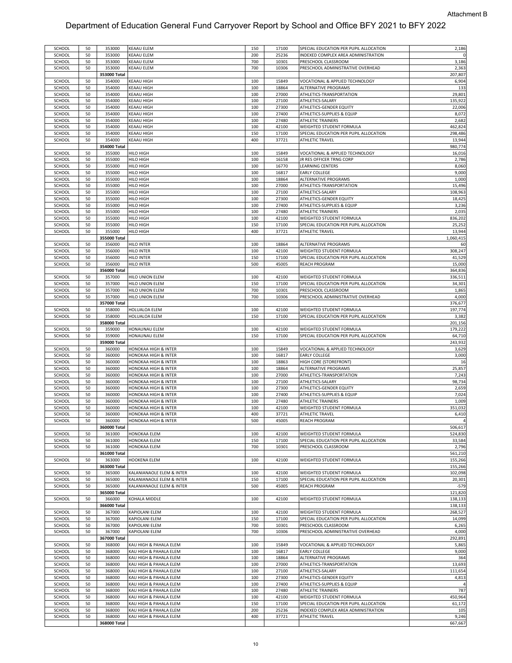| SCHOOL<br>SCHOOL |    |                        |                           |     |       |                                        |                  |
|------------------|----|------------------------|---------------------------|-----|-------|----------------------------------------|------------------|
|                  | 50 | 353000                 | <b>KEAAU ELEM</b>         | 150 | 17100 | SPECIAL EDUCATION PER PUPIL ALLOCATION | 2,186            |
|                  | 50 | 353000                 | KEAAU ELEM                | 200 | 25236 | INDEXED COMPLEX AREA ADMINISTRATION    |                  |
|                  |    |                        |                           |     |       |                                        |                  |
| SCHOOL           | 50 | 353000                 | KEAAU ELEM                | 700 | 10301 | PRESCHOOL CLASSROOM                    | 3,186            |
| SCHOOL           | 50 | 353000                 | KEAAU ELEM                | 700 | 10306 | PRESCHOOL ADMINISTRATIVE OVERHEAD      | 2,363            |
|                  |    | 353000 Total           |                           |     |       |                                        | 207,807          |
|                  |    |                        |                           |     |       |                                        |                  |
| SCHOOL           | 50 | 354000                 | KEAAU HIGH                | 100 | 15849 | VOCATIONAL & APPLIED TECHNOLOGY        | 6,904            |
| SCHOOL           | 50 | 354000                 | KEAAU HIGH                | 100 | 18864 | ALTERNATIVE PROGRAMS                   | 133              |
| SCHOOL           | 50 | 354000                 | KEAAU HIGH                | 100 | 27000 | ATHLETICS-TRANSPORTATION               | 29,801           |
|                  | 50 |                        | <b>KEAAU HIGH</b>         | 100 | 27100 |                                        | 135,922          |
| SCHOOL           |    | 354000                 |                           |     |       | ATHLETICS-SALARY                       |                  |
| SCHOOL           | 50 | 354000                 | KEAAU HIGH                | 100 | 27300 | ATHLETICS-GENDER EQUITY                | 22,006           |
| SCHOOL           | 50 | 354000                 | KEAAU HIGH                | 100 | 27400 | ATHLETICS-SUPPLIES & EQUIP             | 8,072            |
| SCHOOL           | 50 | 354000                 | KEAAU HIGH                | 100 | 27480 | <b>ATHLETIC TRAINERS</b>               | 2,682            |
|                  |    |                        |                           |     |       |                                        |                  |
| SCHOOL           | 50 | 354000                 | KEAAU HIGH                | 100 | 42100 | WEIGHTED STUDENT FORMULA               | 462,824          |
| SCHOOL           | 50 | 354000                 | KEAAU HIGH                | 150 | 17100 | SPECIAL EDUCATION PER PUPIL ALLOCATION | 298,486          |
| SCHOOL           | 50 | 354000                 | KEAAU HIGH                | 400 | 37721 | <b>ATHLETIC TRAVEL</b>                 | 13,944           |
|                  |    |                        |                           |     |       |                                        |                  |
|                  |    | 354000 Total           |                           |     |       |                                        | 980,774          |
| SCHOOL           | 50 | 355000                 | HILO HIGH                 | 100 | 15849 | VOCATIONAL & APPLIED TECHNOLOGY        | 16,016           |
| SCHOOL           | 50 | 355000                 | HILO HIGH                 | 100 | 16158 | JR RES OFFICER TRNG CORP               | 2,786            |
|                  |    |                        |                           |     |       |                                        |                  |
| SCHOOL           | 50 | 355000                 | HILO HIGH                 | 100 | 16770 | LEARNING CENTERS                       | 8,060            |
| SCHOOL           | 50 | 355000                 | HILO HIGH                 | 100 | 16817 | EARLY COLLEGE                          | 9,000            |
| SCHOOL           | 50 | 355000                 | HILO HIGH                 | 100 | 18864 | ALTERNATIVE PROGRAMS                   | 1,000            |
|                  |    |                        |                           |     |       |                                        | 15,496           |
| SCHOOL           | 50 | 355000                 | HILO HIGH                 | 100 | 27000 | ATHLETICS-TRANSPORTATION               |                  |
| SCHOOL           | 50 | 355000                 | HILO HIGH                 | 100 | 27100 | ATHLETICS-SALARY                       | 108,963          |
| SCHOOL           | 50 | 355000                 | HILO HIGH                 | 100 | 27300 | ATHLETICS-GENDER EQUITY                | 18,425           |
| SCHOOL           | 50 | 355000                 | HILO HIGH                 | 100 | 27400 | ATHLETICS-SUPPLIES & EQUIP             | 3,236            |
|                  |    |                        |                           |     |       |                                        |                  |
| SCHOOL           | 50 | 355000                 | HILO HIGH                 | 100 | 27480 | ATHLETIC TRAINERS                      | 2,035            |
| SCHOOL           | 50 | 355000                 | HILO HIGH                 | 100 | 42100 | WEIGHTED STUDENT FORMULA               | 836,202          |
| SCHOOL           | 50 | 355000                 | HILO HIGH                 | 150 | 17100 | SPECIAL EDUCATION PER PUPIL ALLOCATION | 25,252           |
|                  |    |                        |                           |     |       |                                        |                  |
| SCHOOL           | 50 | 355000                 | HILO HIGH                 | 400 | 37721 | <b>ATHLETIC TRAVEL</b>                 | 13,944           |
|                  |    | 355000 Total           |                           |     |       |                                        | 1,060,415        |
| SCHOOL           | 50 | 356000                 | HILO INTER                | 100 | 18864 | ALTERNATIVE PROGRAMS                   | 60               |
|                  |    |                        |                           |     |       |                                        |                  |
| SCHOOL           | 50 | 356000                 | HILO INTER                | 100 | 42100 | WEIGHTED STUDENT FORMULA               | 308,247          |
| SCHOOL           | 50 | 356000                 | HILO INTER                | 150 | 17100 | SPECIAL EDUCATION PER PUPIL ALLOCATION | 41,529           |
| SCHOOL           | 50 | 356000                 | <b>HILO INTER</b>         | 500 | 45005 | <b>REACH PROGRAM</b>                   | 15,000           |
|                  |    |                        |                           |     |       |                                        |                  |
|                  |    | 356000 Total           |                           |     |       |                                        | 364,836          |
| SCHOOL           | 50 | 357000                 | HILO UNION ELEM           | 100 | 42100 | WEIGHTED STUDENT FORMULA               | 336,511          |
| SCHOOL           | 50 | 357000                 | HILO UNION ELEM           | 150 | 17100 | SPECIAL EDUCATION PER PUPIL ALLOCATION | 34,301           |
| SCHOOL           | 50 | 357000                 | HILO UNION ELEM           | 700 | 10301 | PRESCHOOL CLASSROOM                    | 1,865            |
|                  |    |                        |                           |     |       |                                        |                  |
| SCHOOL           | 50 | 357000                 | HILO UNION ELEM           | 700 | 10306 | PRESCHOOL ADMINISTRATIVE OVERHEAD      | 4,000            |
|                  |    | 357000 Total           |                           |     |       |                                        | 376,677          |
| SCHOOL           | 50 | 358000                 | HOLUALOA ELEM             | 100 | 42100 | WEIGHTED STUDENT FORMULA               | 197,774          |
|                  |    |                        |                           |     |       |                                        |                  |
| SCHOOL           | 50 | 358000                 | HOLUALOA ELEM             | 150 | 17100 | SPECIAL EDUCATION PER PUPIL ALLOCATION | 3,382            |
|                  |    | 358000 Total           |                           |     |       |                                        | 201,156          |
| SCHOOL           | 50 | 359000                 | HONAUNAU ELEM             | 100 | 42100 | WEIGHTED STUDENT FORMULA               | 179,222          |
|                  |    |                        |                           |     |       |                                        |                  |
| SCHOOL           | 50 | 359000                 | HONAUNAU ELEM             | 150 | 17100 | SPECIAL EDUCATION PER PUPIL ALLOCATION | 64,710           |
|                  |    | 359000 Total           |                           |     |       |                                        | 243,932          |
| SCHOOL           | 50 | 360000                 | HONOKAA HIGH & INTER      | 100 | 15849 | VOCATIONAL & APPLIED TECHNOLOGY        | 3,629            |
| SCHOOL           | 50 | 360000                 | HONOKAA HIGH & INTER      | 100 | 16817 | EARLY COLLEGE                          | 3,000            |
|                  |    |                        |                           |     |       |                                        |                  |
| SCHOOL           | 50 | 360000                 | HONOKAA HIGH & INTER      | 100 | 18863 | HIGH CORE (STOREFRONT)                 | 16               |
| SCHOOL           | 50 | 360000                 | HONOKAA HIGH & INTER      | 100 | 18864 | ALTERNATIVE PROGRAMS                   | 25,857           |
| SCHOOL           | 50 | 360000                 | HONOKAA HIGH & INTER      | 100 | 27000 | ATHLETICS-TRANSPORTATION               | 7,243            |
|                  |    |                        |                           |     |       |                                        |                  |
| SCHOOL           | 50 | 360000                 | HONOKAA HIGH & INTER      | 100 | 27100 | ATHLETICS-SALARY                       | 98,734           |
| SCHOOL           | 50 | 360000                 | HONOKAA HIGH & INTER      | 100 | 27300 | ATHLETICS-GENDER EQUITY                |                  |
| SCHOOL           | 50 | 360000                 | HONOKAA HIGH & INTER      | 100 |       |                                        | 2,659            |
| SCHOOL           |    |                        |                           |     | 27400 | ATHLETICS-SUPPLIES & EQUIP             |                  |
|                  |    |                        |                           |     |       |                                        | 7,024            |
|                  | 50 | 360000                 | HONOKAA HIGH & INTER      | 100 | 27480 | ATHLETIC TRAINERS                      | 1,009            |
| SCHOOL           | 50 | 360000                 | HONOKAA HIGH & INTER      | 100 | 42100 | WEIGHTED STUDENT FORMULA               | 351,032          |
| SCHOOL           | 50 | 360000                 | HONOKAA HIGH & INTER      | 400 | 37721 | <b>ATHLETIC TRAVEL</b>                 | 6,410            |
|                  |    |                        |                           |     |       |                                        |                  |
| SCHOOL           | 50 | 360000                 | HONOKAA HIGH & INTER      | 500 | 45005 | <b>REACH PROGRAM</b>                   | $\overline{a}$   |
|                  |    | 360000 Total           |                           |     |       |                                        | 506,617          |
| SCHOOL           | 50 | 361000                 | HONOKAA ELEM              | 100 | 42100 | WEIGHTED STUDENT FORMULA               | 524,830          |
| SCHOOL           | 50 | 361000                 | HONOKAA ELEM              | 150 | 17100 | SPECIAL EDUCATION PER PUPIL ALLOCATION | 33,584           |
|                  |    |                        |                           |     |       |                                        |                  |
| SCHOOL           | 50 | 361000                 | HONOKAA ELEM              | 700 | 10301 | PRESCHOOL CLASSROOM                    | 2,796            |
|                  |    | 361000 Total           |                           |     |       |                                        | 561,210          |
| SCHOOL           | 50 | 363000                 | <b>HOOKENA ELEM</b>       | 100 | 42100 | WEIGHTED STUDENT FORMULA               | 155,266          |
|                  |    |                        |                           |     |       |                                        |                  |
|                  |    | 363000 Total           |                           |     |       |                                        | 155,266          |
| SCHOOL           | 50 | 365000                 | KALANIANAOLE ELEM & INTER | 100 | 42100 | WEIGHTED STUDENT FORMULA               | 102,098          |
| SCHOOL           | 50 | 365000                 | KALANIANAOLE ELEM & INTER | 150 | 17100 | SPECIAL EDUCATION PER PUPIL ALLOCATION | 20,301           |
|                  | 50 | 365000                 |                           | 500 |       |                                        |                  |
| SCHOOL           |    |                        | KALANIANAOLE ELEM & INTER |     | 45005 | REACH PROGRAM                          | $-579$           |
|                  |    | 365000 Total           |                           |     |       |                                        | 121,820          |
| SCHOOL           | 50 | 366000                 | KOHALA MIDDLE             | 100 | 42100 | WEIGHTED STUDENT FORMULA               | 138,133          |
|                  |    | 366000 Total           |                           |     |       |                                        | 138,133          |
|                  |    |                        |                           |     |       |                                        |                  |
| SCHOOL           | 50 | 367000                 | KAPIOLANI ELEM            | 100 | 42100 | WEIGHTED STUDENT FORMULA               | 268,527          |
| SCHOOL           | 50 | 367000                 | KAPIOLANI ELEM            | 150 | 17100 | SPECIAL EDUCATION PER PUPIL ALLOCATION | 14,099           |
| SCHOOL           | 50 | 367000                 | KAPIOLANI ELEM            | 700 | 10301 | PRESCHOOL CLASSROOM                    |                  |
|                  |    |                        |                           |     |       |                                        | 6,265            |
| SCHOOL           | 50 | 367000                 | KAPIOLANI ELEM            | 700 | 10306 | PRESCHOOL ADMINISTRATIVE OVERHEAD      | 4,000            |
|                  |    | 367000 Total           |                           |     |       |                                        | 292,891          |
| SCHOOL           | 50 | 368000                 | KAU HIGH & PAHALA ELEM    | 100 | 15849 | VOCATIONAL & APPLIED TECHNOLOGY        |                  |
|                  |    |                        |                           |     |       |                                        | 5,865            |
| SCHOOL           | 50 | 368000                 | KAU HIGH & PAHALA ELEM    | 100 | 16817 | <b>EARLY COLLEGE</b>                   | 9,000            |
| SCHOOL           | 50 | 368000                 | KAU HIGH & PAHALA ELEM    | 100 | 18864 | ALTERNATIVE PROGRAMS                   | 364              |
| SCHOOL           | 50 | 368000                 | KAU HIGH & PAHALA ELEM    | 100 | 27000 | ATHLETICS-TRANSPORTATION               | 13,693           |
|                  |    |                        |                           |     |       |                                        |                  |
| SCHOOL           | 50 | 368000                 | KAU HIGH & PAHALA ELEM    | 100 | 27100 | ATHLETICS-SALARY                       | 111,654          |
| SCHOOL           | 50 | 368000                 | KAU HIGH & PAHALA ELEM    | 100 | 27300 | ATHLETICS-GENDER EQUITY                | 4,813            |
| SCHOOL           | 50 | 368000                 | KAU HIGH & PAHALA ELEM    | 100 | 27400 | ATHLETICS-SUPPLIES & EQUIP             |                  |
|                  |    |                        |                           |     |       |                                        |                  |
| SCHOOL           | 50 | 368000                 | KAU HIGH & PAHALA ELEM    | 100 | 27480 | <b>ATHLETIC TRAINERS</b>               | 787              |
| SCHOOL           | 50 | 368000                 | KAU HIGH & PAHALA ELEM    | 100 | 42100 | WEIGHTED STUDENT FORMULA               | 450,964          |
| SCHOOL           | 50 | 368000                 | KAU HIGH & PAHALA ELEM    | 150 | 17100 | SPECIAL EDUCATION PER PUPIL ALLOCATION | 61,172           |
| SCHOOL           | 50 | 368000                 | KAU HIGH & PAHALA ELEM    | 200 | 25236 | INDEXED COMPLEX AREA ADMINISTRATION    | 105              |
|                  |    |                        |                           |     |       |                                        |                  |
| SCHOOL           | 50 | 368000<br>368000 Total | KAU HIGH & PAHALA ELEM    | 400 | 37721 | ATHLETIC TRAVEL                        | 9,246<br>667,667 |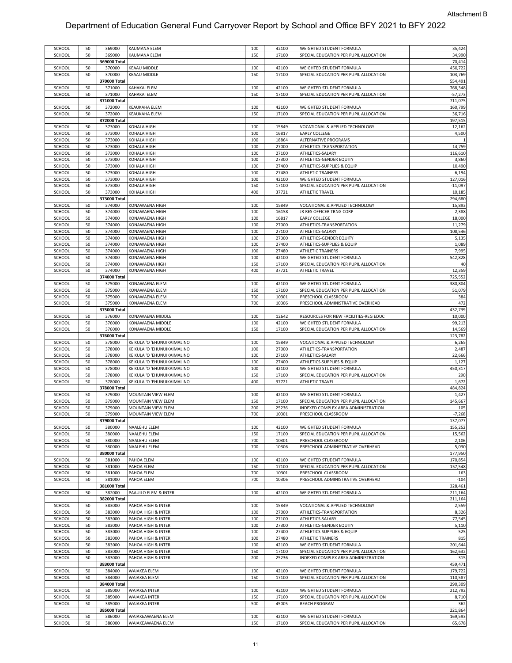| SCHOOL | 50 | 369000       | KAUMANA ELEM                | 100 | 42100 | WEIGHTED STUDENT FORMULA               | 35,424    |
|--------|----|--------------|-----------------------------|-----|-------|----------------------------------------|-----------|
| SCHOOL | 50 | 369000       | KAUMANA ELEM                | 150 | 17100 | SPECIAL EDUCATION PER PUPIL ALLOCATION | 34,990    |
|        |    |              |                             |     |       |                                        |           |
|        |    | 369000 Total |                             |     |       |                                        | 70,414    |
| SCHOOL | 50 | 370000       | KEAAU MIDDLE                | 100 | 42100 | WEIGHTED STUDENT FORMULA               | 450,722   |
|        |    |              |                             |     |       |                                        |           |
| SCHOOL | 50 | 370000       | KEAAU MIDDLE                | 150 | 17100 | SPECIAL EDUCATION PER PUPIL ALLOCATION | 103,769   |
|        |    | 370000 Total |                             |     |       |                                        | 554,491   |
| SCHOOL | 50 | 371000       | KAHAKAI ELEM                | 100 | 42100 | WEIGHTED STUDENT FORMULA               | 768,348   |
|        |    |              |                             |     |       |                                        |           |
| SCHOOL | 50 | 371000       | KAHAKAI ELEM                | 150 | 17100 | SPECIAL EDUCATION PER PUPIL ALLOCATION | $-57,273$ |
|        |    | 371000 Total |                             |     |       |                                        | 711,075   |
| SCHOOL | 50 | 372000       | KEAUKAHA ELEM               | 100 | 42100 | WEIGHTED STUDENT FORMULA               | 160,799   |
|        |    |              |                             |     |       |                                        |           |
| SCHOOL | 50 | 372000       | KEAUKAHA ELEM               | 150 | 17100 | SPECIAL EDUCATION PER PUPIL ALLOCATION | 36,716    |
|        |    | 372000 Total |                             |     |       |                                        | 197,515   |
|        |    |              |                             |     |       |                                        |           |
| SCHOOL | 50 | 373000       | <b>COHALA HIGH</b>          | 100 | 15849 | VOCATIONAL & APPLIED TECHNOLOGY        | 12,162    |
| SCHOOL | 50 | 373000       | <b>COHALA HIGH</b>          | 100 | 16817 | <b>EARLY COLLEGE</b>                   | 4,500     |
| SCHOOL | 50 | 373000       | <b>COHALA HIGH</b>          | 100 | 18864 | ALTERNATIVE PROGRAMS                   |           |
|        |    |              |                             |     |       |                                        |           |
| SCHOOL | 50 | 373000       | KOHALA HIGH                 | 100 | 27000 | ATHLETICS-TRANSPORTATION               | 14,759    |
| SCHOOL | 50 | 373000       | KOHALA HIGH                 | 100 | 27100 | ATHLETICS-SALARY                       | 116,610   |
| SCHOOL |    |              |                             |     | 27300 | ATHLETICS-GENDER EQUITY                |           |
|        | 50 | 373000       | <b>COHALA HIGH</b>          | 100 |       |                                        | 3,860     |
| SCHOOL | 50 | 373000       | KOHALA HIGH                 | 100 | 27400 | ATHLETICS-SUPPLIES & EQUIP             | 10,490    |
| SCHOOL | 50 | 373000       | <b>COHALA HIGH</b>          | 100 | 27480 | ATHLETIC TRAINERS                      | 6,194     |
|        |    |              |                             |     |       |                                        |           |
| SCHOOL | 50 | 373000       | KOHALA HIGH                 | 100 | 42100 | WEIGHTED STUDENT FORMULA               | 127,016   |
| SCHOOL | 50 | 373000       | KOHALA HIGH                 | 150 | 17100 | SPECIAL EDUCATION PER PUPIL ALLOCATION | $-11,097$ |
| SCHOOL | 50 | 373000       | KOHALA HIGH                 | 400 | 37721 | ATHLETIC TRAVEL                        | 10,185    |
|        |    |              |                             |     |       |                                        |           |
|        |    | 373000 Total |                             |     |       |                                        | 294,680   |
| SCHOOL | 50 | 374000       | KONAWAENA HIGH              | 100 | 15849 | VOCATIONAL & APPLIED TECHNOLOGY        | 15,893    |
|        |    |              |                             |     |       |                                        |           |
| SCHOOL | 50 | 374000       | KONAWAENA HIGH              | 100 | 16158 | JR RES OFFICER TRNG CORP               | 2,388     |
| SCHOOL | 50 | 374000       | KONAWAENA HIGH              | 100 | 16817 | <b>EARLY COLLEGE</b>                   | 18,000    |
| SCHOOL | 50 | 374000       | KONAWAENA HIGH              | 100 | 27000 | ATHLETICS-TRANSPORTATION               | 11,279    |
|        |    |              |                             |     |       |                                        |           |
| SCHOOL | 50 | 374000       | KONAWAENA HIGH              | 100 | 27100 | ATHLETICS-SALARY                       | 108,546   |
| SCHOOL | 50 | 374000       | KONAWAENA HIGH              | 100 | 27300 | ATHLETICS-GENDER EQUITY                | 5,135     |
|        |    |              |                             |     |       |                                        |           |
| SCHOOL | 50 | 374000       | KONAWAENA HIGH              | 100 | 27400 | ATHLETICS-SUPPLIES & EQUIP             | 1,089     |
| SCHOOL | 50 | 374000       | KONAWAENA HIGH              | 100 | 27480 | ATHLETIC TRAINERS                      | 7,995     |
| SCHOOL | 50 | 374000       | KONAWAENA HIGH              | 100 | 42100 | WEIGHTED STUDENT FORMULA               | 542,828   |
|        |    |              |                             |     |       |                                        |           |
| SCHOOL | 50 | 374000       | KONAWAENA HIGH              | 150 | 17100 | SPECIAL EDUCATION PER PUPIL ALLOCATION | 40        |
| SCHOOL | 50 | 374000       | KONAWAENA HIGH              | 400 | 37721 | ATHLETIC TRAVEL                        | 12,359    |
|        |    |              |                             |     |       |                                        |           |
|        |    | 374000 Total |                             |     |       |                                        | 725,552   |
| SCHOOL | 50 | 375000       | KONAWAENA ELEM              | 100 | 42100 | WEIGHTED STUDENT FORMULA               | 380,804   |
|        |    |              |                             |     |       |                                        |           |
| SCHOOL | 50 | 375000       | <b>CONAWAENA ELEM</b>       | 150 | 17100 | SPECIAL EDUCATION PER PUPIL ALLOCATION | 51,079    |
| SCHOOL | 50 | 375000       | KONAWAENA ELEM              | 700 | 10301 | PRESCHOOL CLASSROOM                    | 384       |
| SCHOOL | 50 | 375000       | KONAWAENA ELEM              | 700 | 10306 | PRESCHOOL ADMINISTRATIVE OVERHEAD      | 472       |
|        |    |              |                             |     |       |                                        |           |
|        |    | 375000 Total |                             |     |       |                                        | 432,739   |
| SCHOOL | 50 | 376000       | KONAWAENA MIDDLE            | 100 | 12642 | RESOURCES FOR NEW FACILITIES-REG EDUC  | 10,000    |
|        |    |              |                             |     |       |                                        |           |
| SCHOOL | 50 | 376000       | KONAWAENA MIDDLE            | 100 | 42100 | WEIGHTED STUDENT FORMULA               | 99,213    |
| SCHOOL | 50 | 376000       | KONAWAENA MIDDLE            | 150 | 17100 | SPECIAL EDUCATION PER PUPIL ALLOCATION | 14,569    |
|        |    | 376000 Total |                             |     |       |                                        | 123,782   |
|        |    |              |                             |     |       |                                        |           |
|        |    |              |                             |     |       |                                        |           |
| SCHOOL | 50 | 378000       | KE KULA 'O 'EHUNUIKAIMALINO | 100 | 15849 | VOCATIONAL & APPLIED TECHNOLOGY        | 6,265     |
|        | 50 | 378000       |                             | 100 | 27000 |                                        | 2,487     |
| SCHOOL |    |              | KE KULA 'O 'EHUNUIKAIMALINO |     |       | ATHLETICS-TRANSPORTATION               |           |
| SCHOOL | 50 | 378000       | KE KULA 'O 'EHUNUIKAIMALINO | 100 | 27100 | ATHLETICS-SALARY                       | 22,666    |
| SCHOOL | 50 | 378000       | KE KULA 'O 'EHUNUIKAIMALINO | 100 | 27400 | ATHLETICS-SUPPLIES & EQUIP             | 1,127     |
|        |    |              |                             |     |       |                                        |           |
| SCHOOL | 50 | 378000       | KE KULA 'O 'EHUNUIKAIMALINO | 100 | 42100 | WEIGHTED STUDENT FORMULA               | 450,317   |
| SCHOOL | 50 | 378000       | KE KULA 'O 'EHUNUIKAIMALINO | 150 | 17100 | SPECIAL EDUCATION PER PUPIL ALLOCATION | 290       |
| SCHOOL | 50 | 378000       | KE KULA 'O 'EHUNUIKAIMALINO | 400 | 37721 | ATHLETIC TRAVEL                        | 1,672     |
|        |    |              |                             |     |       |                                        |           |
|        |    | 378000 Total |                             |     |       |                                        | 484,824   |
| SCHOOL | 50 | 379000       | MOUNTAIN VIEW ELEM          | 100 | 42100 | WEIGHTED STUDENT FORMULA               | $-1,427$  |
| SCHOOL | 50 | 379000       | MOUNTAIN VIEW ELEM          | 150 | 17100 | SPECIAL EDUCATION PER PUPIL ALLOCATION | 145,667   |
|        |    |              |                             |     |       |                                        |           |
| SCHOOL | 50 | 379000       | MOUNTAIN VIEW ELEM          | 200 | 25236 | INDEXED COMPLEX AREA ADMINISTRATION    | 105       |
| SCHOOL | 50 | 379000       | MOUNTAIN VIEW ELEM          | 700 | 10301 | PRESCHOOL CLASSROOM                    | $-7,268$  |
|        |    |              |                             |     |       |                                        |           |
|        |    | 379000 Total |                             |     |       |                                        | 137,077   |
| SCHOOL | 50 | 380000       | <b>NAALEHU ELEM</b>         | 100 | 42100 | WEIGHTED STUDENT FORMULA               | 155,252   |
| SCHOOL | 50 | 380000       | NAALEHU ELEM                | 150 | 17100 | SPECIAL EDUCATION PER PUPIL ALLOCATION | 15,562    |
|        |    |              |                             |     |       |                                        |           |
| SCHOOL | 50 | 380000       | NAALEHU ELEM                | 700 | 10301 | PRESCHOOL CLASSROOM                    | 2,106     |
| SCHOOL | 50 | 380000       | NAALEHU ELEM                | 700 | 10306 | PRESCHOOL ADMINISTRATIVE OVERHEAD      | 5,030     |
|        |    | 380000 Total |                             |     |       |                                        | 177,950   |
|        |    |              |                             |     |       |                                        |           |
| SCHOOL | 50 | 381000       | PAHOA ELEM                  | 100 | 42100 | WEIGHTED STUDENT FORMULA               | 170,854   |
| SCHOOL | 50 | 381000       | PAHOA ELEM                  | 150 | 17100 | SPECIAL EDUCATION PER PUPIL ALLOCATION | 157,548   |
| SCHOOL | 50 | 381000       | PAHOA ELEM                  | 700 | 10301 | PRESCHOOL CLASSROOM                    | 163       |
|        |    |              |                             |     |       |                                        |           |
| SCHOOL | 50 | 381000       | PAHOA ELEM                  | 700 | 10306 | PRESCHOOL ADMINISTRATIVE OVERHEAD      | $-104$    |
|        |    | 381000 Total |                             |     |       |                                        | 328,461   |
|        |    |              |                             |     |       |                                        |           |
| SCHOOL | 50 | 382000       | PAAUILO ELEM & INTER        | 100 | 42100 | WEIGHTED STUDENT FORMULA               | 211,164   |
|        |    | 382000 Total |                             |     |       |                                        | 211,164   |
| SCHOOL | 50 | 383000       | PAHOA HIGH & INTER          | 100 | 15849 | VOCATIONAL & APPLIED TECHNOLOGY        | 2,559     |
|        |    |              |                             |     |       |                                        |           |
| SCHOOL | 50 | 383000       | PAHOA HIGH & INTER          | 100 | 27000 | ATHLETICS-TRANSPORTATION               | 8,326     |
| SCHOOL | 50 | 383000       | PAHOA HIGH & INTER          | 100 | 27100 | ATHLETICS-SALARY                       | 77,545    |
|        |    |              |                             |     |       |                                        |           |
| SCHOOL | 50 | 383000       | PAHOA HIGH & INTER          | 100 | 27300 | ATHLETICS-GENDER EQUITY                | 5,110     |
| SCHOOL | 50 | 383000       | PAHOA HIGH & INTER          | 100 | 27400 | ATHLETICS-SUPPLIES & EQUIP             | 525       |
|        |    |              |                             |     |       |                                        |           |
| SCHOOL | 50 | 383000       | PAHOA HIGH & INTER          | 100 | 27480 | ATHLETIC TRAINERS                      | 815       |
| SCHOOL | 50 | 383000       | PAHOA HIGH & INTER          | 100 | 42100 | WEIGHTED STUDENT FORMULA               | 201,644   |
| SCHOOL | 50 | 383000       | PAHOA HIGH & INTER          | 150 | 17100 | SPECIAL EDUCATION PER PUPIL ALLOCATION | 162,632   |
|        |    |              |                             |     |       |                                        |           |
| SCHOOL | 50 | 383000       | PAHOA HIGH & INTER          | 200 | 25236 | INDEXED COMPLEX AREA ADMINISTRATION    | 315       |
|        |    | 383000 Total |                             |     |       |                                        | 459,471   |
|        |    |              |                             |     |       |                                        |           |
| SCHOOL | 50 | 384000       | WAIAKEA ELEM                | 100 | 42100 | WEIGHTED STUDENT FORMULA               | 179,722   |
| SCHOOL | 50 | 384000       | WAIAKEA ELEM                | 150 | 17100 | SPECIAL EDUCATION PER PUPIL ALLOCATION | 110,587   |
|        |    | 384000 Total |                             |     |       |                                        |           |
|        |    |              |                             |     |       |                                        | 290,309   |
| SCHOOL | 50 | 385000       | <b>WAIAKEA INTER</b>        | 100 | 42100 | WEIGHTED STUDENT FORMULA               | 212,792   |
| SCHOOL | 50 | 385000       | <b>WAIAKEA INTER</b>        | 150 | 17100 | SPECIAL EDUCATION PER PUPIL ALLOCATION | 8,710     |
|        |    |              |                             |     |       |                                        |           |
| SCHOOL | 50 | 385000       | WAIAKEA INTER               | 500 | 45005 | REACH PROGRAM                          | 362       |
|        |    | 385000 Total |                             |     |       |                                        | 221,864   |
| SCHOOL | 50 | 386000       | WAIAKEAWAENA ELEM           | 100 | 42100 | WEIGHTED STUDENT FORMULA               | 169,593   |
| SCHOOL | 50 | 386000       | WAIAKEAWAENA ELEM           | 150 | 17100 | SPECIAL EDUCATION PER PUPIL ALLOCATION | 65,678    |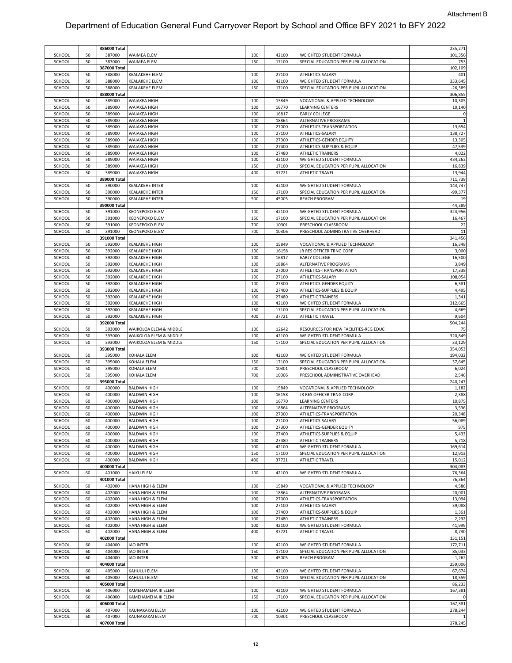|        |    | 386000 Total           |                        |     |       |                                        | 235,271        |
|--------|----|------------------------|------------------------|-----|-------|----------------------------------------|----------------|
| SCHOOL | 50 | 387000                 | WAIMEA ELEM            | 100 | 42100 | WEIGHTED STUDENT FORMULA               | 101,356        |
| SCHOOL | 50 | 387000                 | WAIMEA ELEM            | 150 | 17100 | SPECIAL EDUCATION PER PUPIL ALLOCATION | 753            |
|        |    | 387000 Total           |                        |     |       |                                        | 102,109        |
| SCHOOL | 50 | 388000                 | KEALAKEHE ELEM         | 100 | 27100 | ATHLETICS-SALARY                       | $-401$         |
| SCHOOL | 50 | 388000                 | <b>CEALAKEHE ELEM</b>  | 100 | 42100 | WEIGHTED STUDENT FORMULA               | 333,645        |
| SCHOOL | 50 | 388000                 | KEALAKEHE ELEM         | 150 | 17100 | SPECIAL EDUCATION PER PUPIL ALLOCATION | $-26,389$      |
|        |    |                        |                        |     |       |                                        |                |
|        |    | 388000 Total           |                        |     |       |                                        | 306,855        |
| SCHOOL | 50 | 389000                 | WAIAKEA HIGH           | 100 | 15849 | VOCATIONAL & APPLIED TECHNOLOGY        | 10,305         |
| SCHOOL | 50 | 389000                 | WAIAKEA HIGH           | 100 | 16770 | <b>LEARNING CENTERS</b>                | 19,140         |
| SCHOOL | 50 | 389000                 | WAIAKEA HIGH           | 100 | 16817 | <b>EARLY COLLEGE</b>                   | $\mathfrak{c}$ |
| SCHOOL | 50 | 389000                 | WAIAKEA HIGH           | 100 | 18864 | ALTERNATIVE PROGRAMS                   |                |
| SCHOOL | 50 | 389000                 | WAIAKEA HIGH           | 100 | 27000 | ATHLETICS-TRANSPORTATION               | 13,654         |
| SCHOOL | 50 | 389000                 | WAIAKEA HIGH           | 100 | 27100 | ATHLETICS-SALARY                       | 138,727        |
| SCHOOL | 50 | 389000                 |                        | 100 | 27300 |                                        | 13,305         |
|        |    |                        | WAIAKEA HIGH           |     |       | ATHLETICS-GENDER EQUITY                |                |
| SCHOOL | 50 | 389000                 | WAIAKEA HIGH           | 100 | 27400 | ATHLETICS-SUPPLIES & EQUIP             | 47,539         |
| SCHOOL | 50 | 389000                 | WAIAKEA HIGH           | 100 | 27480 | <b>ATHLETIC TRAINERS</b>               | 4,022          |
| SCHOOL | 50 | 389000                 | WAIAKEA HIGH           | 100 | 42100 | WEIGHTED STUDENT FORMULA               | 434,262        |
| SCHOOL | 50 | 389000                 | WAIAKEA HIGH           | 150 | 17100 | SPECIAL EDUCATION PER PUPIL ALLOCATION | 16,839         |
| SCHOOL | 50 | 389000                 | WAIAKEA HIGH           | 400 | 37721 | <b>ATHLETIC TRAVEL</b>                 | 13,944         |
|        |    | 389000 Total           |                        |     |       |                                        | 711,738        |
| SCHOOL | 50 | 390000                 | KEALAKEHE INTER        | 100 | 42100 | WEIGHTED STUDENT FORMULA               | 143,747        |
| SCHOOL |    | 390000                 | KEALAKEHE INTER        | 150 | 17100 |                                        | $-99,377$      |
|        | 50 |                        |                        |     |       | SPECIAL EDUCATION PER PUPIL ALLOCATION |                |
| SCHOOL | 50 | 390000                 | KEALAKEHE INTER        | 500 | 45005 | <b>REACH PROGRAM</b>                   | 19             |
|        |    | 390000 Total           |                        |     |       |                                        | 44,389         |
| SCHOOL | 50 | 391000                 | <b>KEONEPOKO ELEM</b>  | 100 | 42100 | WEIGHTED STUDENT FORMULA               | 324,956        |
| SCHOOL | 50 | 391000                 | KEONEPOKO ELEM         | 150 | 17100 | SPECIAL EDUCATION PER PUPIL ALLOCATION | 16,467         |
| SCHOOL | 50 | 391000                 | KEONEPOKO ELEM         | 700 | 10301 | PRESCHOOL CLASSROOM                    | 22             |
| SCHOOL | 50 | 391000                 | <b>KEONEPOKO ELEM</b>  | 700 | 10306 | PRESCHOOL ADMINISTRATIVE OVERHEAD      | 11             |
|        |    | 391000 Total           |                        |     |       |                                        | 341,456        |
|        |    |                        |                        |     |       |                                        |                |
| SCHOOL | 50 | 392000                 | KEALAKEHE HIGH         | 100 | 15849 | VOCATIONAL & APPLIED TECHNOLOGY        | 16,348         |
| SCHOOL | 50 | 392000                 | KEALAKEHE HIGH         | 100 | 16158 | JR RES OFFICER TRNG CORP               | 3,000          |
| SCHOOL | 50 | 392000                 | <b>KEALAKEHE HIGH</b>  | 100 | 16817 | <b>EARLY COLLEGE</b>                   | 16,500         |
| SCHOOL | 50 | 392000                 | KEALAKEHE HIGH         | 100 | 18864 | ALTERNATIVE PROGRAMS                   | 3,849          |
| SCHOOL | 50 | 392000                 | KEALAKEHE HIGH         | 100 | 27000 | ATHLETICS-TRANSPORTATION               | 17,338         |
| SCHOOL | 50 | 392000                 | KEALAKEHE HIGH         | 100 | 27100 | ATHLETICS-SALARY                       | 108,054        |
| SCHOOL | 50 | 392000                 | KEALAKEHE HIGH         | 100 | 27300 | ATHLETICS-GENDER EQUITY                | 6,381          |
|        |    |                        |                        |     |       |                                        |                |
| SCHOOL | 50 | 392000                 | KEALAKEHE HIGH         | 100 | 27400 | ATHLETICS-SUPPLIES & EQUIP             | 4,495          |
| SCHOOL | 50 | 392000                 | KEALAKEHE HIGH         | 100 | 27480 | <b>ATHLETIC TRAINERS</b>               | 1,341          |
| SCHOOL | 50 | 392000                 | KEALAKEHE HIGH         | 100 | 42100 | WEIGHTED STUDENT FORMULA               | 312,665        |
| SCHOOL | 50 | 392000                 | KEALAKEHE HIGH         | 150 | 17100 | SPECIAL EDUCATION PER PUPIL ALLOCATION | 4,669          |
| SCHOOL | 50 | 392000                 | <b>KEALAKEHE HIGH</b>  | 400 | 37721 | <b>ATHLETIC TRAVEL</b>                 | 9,604          |
|        |    | 392000 Total           |                        |     |       |                                        | 504,244        |
| SCHOOL | 50 | 393000                 | WAIKOLOA ELEM & MIDDLE | 100 | 12642 | RESOURCES FOR NEW FACILITIES-REG EDUC  | 75             |
| SCHOOL | 50 |                        |                        | 100 | 42100 |                                        | 320,849        |
|        |    | 393000                 | WAIKOLOA ELEM & MIDDLE |     |       | WEIGHTED STUDENT FORMULA               |                |
| SCHOOL | 50 | 393000                 | WAIKOLOA ELEM & MIDDLE | 150 | 17100 | SPECIAL EDUCATION PER PUPIL ALLOCATION | 33,129         |
|        |    | 393000 Total           |                        |     |       |                                        | 354,053        |
| SCHOOL | 50 | 395000                 | KOHALA ELEM            | 100 | 42100 | WEIGHTED STUDENT FORMULA               | 194,032        |
| SCHOOL | 50 | 395000                 | KOHALA ELEM            | 150 | 17100 | SPECIAL EDUCATION PER PUPIL ALLOCATION | 37,645         |
| SCHOOL | 50 | 395000                 | KOHALA ELEM            | 700 | 10301 | PRESCHOOL CLASSROOM                    | 6,024          |
| SCHOOL | 50 | 395000                 | KOHALA ELEM            | 700 | 10306 | PRESCHOOL ADMINISTRATIVE OVERHEAD      | 2,546          |
|        |    | 395000 Total           |                        |     |       |                                        | 240,247        |
|        |    |                        |                        |     |       |                                        |                |
| SCHOOL | 60 | 400000                 | <b>BALDWIN HIGH</b>    | 100 | 15849 | VOCATIONAL & APPLIED TECHNOLOGY        | 1,182          |
|        |    |                        |                        | 100 | 16158 | JR RES OFFICER TRNG CORP               | 2,388          |
| SCHOOL | 60 | 400000                 | <b>BALDWIN HIGH</b>    |     |       |                                        |                |
| SCHOOL | 60 | 400000                 | <b>BALDWIN HIGH</b>    | 100 | 16770 | <b>LEARNING CENTERS</b>                | 10,875         |
| SCHOOL | 60 | 400000                 | <b>BALDWIN HIGH</b>    | 100 | 18864 | ALTERNATIVE PROGRAMS                   | 3,536          |
| SCHOOL | 60 | 400000                 | <b>BALDWIN HIGH</b>    | 100 | 27000 |                                        | 20,348         |
|        |    |                        |                        |     |       | ATHLETICS-TRANSPORTATION               |                |
| SCHOOL | 60 | 400000                 | <b>BALDWIN HIGH</b>    | 100 | 27100 | ATHLETICS-SALARY                       | 56,089         |
| SCHOOL | 60 | 400000                 | <b>BALDWIN HIGH</b>    | 100 | 27300 | ATHLETICS-GENDER EQUITY                | 975            |
| SCHOOL | 60 | 400000                 | <b>BALDWIN HIGH</b>    | 100 | 27400 | ATHLETICS-SUPPLIES & EQUIP             | 5,433          |
| SCHOOL | 60 | 400000                 | <b>BALDWIN HIGH</b>    | 100 | 27480 | <b>ATHLETIC TRAINERS</b>               | 5,718          |
| SCHOOL | 60 | 400000                 | <b>BALDWIN HIGH</b>    | 100 | 42100 | WEIGHTED STUDENT FORMULA               | 169,614        |
| SCHOOL | 60 | 400000                 | <b>BALDWIN HIGH</b>    | 150 | 17100 | SPECIAL EDUCATION PER PUPIL ALLOCATION | 12,913         |
| SCHOOL | 60 | 400000                 | <b>BALDWIN HIGH</b>    | 400 | 37721 | ATHLETIC TRAVEL                        | 15,012         |
|        |    | 400000 Total           |                        |     |       |                                        | 304,083        |
|        | 60 | 401000                 | <b>HAIKU ELEM</b>      | 100 | 42100 |                                        |                |
| SCHOOL |    |                        |                        |     |       | WEIGHTED STUDENT FORMULA               | 76,364         |
|        |    | 401000 Total           |                        |     |       |                                        | 76,364         |
| SCHOOL | 60 | 402000                 | HANA HIGH & ELEM       | 100 | 15849 | VOCATIONAL & APPLIED TECHNOLOGY        | 4,586          |
| SCHOOL | 60 | 402000                 | HANA HIGH & ELEM       | 100 | 18864 | ALTERNATIVE PROGRAMS                   | 20,001         |
| SCHOOL | 60 | 402000                 | HANA HIGH & ELEM       | 100 | 27000 | ATHLETICS-TRANSPORTATION               | 13,094         |
| SCHOOL | 60 | 402000                 | HANA HIGH & ELEM       | 100 | 27100 | ATHLETICS-SALARY                       | 39,088         |
| SCHOOL | 60 | 402000                 | HANA HIGH & ELEM       | 100 | 27400 | ATHLETICS-SUPPLIES & EQUIP             | 1,361          |
| SCHOOL | 60 | 402000                 | HANA HIGH & ELEM       | 100 | 27480 | <b>ATHLETIC TRAINERS</b>               | 2,292          |
|        |    |                        |                        |     |       |                                        |                |
| SCHOOL | 60 | 402000                 | HANA HIGH & ELEM       | 100 | 42100 | WEIGHTED STUDENT FORMULA               | 41,999         |
| SCHOOL | 60 | 402000                 | HANA HIGH & ELEM       | 400 | 37721 | ATHLETIC TRAVEL                        | 8,730          |
|        |    | 402000 Total           |                        |     |       |                                        | 131,151        |
| SCHOOL | 60 | 404000                 | <b>IAO INTER</b>       | 100 | 42100 | WEIGHTED STUDENT FORMULA               | 172,711        |
| SCHOOL | 60 | 404000                 | <b>IAO INTER</b>       | 150 | 17100 | SPECIAL EDUCATION PER PUPIL ALLOCATION | 85,033         |
| SCHOOL | 60 | 404000                 | <b>IAO INTER</b>       | 500 | 45005 | <b>REACH PROGRAM</b>                   | 1,262          |
|        |    | 404000 Total           |                        |     |       |                                        | 259,006        |
|        | 60 | 405000                 |                        |     | 42100 |                                        |                |
| SCHOOL |    |                        | KAHULUI ELEM           | 100 |       | WEIGHTED STUDENT FORMULA               | 67,674         |
| SCHOOL | 60 | 405000                 | KAHULUI ELEM           | 150 | 17100 | SPECIAL EDUCATION PER PUPIL ALLOCATION | 18,559         |
|        |    | 405000 Total           |                        |     |       |                                        | 86,233         |
| SCHOOL | 60 | 406000                 | KAMEHAMEHA III ELEM    | 100 | 42100 | WEIGHTED STUDENT FORMULA               | 167,381        |
| SCHOOL | 60 | 406000                 | KAMEHAMEHA III ELEM    | 150 | 17100 | SPECIAL EDUCATION PER PUPIL ALLOCATION |                |
|        |    | 406000 Total           |                        |     |       |                                        | 167,381        |
| SCHOOL | 60 | 407000                 | KAUNAKAKAI ELEM        | 100 | 42100 | WEIGHTED STUDENT FORMULA               | 278,244        |
|        |    |                        |                        |     |       |                                        |                |
| SCHOOL | 60 | 407000<br>407000 Total | KAUNAKAKAI ELEM        | 700 | 10301 | PRESCHOOL CLASSROOM                    | 278,245        |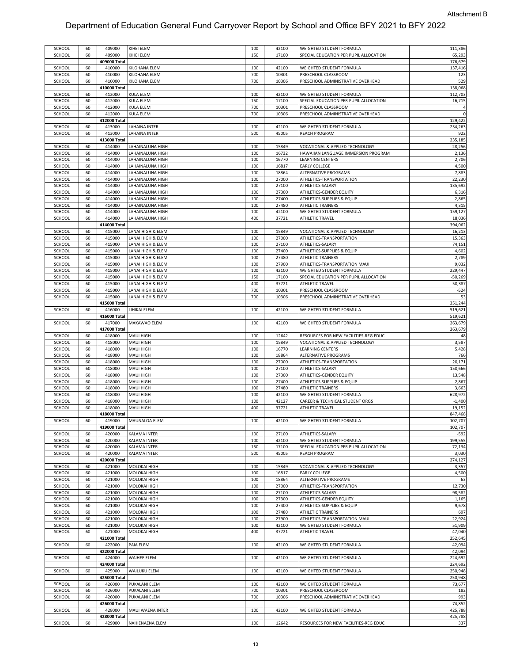| SCHOOL | 60 | 409000       | KIHEI ELEM           | 100 | 42100 | WEIGHTED STUDENT FORMULA               | 111,386        |
|--------|----|--------------|----------------------|-----|-------|----------------------------------------|----------------|
| SCHOOL | 60 | 409000       | KIHEI ELEM           | 150 | 17100 | SPECIAL EDUCATION PER PUPIL ALLOCATION | 65,293         |
|        |    | 409000 Total |                      |     |       |                                        | 176,679        |
| SCHOOL |    | 410000       | KILOHANA ELEM        | 100 | 42100 | WEIGHTED STUDENT FORMULA               |                |
|        | 60 |              |                      |     |       |                                        | 137,416        |
| SCHOOL | 60 | 410000       | KILOHANA ELEM        | 700 | 10301 | PRESCHOOL CLASSROOM                    | 123            |
| SCHOOL | 60 | 410000       | KILOHANA ELEM        | 700 | 10306 | PRESCHOOL ADMINISTRATIVE OVERHEAD      | 529            |
|        |    | 410000 Total |                      |     |       |                                        | 138,068        |
| SCHOOL | 60 | 412000       | <b>KULA ELEM</b>     | 100 | 42100 | WEIGHTED STUDENT FORMULA               | 112,703        |
| SCHOOL | 60 | 412000       | <b>KULA ELEM</b>     | 150 | 17100 | SPECIAL EDUCATION PER PUPIL ALLOCATION | 16,715         |
| SCHOOL | 60 | 412000       | KULA ELEM            | 700 | 10301 | PRESCHOOL CLASSROOM                    | $\overline{4}$ |
| SCHOOL | 60 | 412000       | <b>KULA ELEM</b>     | 700 | 10306 | PRESCHOOL ADMINISTRATIVE OVERHEAD      | $\pmb{0}$      |
|        |    | 412000 Total |                      |     |       |                                        | 129,422        |
| SCHOOL | 60 | 413000       | LAHAINA INTER        | 100 | 42100 | WEIGHTED STUDENT FORMULA               | 234,263        |
| SCHOOL | 60 | 413000       | LAHAINA INTER        | 500 | 45005 | REACH PROGRAM                          | 922            |
|        |    | 413000 Total |                      |     |       |                                        | 235,185        |
| SCHOOL | 60 | 414000       | LAHAINALUNA HIGH     | 100 | 15849 | VOCATIONAL & APPLIED TECHNOLOGY        | 28,256         |
| SCHOOL | 60 | 414000       | LAHAINALUNA HIGH     | 100 | 16732 | HAWAIIAN LANGUAGE IMMERSION PROGRAM    | 2,136          |
| SCHOOL | 60 | 414000       | LAHAINALUNA HIGH     | 100 | 16770 | LEARNING CENTERS                       | 2,706          |
| SCHOOL | 60 | 414000       | LAHAINALUNA HIGH     | 100 | 16817 | <b>EARLY COLLEGE</b>                   | 4,500          |
| SCHOOL | 60 | 414000       | LAHAINALUNA HIGH     | 100 | 18864 | ALTERNATIVE PROGRAMS                   | 7,883          |
| SCHOOL | 60 | 414000       | LAHAINALUNA HIGH     | 100 | 27000 | ATHLETICS-TRANSPORTATION               | 22,230         |
| SCHOOL | 60 | 414000       | LAHAINALUNA HIGH     | 100 | 27100 | ATHLETICS-SALARY                       | 135,692        |
| SCHOOL | 60 | 414000       | AHAINALUNA HIGH      | 100 | 27300 | ATHLETICS-GENDER EQUITY                | 6,316          |
| SCHOOL | 60 | 414000       | LAHAINALUNA HIGH     | 100 | 27400 | ATHLETICS-SUPPLIES & EQUIP             | 2,865          |
| SCHOOL | 60 | 414000       | LAHAINALUNA HIGH     | 100 | 27480 | ATHLETIC TRAINERS                      | 4,315          |
| SCHOOL | 60 | 414000       | LAHAINALUNA HIGH     | 100 | 42100 | WEIGHTED STUDENT FORMULA               | 159,127        |
| SCHOOL | 60 | 414000       | LAHAINALUNA HIGH     | 400 | 37721 | ATHLETIC TRAVEL                        | 18,036         |
|        |    | 414000 Total |                      |     |       |                                        | 394,062        |
| SCHOOL | 60 | 415000       | LANAI HIGH & ELEM    | 100 | 15849 | VOCATIONAL & APPLIED TECHNOLOGY        | 16,213         |
| SCHOOL | 60 | 415000       | ANAI HIGH & ELEM     | 100 | 27000 | ATHLETICS-TRANSPORTATION               | 15,363         |
|        |    |              |                      |     |       |                                        |                |
| SCHOOL | 60 | 415000       | LANAI HIGH & ELEM    | 100 | 27100 | ATHLETICS-SALARY                       | 74,151         |
| SCHOOL | 60 | 415000       | LANAI HIGH & ELEM    | 100 | 27400 | ATHLETICS-SUPPLIES & EQUIP             | 4,602          |
| SCHOOL | 60 | 415000       | ANAI HIGH & ELEM     | 100 | 27480 | <b>ATHLETIC TRAINERS</b>               | 2,789          |
| SCHOOL | 60 | 415000       | LANAI HIGH & ELEM    | 100 | 27900 | ATHLETICS-TRANSPORTATION MAUI          | 9,032          |
| SCHOOL | 60 | 415000       | LANAI HIGH & ELEM    | 100 | 42100 | WEIGHTED STUDENT FORMULA               | 229,447        |
| SCHOOL | 60 | 415000       | LANAI HIGH & ELEM    | 150 | 17100 | SPECIAL EDUCATION PER PUPIL ALLOCATION | $-50,269$      |
| SCHOOL | 60 | 415000       | LANAI HIGH & ELEM    | 400 | 37721 | ATHLETIC TRAVEL                        | 50,387         |
| SCHOOL | 60 | 415000       | ANAI HIGH & ELEM     | 700 | 10301 | PRESCHOOL CLASSROOM                    | $-524$         |
| SCHOOL | 60 | 415000       | LANAI HIGH & ELEM    | 700 | 10306 | PRESCHOOL ADMINISTRATIVE OVERHEAD      | 53             |
|        |    | 415000 Total |                      |     |       |                                        | 351,244        |
| SCHOOL | 60 | 416000       | LIHIKAI ELEM         | 100 | 42100 | WEIGHTED STUDENT FORMULA               | 519,621        |
|        |    |              |                      |     |       |                                        |                |
|        |    | 416000 Total |                      |     |       |                                        | 519,621        |
| SCHOOL | 60 | 417000       | MAKAWAO ELEM         | 100 | 42100 | WEIGHTED STUDENT FORMULA               | 263,679        |
|        |    | 417000 Total |                      |     |       |                                        | 263,679        |
| SCHOOL | 60 | 418000       | <b>MAUI HIGH</b>     | 100 | 12642 | RESOURCES FOR NEW FACILITIES-REG EDUC  | 48             |
| SCHOOL | 60 | 418000       | <b>MAUI HIGH</b>     | 100 | 15849 | VOCATIONAL & APPLIED TECHNOLOGY        | 3,587          |
| SCHOOL | 60 | 418000       | <b>MAUI HIGH</b>     | 100 | 16770 | LEARNING CENTERS                       | 5,428          |
| SCHOOL | 60 | 418000       | <b>MAUI HIGH</b>     | 100 | 18864 | ALTERNATIVE PROGRAMS                   | 766            |
| SCHOOL | 60 | 418000       | <b>MAUI HIGH</b>     | 100 | 27000 | ATHLETICS-TRANSPORTATION               | 20,171         |
| SCHOOL | 60 | 418000       | MAUI HIGH            | 100 | 27100 | ATHLETICS-SALARY                       | 150,666        |
| SCHOOL | 60 | 418000       | <b>MAUI HIGH</b>     | 100 | 27300 | ATHLETICS-GENDER EQUITY                | 13,548         |
| SCHOOL | 60 | 418000       | <b>MAUI HIGH</b>     | 100 | 27400 | ATHLETICS-SUPPLIES & EQUIP             | 2,867          |
| SCHOOL | 60 | 418000       | <b>MAUI HIGH</b>     | 100 | 27480 | ATHLETIC TRAINERS                      | 3,663          |
| SCHOOL | 60 | 418000       | <b>MAUI HIGH</b>     | 100 | 42100 | WEIGHTED STUDENT FORMULA               | 628,972        |
| SCHOOL | 60 | 418000       | <b>MAUI HIGH</b>     | 100 | 42127 | CAREER & TECHNICAL STUDENT ORGS        | $-1,400$       |
|        |    |              |                      |     |       |                                        |                |
| SCHOOL | 60 | 418000       | <b>MAUI HIGH</b>     | 400 | 37721 | <b>ATHLETIC TRAVEL</b>                 | 19,152         |
|        |    | 418000 Total |                      |     |       |                                        | 847,468        |
| SCHOOL | 60 | 419000       | <b>MAUNALOA ELEM</b> | 100 | 42100 | WEIGHTED STUDENT FORMULA               | 102,707        |
|        |    | 419000 Total |                      |     |       |                                        | 102,707        |
| SCHOOL | 60 | 420000       | KALAMA INTER         | 100 | 27100 | ATHLETICS-SALARY                       | $-592$         |
| SCHOOL | 60 | 420000       | <b>KALAMA INTER</b>  | 100 | 42100 | WEIGHTED STUDENT FORMULA               | 199,555        |
| SCHOOL | 60 | 420000       | KALAMA INTER         | 150 | 17100 | SPECIAL EDUCATION PER PUPIL ALLOCATION | 72,134         |
| SCHOOL | 60 | 420000       | KALAMA INTER         | 500 | 45005 | <b>REACH PROGRAM</b>                   | 3,030          |
|        |    | 420000 Total |                      |     |       |                                        | 274,127        |
| SCHOOL | 60 | 421000       | MOLOKAI HIGH         | 100 | 15849 | VOCATIONAL & APPLIED TECHNOLOGY        | 3,357          |
| SCHOOL | 60 | 421000       | MOLOKAI HIGH         | 100 | 16817 | <b>EARLY COLLEGE</b>                   | 4,500          |
| SCHOOL | 60 | 421000       | MOLOKAI HIGH         | 100 | 18864 | ALTERNATIVE PROGRAMS                   | 63             |
| SCHOOL | 60 | 421000       | MOLOKAI HIGH         | 100 | 27000 | ATHLETICS-TRANSPORTATION               | 12,730         |
| SCHOOL | 60 | 421000       | MOLOKAI HIGH         | 100 | 27100 | ATHLETICS-SALARY                       | 98,582         |
| SCHOOL | 60 | 421000       | MOLOKAI HIGH         | 100 | 27300 | ATHLETICS-GENDER EQUITY                | 1,165          |
| SCHOOL | 60 | 421000       | MOLOKAI HIGH         | 100 | 27400 | ATHLETICS-SUPPLIES & EQUIP             | 9,678          |
| SCHOOL | 60 | 421000       | <b>MOLOKAI HIGH</b>  | 100 | 27480 | ATHLETIC TRAINERS                      | 697            |
| SCHOOL |    | 421000       |                      |     |       | ATHLETICS-TRANSPORTATION MAUI          | 22,924         |
|        | 60 |              | MOLOKAI HIGH         | 100 | 27900 | WEIGHTED STUDENT FORMULA               |                |
| SCHOOL | 60 | 421000       | MOLOKAI HIGH         | 100 | 42100 |                                        | 51,909         |
| SCHOOL | 60 | 421000       | MOLOKAI HIGH         | 400 | 37721 | ATHLETIC TRAVEL                        | 47,040         |
|        |    | 421000 Total |                      |     |       |                                        | 252,645        |
| SCHOOL | 60 | 422000       | PAIA ELEM            | 100 | 42100 | WEIGHTED STUDENT FORMULA               | 42,094         |
|        |    | 422000 Total |                      |     |       |                                        | 42,094         |
| SCHOOL | 60 | 424000       | <b>WAIHEE ELEM</b>   | 100 | 42100 | WEIGHTED STUDENT FORMULA               | 224,692        |
|        |    | 424000 Total |                      |     |       |                                        | 224,692        |
| SCHOOL | 60 | 425000       | <b>WAILUKU ELEM</b>  | 100 | 42100 | WEIGHTED STUDENT FORMULA               | 250,948        |
|        |    | 425000 Total |                      |     |       |                                        | 250,948        |
| SCHOOL | 60 | 426000       | PUKALANI ELEM        | 100 | 42100 | WEIGHTED STUDENT FORMULA               | 73,677         |
| SCHOOL | 60 | 426000       | PUKALANI ELEM        | 700 | 10301 | PRESCHOOL CLASSROOM                    | 182            |
| SCHOOL | 60 | 426000       | PUKALANI ELEM        | 700 | 10306 | PRESCHOOL ADMINISTRATIVE OVERHEAD      | 993            |
|        |    | 426000 Total |                      |     |       |                                        | 74,852         |
|        |    |              |                      |     |       |                                        | 425,788        |
| SCHOOL | 60 | 428000       | MAUI WAENA INTER     | 100 | 42100 | WEIGHTED STUDENT FORMULA               |                |
| SCHOOL |    | 428000 Total |                      |     |       |                                        | 425,788        |
|        | 60 | 429000       | NAHIENAENA ELEM      | 100 | 12642 | RESOURCES FOR NEW FACILITIES-REG EDUC  | 337            |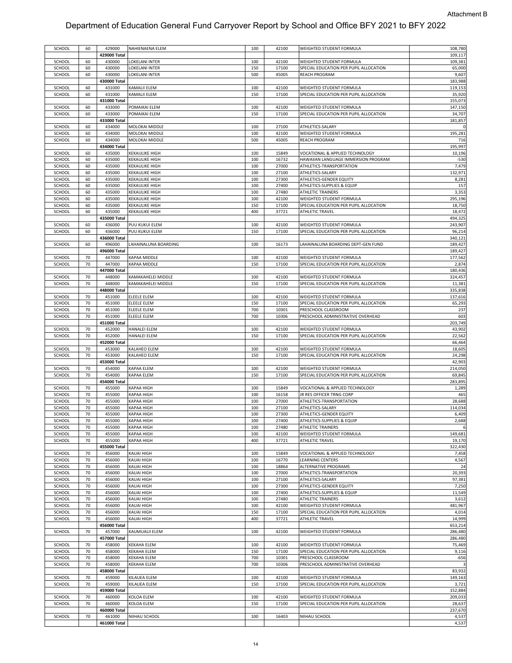| SCHOOL | 60 | 429000                 | NAHIENAENA ELEM       | 100 | 42100 | WEIGHTED STUDENT FORMULA               | 108,780        |
|--------|----|------------------------|-----------------------|-----|-------|----------------------------------------|----------------|
|        |    |                        |                       |     |       |                                        |                |
|        |    | 429000 Total           |                       |     |       |                                        | 109,117        |
| SCHOOL | 60 | 430000                 | LOKELANI INTER        | 100 | 42100 | WEIGHTED STUDENT FORMULA               | 109,381        |
| SCHOOL | 60 | 430000                 | LOKELANI INTER        | 150 | 17100 | SPECIAL EDUCATION PER PUPIL ALLOCATION | 65,000         |
| SCHOOL | 60 | 430000                 | LOKELANI INTER        | 500 | 45005 | <b>REACH PROGRAM</b>                   | 9,607          |
|        |    | 430000 Total           |                       |     |       |                                        | 183,988        |
| SCHOOL | 60 | 431000                 | KAMALII ELEM          | 100 | 42100 | WEIGHTED STUDENT FORMULA               | 119,153        |
| SCHOOL | 60 | 431000                 | <b>KAMALII ELEM</b>   | 150 | 17100 | SPECIAL EDUCATION PER PUPIL ALLOCATION | 35,920         |
|        |    |                        |                       |     |       |                                        |                |
|        |    | 431000 Total           |                       |     |       |                                        | 155,073        |
| SCHOOL | 60 | 433000                 | POMAIKAI ELEM         | 100 | 42100 | WEIGHTED STUDENT FORMULA               | 147,150        |
| SCHOOL | 60 | 433000                 | POMAIKAI ELEM         | 150 | 17100 | SPECIAL EDUCATION PER PUPIL ALLOCATION | 34,707         |
|        |    | 433000 Total           |                       |     |       |                                        | 181,857        |
|        |    |                        |                       |     |       |                                        |                |
| SCHOOL | 60 | 434000                 | MOLOKAI MIDDLE        | 100 | 27100 | ATHLETICS-SALARY                       | $\mathfrak{c}$ |
| SCHOOL | 60 | 434000                 | MOLOKAI MIDDLE        | 100 | 42100 | WEIGHTED STUDENT FORMULA               | 195,281        |
| SCHOOL | 60 | 434000                 | MOLOKAI MIDDLE        | 500 | 45005 | <b>REACH PROGRAM</b>                   | 716            |
|        |    | 434000 Total           |                       |     |       |                                        | 195,997        |
|        |    |                        |                       | 100 |       |                                        |                |
| SCHOOL | 60 | 435000                 | <b>KEKAULIKE HIGH</b> |     | 15849 | VOCATIONAL & APPLIED TECHNOLOGY        | 10,196         |
| SCHOOL | 60 | 435000                 | <b>KEKAULIKE HIGH</b> | 100 | 16732 | HAWAIIAN LANGUAGE IMMERSION PROGRAM    | $-530$         |
| SCHOOL | 60 | 435000                 | <b>KEKAULIKE HIGH</b> | 100 | 27000 | ATHLETICS-TRANSPORTATION               | 7,479          |
| SCHOOL | 60 | 435000                 | <b>KEKAULIKE HIGH</b> | 100 | 27100 | ATHLETICS-SALARY                       | 132,971        |
| SCHOOL | 60 | 435000                 | <b>KEKAULIKE HIGH</b> | 100 | 27300 | ATHLETICS-GENDER EQUITY                | 8,281          |
|        |    |                        |                       |     |       |                                        |                |
| SCHOOL | 60 | 435000                 | <b>KEKAULIKE HIGH</b> | 100 | 27400 | ATHLETICS-SUPPLIES & EQUIP             | 157            |
| SCHOOL | 60 | 435000                 | <b>KEKAULIKE HIGH</b> | 100 | 27480 | ATHLETIC TRAINERS                      | 3,353          |
| SCHOOL | 60 | 435000                 | <b>KEKAULIKE HIGH</b> | 100 | 42100 | WEIGHTED STUDENT FORMULA               | 295,196        |
| SCHOOL | 60 | 435000                 | <b>KEKAULIKE HIGH</b> | 150 | 17100 | SPECIAL EDUCATION PER PUPIL ALLOCATION | 18,750         |
|        |    |                        |                       |     |       |                                        |                |
| SCHOOL | 60 | 435000                 | <b>KEKAULIKE HIGH</b> | 400 | 37721 | <b>ATHLETIC TRAVEL</b>                 | 18,472         |
|        |    | 435000 Total           |                       |     |       |                                        | 494,325        |
| SCHOOL | 60 | 436000                 | PUU KUKUI ELEM        | 100 | 42100 | WEIGHTED STUDENT FORMULA               | 243,907        |
| SCHOOL | 60 | 436000                 | PUU KUKUI ELEM        | 150 | 17100 | SPECIAL EDUCATION PER PUPIL ALLOCATION | 96,214         |
|        |    | 436000 Total           |                       |     |       |                                        | 340,121        |
|        |    |                        |                       |     |       |                                        |                |
| SCHOOL | 60 | 496000                 | LAHAINALUNA BOARDING  | 100 | 16173 | LAHAINALUNA BOARDING DEPT-GEN FUND     | 189,427        |
|        |    | 496000 Total           |                       |     |       |                                        | 189,427        |
| SCHOOL | 70 | 447000                 | KAPAA MIDDLE          | 100 | 42100 | WEIGHTED STUDENT FORMULA               | 177,562        |
| SCHOOL | 70 | 447000                 | KAPAA MIDDLE          | 150 | 17100 | SPECIAL EDUCATION PER PUPIL ALLOCATION | 2,874          |
|        |    |                        |                       |     |       |                                        |                |
|        |    | 447000 Total           |                       |     |       |                                        | 180,436        |
| SCHOOL | 70 | 448000                 | KAMAKAHELEI MIDDLE    | 100 | 42100 | WEIGHTED STUDENT FORMULA               | 324,457        |
| SCHOOL | 70 | 448000                 | KAMAKAHELEI MIDDLE    | 150 | 17100 | SPECIAL EDUCATION PER PUPIL ALLOCATION | 11,381         |
|        |    | 448000 Total           |                       |     |       |                                        | 335,838        |
|        |    |                        |                       |     |       |                                        |                |
| SCHOOL | 70 | 451000                 | <b>ELEELE ELEM</b>    | 100 | 42100 | WEIGHTED STUDENT FORMULA               | 137,616        |
| SCHOOL | 70 | 451000                 | <b>ELEELE ELEM</b>    | 150 | 17100 | SPECIAL EDUCATION PER PUPIL ALLOCATION | 65,293         |
| SCHOOL | 70 | 451000                 | <b>ELEELE ELEM</b>    | 700 | 10301 | PRESCHOOL CLASSROOM                    | 237            |
| SCHOOL | 70 | 451000                 | ELEELE ELEM           | 700 | 10306 | PRESCHOOL ADMINISTRATIVE OVERHEAD      | 603            |
|        |    |                        |                       |     |       |                                        |                |
|        |    | 451000 Total           |                       |     |       |                                        | 203,749        |
| SCHOOL | 70 | 452000                 | <b>HANALEI ELEM</b>   | 100 | 42100 | WEIGHTED STUDENT FORMULA               | 43,902         |
| SCHOOL | 70 | 452000                 | <b>HANALEI ELEM</b>   | 150 | 17100 | SPECIAL EDUCATION PER PUPIL ALLOCATION | 22,562         |
|        |    | 452000 Total           |                       |     |       |                                        | 66,464         |
|        |    |                        |                       |     |       |                                        |                |
| SCHOOL | 70 | 453000                 | KALAHEO ELEM          | 100 | 42100 | WEIGHTED STUDENT FORMULA               | 18,605         |
| SCHOOL | 70 | 453000                 | KALAHEO ELEM          | 150 | 17100 | SPECIAL EDUCATION PER PUPIL ALLOCATION | 24,298         |
|        |    | 453000 Total           |                       |     |       |                                        | 42,903         |
| SCHOOL | 70 | 454000                 | KAPAA ELEM            | 100 | 42100 | WEIGHTED STUDENT FORMULA               | 214,050        |
| SCHOOL | 70 | 454000                 | KAPAA ELEM            | 150 | 17100 | SPECIAL EDUCATION PER PUPIL ALLOCATION | 69,845         |
|        |    |                        |                       |     |       |                                        |                |
|        |    | 454000 Total           |                       |     |       |                                        | 283,895        |
| SCHOOL | 70 | 455000                 | KAPAA HIGH            | 100 | 15849 | VOCATIONAL & APPLIED TECHNOLOGY        | 1,289          |
| SCHOOL | 70 | 455000                 | KAPAA HIGH            | 100 | 16158 | JR RES OFFICER TRNG CORP               | 465            |
| SCHOOL | 70 | 455000                 | <b>KAPAA HIGH</b>     | 100 | 27000 | ATHLETICS-TRANSPORTATION               | 28,688         |
|        |    |                        |                       |     |       |                                        |                |
| SCHOOL | 70 | 455000                 | <b>KAPAA HIGH</b>     | 100 | 27100 | ATHLETICS-SALARY                       | 114,034        |
| SCHOOL | 70 | 455000                 | <b>KAPAA HIGH</b>     | 100 | 27300 | ATHLETICS-GENDER EQUITY                | 6,409          |
| SCHOOL | 70 | 455000                 | KAPAA HIGH            | 100 | 27400 | ATHLETICS-SUPPLIES & EQUIP             | 2,688          |
| SCHOOL | 70 | 455000                 | <b>KAPAA HIGH</b>     | 100 | 27480 | <b>ATHLETIC TRAINERS</b>               | 6              |
| SCHOOL | 70 | 455000                 | <b>KAPAA HIGH</b>     | 100 | 42100 | WEIGHTED STUDENT FORMULA               | 149,681        |
|        |    |                        |                       |     |       |                                        |                |
| SCHOOL | 70 | 455000                 | <b>KAPAA HIGH</b>     | 400 | 37721 | <b>ATHLETIC TRAVEL</b>                 | 19,170         |
|        |    | 455000 Total           |                       |     |       |                                        | 322,430        |
| SCHOOL | 70 | 456000                 | KAUAI HIGH            | 100 | 15849 | VOCATIONAL & APPLIED TECHNOLOGY        | 7,458          |
| SCHOOL | 70 | 456000                 | KAUAI HIGH            | 100 | 16770 | LEARNING CENTERS                       | 4,567          |
| SCHOOL | 70 | 456000                 | KAUAI HIGH            | 100 | 18864 | ALTERNATIVE PROGRAMS                   | 24             |
|        |    |                        |                       |     |       |                                        |                |
| SCHOOL | 70 | 456000                 | <b>KAUAI HIGH</b>     | 100 | 27000 | ATHLETICS-TRANSPORTATION               | 20,393         |
| SCHOOL | 70 | 456000                 | KAUAI HIGH            | 100 | 27100 | ATHLETICS-SALARY                       | 97,381         |
| SCHOOL | 70 | 456000                 | <b>KAUAI HIGH</b>     | 100 | 27300 | ATHLETICS-GENDER EQUITY                | 7,250          |
| SCHOOL | 70 | 456000                 | <b>KAUAI HIGH</b>     | 100 | 27400 | ATHLETICS-SUPPLIES & EQUIP             | 11,549         |
|        | 70 | 456000                 |                       |     |       |                                        | 3,612          |
| SCHOOL |    |                        | <b>KAUAI HIGH</b>     | 100 | 27480 | ATHLETIC TRAINERS                      |                |
| SCHOOL | 70 | 456000                 | <b>KAUAI HIGH</b>     | 100 | 42100 | WEIGHTED STUDENT FORMULA               | 481,967        |
| SCHOOL | 70 | 456000                 | <b>KAUAI HIGH</b>     | 150 | 17100 | SPECIAL EDUCATION PER PUPIL ALLOCATION | 4,014          |
| SCHOOL | 70 | 456000                 | <b>KAUAI HIGH</b>     | 400 | 37721 | ATHLETIC TRAVEL                        | 14,999         |
|        |    | 456000 Total           |                       |     |       |                                        | 653,214        |
|        |    |                        |                       |     |       |                                        |                |
| SCHOOL | 70 | 457000                 | KAUMUALII ELEM        | 100 | 42100 | WEIGHTED STUDENT FORMULA               | 286,480        |
|        |    | 457000 Total           |                       |     |       |                                        | 286,480        |
| SCHOOL | 70 | 458000                 | KEKAHA ELEM           | 100 | 42100 | WEIGHTED STUDENT FORMULA               | 75,469         |
| SCHOOL |    | 458000                 | <b>KEKAHA ELEM</b>    | 150 | 17100 | SPECIAL EDUCATION PER PUPIL ALLOCATION | 9,116          |
|        |    |                        |                       |     |       |                                        |                |
|        | 70 |                        | <b>KEKAHA ELEM</b>    | 700 | 10301 | PRESCHOOL CLASSROOM                    | $-656$         |
| SCHOOL | 70 | 458000                 |                       | 700 | 10306 | PRESCHOOL ADMINISTRATIVE OVERHEAD      |                |
| SCHOOL | 70 | 458000                 | <b>KEKAHA ELEM</b>    |     |       |                                        |                |
|        |    | 458000 Total           |                       |     |       |                                        |                |
|        |    |                        |                       |     |       |                                        | 83,932         |
| SCHOOL | 70 | 459000                 | KILAUEA ELEM          | 100 | 42100 | WEIGHTED STUDENT FORMULA               | 149,163        |
| SCHOOL | 70 | 459000                 | KILAUEA ELEM          | 150 | 17100 | SPECIAL EDUCATION PER PUPIL ALLOCATION | 3,721          |
|        |    | 459000 Total           |                       |     |       |                                        | 152,884        |
| SCHOOL | 70 | 460000                 | KOLOA ELEM            | 100 | 42100 | WEIGHTED STUDENT FORMULA               | 209,033        |
|        |    |                        |                       |     |       |                                        |                |
| SCHOOL | 70 | 460000                 | KOLOA ELEM            | 150 | 17100 | SPECIAL EDUCATION PER PUPIL ALLOCATION | 28,637         |
|        |    | 460000 Total           |                       |     |       |                                        | 237,670        |
| SCHOOL | 70 | 461000<br>461000 Total | NIIHAU SCHOOL         | 100 | 16403 | NIIHAU SCHOOL                          | 4,537<br>4,537 |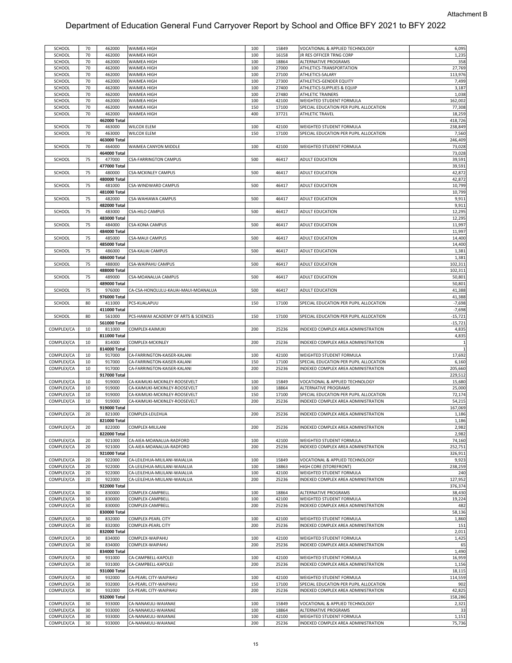| SCHOOL<br>SCHOOL         |          |                  |                                            |            |                |                                                                 |                 |
|--------------------------|----------|------------------|--------------------------------------------|------------|----------------|-----------------------------------------------------------------|-----------------|
|                          | 70       | 462000           | WAIMEA HIGH                                | 100        | 15849          | VOCATIONAL & APPLIED TECHNOLOGY                                 | 6,095           |
|                          | 70       | 462000           | WAIMEA HIGH                                | 100        | 16158          | JR RES OFFICER TRNG CORP                                        | 1,235           |
|                          |          |                  |                                            |            |                |                                                                 |                 |
| SCHOOL                   | 70       | 462000           | WAIMEA HIGH                                | 100        | 18864          | ALTERNATIVE PROGRAMS                                            | 358             |
| SCHOOL                   | 70       | 462000           | WAIMEA HIGH                                | 100        | 27000          | ATHLETICS-TRANSPORTATION                                        | 27,769          |
|                          |          |                  |                                            |            |                |                                                                 |                 |
| SCHOOL                   | 70       | 462000           | WAIMEA HIGH                                | 100        | 27100          | ATHLETICS-SALARY                                                | 113,976         |
| SCHOOL                   | 70       | 462000           | WAIMEA HIGH                                | 100        | 27300          | ATHLETICS-GENDER EQUITY                                         | 7,499           |
|                          |          |                  |                                            |            |                |                                                                 |                 |
| SCHOOL                   | 70       | 462000           | WAIMEA HIGH                                | 100        | 27400          | ATHLETICS-SUPPLIES & EQUIP                                      | 3,187           |
| SCHOOL                   | 70       | 462000           | WAIMEA HIGH                                | 100        | 27480          | ATHLETIC TRAINERS                                               | 1,038           |
|                          | 70       | 462000           |                                            | 100        | 42100          | WEIGHTED STUDENT FORMULA                                        | 162,002         |
| SCHOOL                   |          |                  | WAIMEA HIGH                                |            |                |                                                                 |                 |
| SCHOOL                   | 70       | 462000           | WAIMEA HIGH                                | 150        | 17100          | SPECIAL EDUCATION PER PUPIL ALLOCATION                          | 77,308          |
|                          |          |                  |                                            |            |                |                                                                 |                 |
| SCHOOL                   | 70       | 462000           | WAIMEA HIGH                                | 400        | 37721          | ATHLETIC TRAVEL                                                 | 18,259          |
|                          |          | 462000 Total     |                                            |            |                |                                                                 | 418,726         |
|                          |          |                  |                                            |            |                |                                                                 |                 |
| SCHOOL                   | 70       | 463000           | <b>WILCOX ELEM</b>                         | 100        | 42100          | WEIGHTED STUDENT FORMULA                                        | 238,849         |
| SCHOOL                   | 70       | 463000           | <b>WILCOX ELEM</b>                         | 150        | 17100          | SPECIAL EDUCATION PER PUPIL ALLOCATION                          | 7,560           |
|                          |          |                  |                                            |            |                |                                                                 |                 |
|                          |          | 463000 Total     |                                            |            |                |                                                                 | 246,409         |
| SCHOOL                   | 70       | 464000           | WAIMEA CANYON MIDDLE                       | 100        | 42100          | WEIGHTED STUDENT FORMULA                                        | 73,028          |
|                          |          |                  |                                            |            |                |                                                                 |                 |
|                          |          | 464000 Total     |                                            |            |                |                                                                 | 73,028          |
| SCHOOL                   | 75       | 477000           | <b>CSA-FARRINGTON CAMPUS</b>               | 500        | 46417          | ADULT EDUCATION                                                 | 39,591          |
|                          |          |                  |                                            |            |                |                                                                 |                 |
|                          |          | 477000 Total     |                                            |            |                |                                                                 | 39,591          |
| SCHOOL                   | 75       | 480000           | <b>CSA-MCKINLEY CAMPUS</b>                 | 500        | 46417          | ADULT EDUCATION                                                 | 42,872          |
|                          |          | 480000 Total     |                                            |            |                |                                                                 | 42,872          |
|                          |          |                  |                                            |            |                |                                                                 |                 |
| SCHOOL                   | 75       | 481000           | CSA-WINDWARD CAMPUS                        | 500        | 46417          | ADULT EDUCATION                                                 | 10,799          |
|                          |          | 481000 Total     |                                            |            |                |                                                                 | 10,799          |
|                          |          |                  |                                            |            |                |                                                                 |                 |
| SCHOOL                   | 75       | 482000           | CSA-WAHIAWA CAMPUS                         | 500        | 46417          | ADULT EDUCATION                                                 | 9,911           |
|                          |          | 482000 Total     |                                            |            |                |                                                                 | 9,911           |
|                          |          |                  |                                            |            |                |                                                                 |                 |
| SCHOOL                   | 75       | 483000           | <b>CSA-HILO CAMPUS</b>                     | 500        | 46417          | ADULT EDUCATION                                                 | 12,295          |
|                          |          | 483000 Total     |                                            |            |                |                                                                 | 12,295          |
|                          |          |                  |                                            |            |                |                                                                 |                 |
| SCHOOL                   | 75       | 484000           | <b>CSA-KONA CAMPUS</b>                     | 500        | 46417          | ADULT EDUCATION                                                 | 11,997          |
|                          |          | 484000 Total     |                                            |            |                |                                                                 | 11,997          |
|                          |          |                  |                                            |            |                |                                                                 |                 |
| SCHOOL                   | 75       | 485000           | <b>CSA-MAUI CAMPUS</b>                     | 500        | 46417          | ADULT EDUCATION                                                 | 14,400          |
|                          |          | 485000 Total     |                                            |            |                |                                                                 | 14,400          |
|                          |          |                  |                                            |            |                |                                                                 |                 |
| SCHOOL                   | 75       | 486000           | <b>CSA-KAUAI CAMPUS</b>                    | 500        | 46417          | ADULT EDUCATION                                                 | 1,381           |
|                          |          | 486000 Total     |                                            |            |                |                                                                 | 1,381           |
|                          |          |                  |                                            |            |                |                                                                 |                 |
| SCHOOL                   | 75       | 488000           | CSA-WAIPAHU CAMPUS                         | 500        | 46417          | ADULT EDUCATION                                                 | 102,311         |
|                          |          |                  |                                            |            |                |                                                                 | 102,311         |
|                          |          | 488000 Total     |                                            |            |                |                                                                 |                 |
| SCHOOL                   | 75       | 489000           | CSA-MOANALUA CAMPUS                        | 500        | 46417          | ADULT EDUCATION                                                 | 50,801          |
|                          |          | 489000 Total     |                                            |            |                |                                                                 | 50,801          |
|                          |          |                  |                                            |            |                |                                                                 |                 |
| <b>SCHOOL</b>            | 75       | 976000           | CA-CSA-HONOLULU-KAUAI-MAUI-MOANALUA        | 500        | 46417          | ADULT EDUCATION                                                 | 41,388          |
|                          |          | 976000 Total     |                                            |            |                |                                                                 | 41,388          |
|                          |          |                  |                                            |            |                |                                                                 |                 |
| SCHOOL                   | 80       | 411000           | PCS-KUALAPUU                               | 150        | 17100          | SPECIAL EDUCATION PER PUPIL ALLOCATION                          | $-7,698$        |
|                          |          | 411000 Total     |                                            |            |                |                                                                 | $-7,698$        |
|                          |          |                  |                                            |            |                |                                                                 |                 |
| SCHOOL                   | 80       | 561000           | PCS-HAWAII ACADEMY OF ARTS & SCIENCES      | 150        | 17100          | SPECIAL EDUCATION PER PUPIL ALLOCATION                          | $-15,721$       |
|                          |          | 561000 Total     |                                            |            |                |                                                                 | $-15,721$       |
|                          |          |                  |                                            |            |                |                                                                 |                 |
| COMPLEX/CA               | 10       | 811000           | COMPLEX-KAIMUKI                            | 200        | 25236          | INDEXED COMPLEX AREA ADMINISTRATION                             | 4,835           |
|                          |          | 811000 Total     |                                            |            |                |                                                                 | 4,835           |
|                          |          |                  |                                            |            |                |                                                                 |                 |
| COMPLEX/CA               | 10       | 814000           | COMPLEX-MCKINLEY                           | 200        | 25236          | INDEXED COMPLEX AREA ADMINISTRATION                             |                 |
|                          |          | 814000 Total     |                                            |            |                |                                                                 |                 |
| COMPLEX/CA               | 10       | 917000           | CA-FARRINGTON-KAISER-KALANI                | 100        | 42100          | WEIGHTED STUDENT FORMULA                                        | 17,692          |
|                          |          |                  |                                            |            |                |                                                                 |                 |
| COMPLEX/CA               | 10       | 917000           | CA-FARRINGTON-KAISER-KALANI                | 150        | 17100          | SPECIAL EDUCATION PER PUPIL ALLOCATION                          | 6,160           |
| COMPLEX/CA               | 10       | 917000           | CA-FARRINGTON-KAISER-KALANI                | 200        | 25236          | INDEXED COMPLEX AREA ADMINISTRATION                             | 205,660         |
|                          |          |                  |                                            |            |                |                                                                 |                 |
|                          |          | 917000 Total     |                                            |            |                |                                                                 | 229,512         |
| COMPLEX/CA               | 10       | 919000           | CA-KAIMUKI-MCKINLEY-ROOSEVELT              | 100        | 15849          | VOCATIONAL & APPLIED TECHNOLOGY                                 | 15,680          |
|                          |          |                  |                                            |            |                |                                                                 |                 |
| COMPLEX/CA               | 10       | 919000           | CA-KAIMUKI-MCKINLEY-ROOSEVELT              | 100        | 18864          | ALTERNATIVE PROGRAMS                                            |                 |
|                          | 10       | 919000           | CA-KAIMUKI-MCKINLEY-ROOSEVELT              |            |                |                                                                 | 25,000          |
|                          |          |                  |                                            | 150        |                | SPECIAL EDUCATION PER PUPIL ALLOCATION                          |                 |
| COMPLEX/CA               |          |                  |                                            |            | 17100          |                                                                 | 72,174          |
| COMPLEX/CA               | 10       | 919000           | CA-KAIMUKI-MCKINLEY-ROOSEVELT              | 200        | 25236          | INDEXED COMPLEX AREA ADMINISTRATION                             | 54,215          |
|                          |          | 919000 Total     |                                            |            |                |                                                                 | 167,069         |
|                          |          |                  |                                            |            |                |                                                                 |                 |
| COMPLEX/CA               | 20       | 821000           | COMPLEX-LEILEHUA                           | 200        | 25236          | INDEXED COMPLEX AREA ADMINISTRATION                             | 1,186           |
|                          |          | 821000 Total     |                                            |            |                |                                                                 | 1,186           |
|                          |          |                  |                                            |            |                |                                                                 |                 |
| COMPLEX/CA               | 20       | 822000           | COMPLEX-MILILANI                           | 200        | 25236          | INDEXED COMPLEX AREA ADMINISTRATION                             | 2,982           |
|                          |          | 822000 Total     |                                            |            |                |                                                                 | 2,982           |
|                          |          |                  |                                            |            |                |                                                                 |                 |
| COMPLEX/CA               | 20       | 921000           | CA-AIEA-MOANALUA-RADFORD                   | 100        | 42100          | WEIGHTED STUDENT FORMULA                                        | 74,160          |
| COMPLEX/CA               | 20       | 921000           | CA-AIEA-MOANALUA-RADFORD                   | 200        | 25236          | INDEXED COMPLEX AREA ADMINISTRATION                             | 252,751         |
|                          |          | 921000 Total     |                                            |            |                |                                                                 |                 |
|                          |          |                  |                                            |            |                |                                                                 | 326,911         |
| COMPLEX/CA               | 20       | 922000           | CA-LEILEHUA-MILILANI-WAIALUA               | 100        | 15849          | VOCATIONAL & APPLIED TECHNOLOGY                                 | 9,923           |
| COMPLEX/CA               | 20       | 922000           | CA-LEILEHUA-MILILANI-WAIALUA               | 100        | 18863          | HIGH CORE (STOREFRONT)                                          | 238,259         |
|                          |          |                  |                                            |            |                |                                                                 |                 |
| COMPLEX/CA               | 20       | 922000           | CA-LEILEHUA-MILILANI-WAIALUA               | 100        | 42100          | WEIGHTED STUDENT FORMULA                                        | 240             |
| COMPLEX/CA               | 20       | 922000           | CA-LEILEHUA-MILILANI-WAIALUA               | 200        | 25236          | INDEXED COMPLEX AREA ADMINISTRATION                             | 127,952         |
|                          |          |                  |                                            |            |                |                                                                 |                 |
|                          |          | 922000 Total     |                                            |            |                |                                                                 | 376,374         |
| COMPLEX/CA               | 30       | 830000           | COMPLEX-CAMPBELL                           | 100        | 18864          | ALTERNATIVE PROGRAMS                                            | 38,430          |
|                          |          |                  |                                            |            |                |                                                                 |                 |
| COMPLEX/CA               | 30       | 830000           | COMPLEX-CAMPBELL                           | 100        | 42100          | WEIGHTED STUDENT FORMULA                                        | 19,224          |
| COMPLEX/CA               | 30       | 830000           | COMPLEX-CAMPBELL                           | 200        | 25236          | INDEXED COMPLEX AREA ADMINISTRATION                             | 482             |
|                          |          | 830000 Total     |                                            |            |                |                                                                 |                 |
|                          |          |                  |                                            |            |                |                                                                 | 58,136          |
| COMPLEX/CA               | 30       | 832000           | COMPLEX-PEARL CITY                         | 100        | 42100          | WEIGHTED STUDENT FORMULA                                        | 1,860           |
| COMPLEX/CA               | 30       | 832000           | COMPLEX-PEARL CITY                         | 200        | 25236          | INDEXED COMPLEX AREA ADMINISTRATION                             | 151             |
|                          |          |                  |                                            |            |                |                                                                 |                 |
|                          |          | 832000 Total     |                                            |            |                |                                                                 | 2,011           |
| COMPLEX/CA               | 30       | 834000           | COMPLEX-WAIPAHU                            | 100        | 42100          | WEIGHTED STUDENT FORMULA                                        | 1,425           |
|                          |          |                  |                                            |            |                |                                                                 |                 |
| COMPLEX/CA               | 30       | 834000           | COMPLEX-WAIPAHU                            | 200        | 25236          | INDEXED COMPLEX AREA ADMINISTRATION                             | 65              |
|                          |          | 834000 Total     |                                            |            |                |                                                                 | 1,490           |
|                          |          |                  |                                            |            |                |                                                                 |                 |
| COMPLEX/CA               | 30       | 931000           | CA-CAMPBELL-KAPOLEI                        | 100        | 42100          | WEIGHTED STUDENT FORMULA                                        | 16,959          |
| COMPLEX/CA               | 30       | 931000           | CA-CAMPBELL-KAPOLEI                        | 200        | 25236          | INDEXED COMPLEX AREA ADMINISTRATION                             | 1,156           |
|                          |          |                  |                                            |            |                |                                                                 |                 |
|                          |          | 931000 Total     |                                            |            |                |                                                                 | 18,115          |
| COMPLEX/CA               | 30       | 932000           | CA-PEARL CITY-WAIPAHU                      | 100        | 42100          | WEIGHTED STUDENT FORMULA                                        | 114,559         |
| COMPLEX/CA               | 30       | 932000           | CA-PEARL CITY-WAIPAHU                      | 150        | 17100          | SPECIAL EDUCATION PER PUPIL ALLOCATION                          | 902             |
|                          |          |                  |                                            |            |                |                                                                 |                 |
| COMPLEX/CA               | 30       | 932000           | CA-PEARL CITY-WAIPAHU                      | 200        | 25236          | INDEXED COMPLEX AREA ADMINISTRATION                             | 42,825          |
|                          |          | 932000 Total     |                                            |            |                |                                                                 | 158,286         |
|                          |          |                  |                                            |            |                |                                                                 |                 |
| COMPLEX/CA               | 30       | 933000           | CA-NANAKULI-WAIANAE                        | 100        | 15849          | VOCATIONAL & APPLIED TECHNOLOGY                                 | 2,321           |
| COMPLEX/CA               | 30       | 933000           | CA-NANAKULI-WAIANAE                        | 100        | 18864          | ALTERNATIVE PROGRAMS                                            | 33              |
|                          |          |                  |                                            |            |                |                                                                 |                 |
| COMPLEX/CA<br>COMPLEX/CA | 30<br>30 | 933000<br>933000 | CA-NANAKULI-WAIANAE<br>CA-NANAKULI-WAIANAE | 100<br>200 | 42100<br>25236 | WEIGHTED STUDENT FORMULA<br>INDEXED COMPLEX AREA ADMINISTRATION | 1,151<br>75,736 |